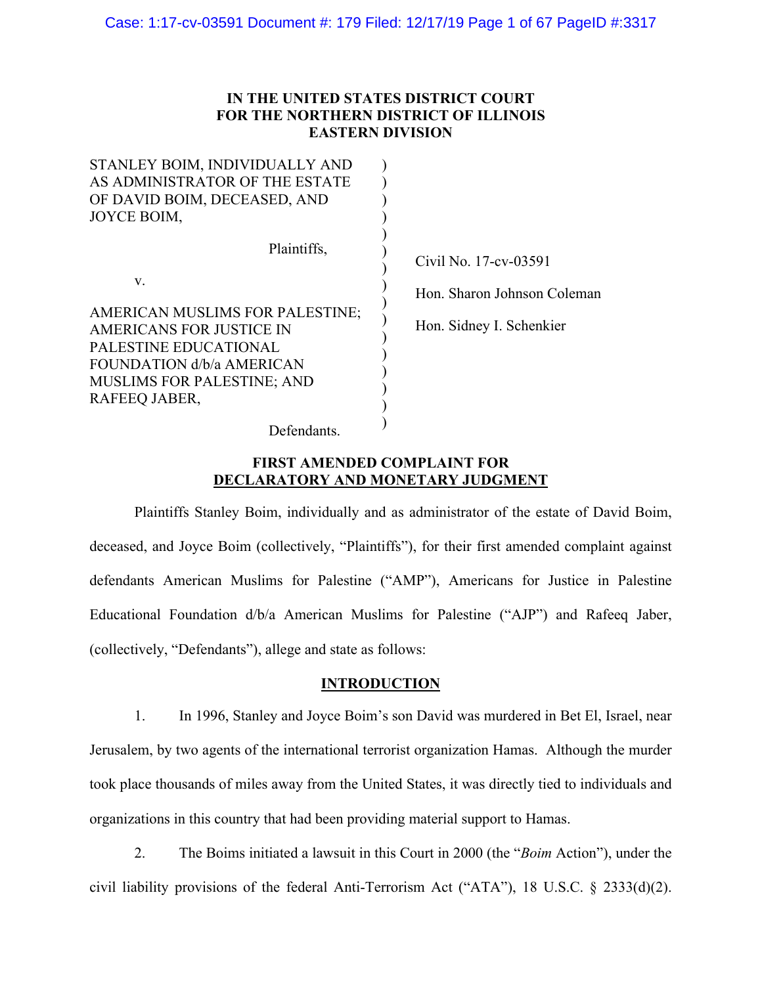# **IN THE UNITED STATES DISTRICT COURT FOR THE NORTHERN DISTRICT OF ILLINOIS EASTERN DIVISION**

| STANLEY BOIM, INDIVIDUALLY AND                                                                                                                                                               |                                                                                  |
|----------------------------------------------------------------------------------------------------------------------------------------------------------------------------------------------|----------------------------------------------------------------------------------|
| AS ADMINISTRATOR OF THE ESTATE                                                                                                                                                               |                                                                                  |
| OF DAVID BOIM, DECEASED, AND                                                                                                                                                                 |                                                                                  |
| JOYCE BOIM,                                                                                                                                                                                  |                                                                                  |
| Plaintiffs,<br>V.<br>AMERICAN MUSLIMS FOR PALESTINE;<br>AMERICANS FOR JUSTICE IN<br>PALESTINE EDUCATIONAL<br>FOUNDATION d/b/a AMERICAN<br><b>MUSLIMS FOR PALESTINE; AND</b><br>RAFEEQ JABER, | Civil No. 17-cv-03591<br>Hon. Sharon Johnson Coleman<br>Hon. Sidney I. Schenkier |
| Defendants.                                                                                                                                                                                  |                                                                                  |

# **FIRST AMENDED COMPLAINT FOR DECLARATORY AND MONETARY JUDGMENT**

Plaintiffs Stanley Boim, individually and as administrator of the estate of David Boim, deceased, and Joyce Boim (collectively, "Plaintiffs"), for their first amended complaint against defendants American Muslims for Palestine ("AMP"), Americans for Justice in Palestine Educational Foundation d/b/a American Muslims for Palestine ("AJP") and Rafeeq Jaber, (collectively, "Defendants"), allege and state as follows:

# **INTRODUCTION**

1. In 1996, Stanley and Joyce Boim's son David was murdered in Bet El, Israel, near Jerusalem, by two agents of the international terrorist organization Hamas. Although the murder took place thousands of miles away from the United States, it was directly tied to individuals and organizations in this country that had been providing material support to Hamas.

2. The Boims initiated a lawsuit in this Court in 2000 (the "*Boim* Action"), under the civil liability provisions of the federal Anti-Terrorism Act ("ATA"), 18 U.S.C. § 2333(d)(2).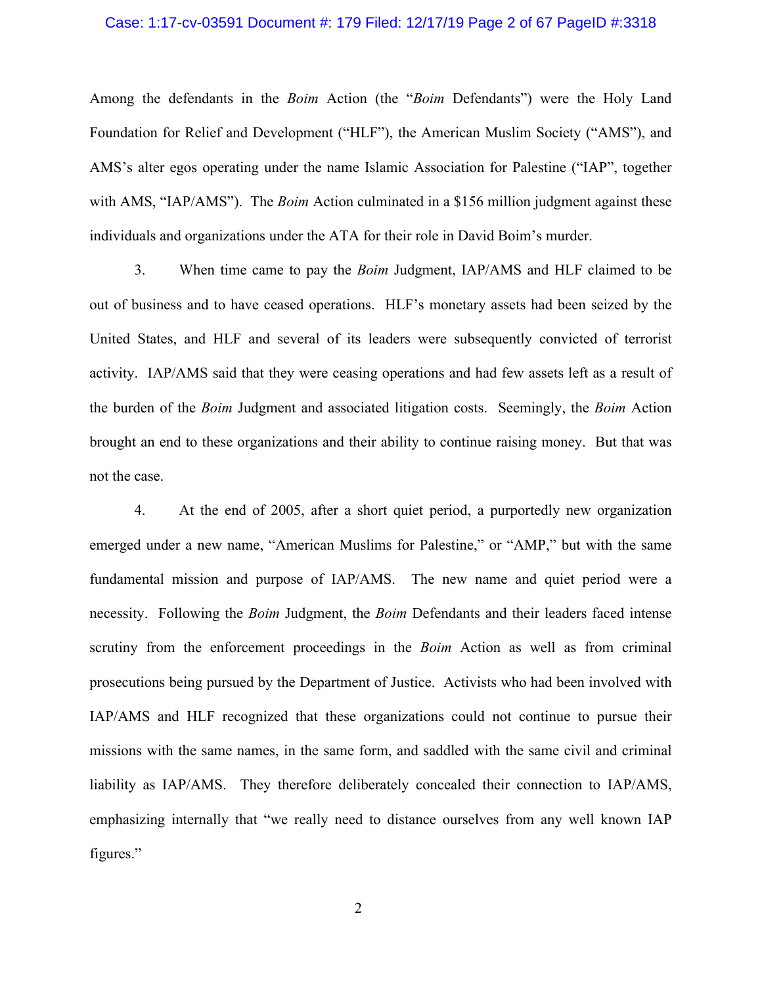### Case: 1:17-cv-03591 Document #: 179 Filed: 12/17/19 Page 2 of 67 PageID #:3318

Among the defendants in the *Boim* Action (the "*Boim* Defendants") were the Holy Land Foundation for Relief and Development ("HLF"), the American Muslim Society ("AMS"), and AMS's alter egos operating under the name Islamic Association for Palestine ("IAP", together with AMS, "IAP/AMS"). The *Boim* Action culminated in a \$156 million judgment against these individuals and organizations under the ATA for their role in David Boim's murder.

3. When time came to pay the *Boim* Judgment, IAP/AMS and HLF claimed to be out of business and to have ceased operations. HLF's monetary assets had been seized by the United States, and HLF and several of its leaders were subsequently convicted of terrorist activity. IAP/AMS said that they were ceasing operations and had few assets left as a result of the burden of the *Boim* Judgment and associated litigation costs. Seemingly, the *Boim* Action brought an end to these organizations and their ability to continue raising money. But that was not the case.

4. At the end of 2005, after a short quiet period, a purportedly new organization emerged under a new name, "American Muslims for Palestine," or "AMP," but with the same fundamental mission and purpose of IAP/AMS. The new name and quiet period were a necessity. Following the *Boim* Judgment, the *Boim* Defendants and their leaders faced intense scrutiny from the enforcement proceedings in the *Boim* Action as well as from criminal prosecutions being pursued by the Department of Justice. Activists who had been involved with IAP/AMS and HLF recognized that these organizations could not continue to pursue their missions with the same names, in the same form, and saddled with the same civil and criminal liability as IAP/AMS. They therefore deliberately concealed their connection to IAP/AMS, emphasizing internally that "we really need to distance ourselves from any well known IAP figures."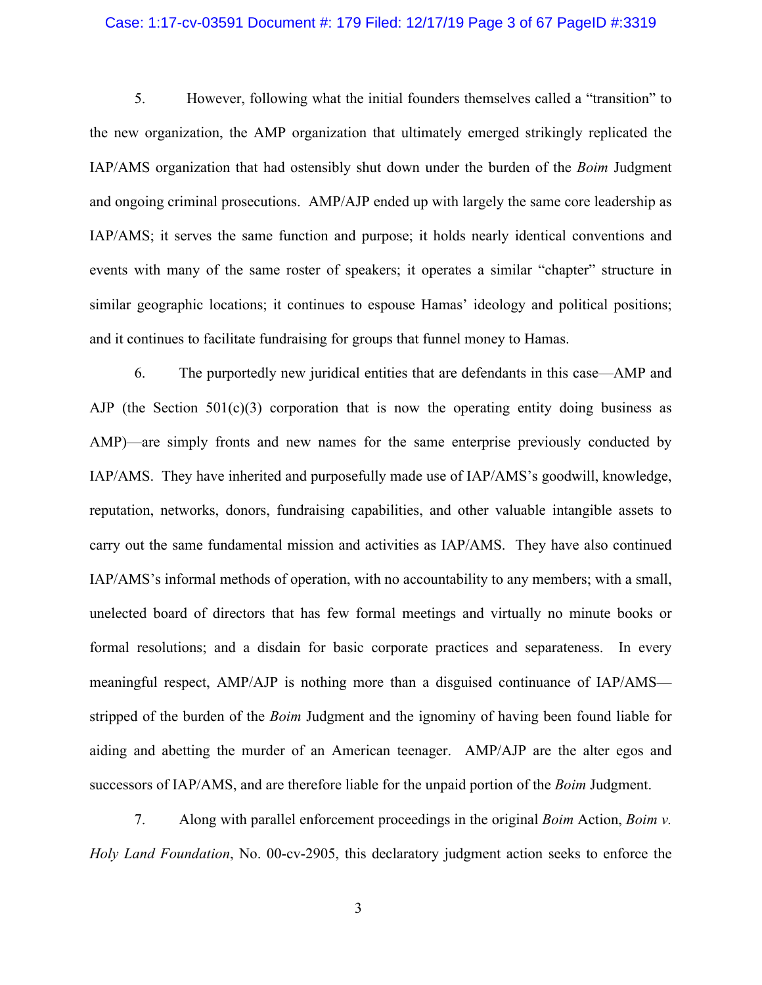### Case: 1:17-cv-03591 Document #: 179 Filed: 12/17/19 Page 3 of 67 PageID #:3319

5. However, following what the initial founders themselves called a "transition" to the new organization, the AMP organization that ultimately emerged strikingly replicated the IAP/AMS organization that had ostensibly shut down under the burden of the *Boim* Judgment and ongoing criminal prosecutions. AMP/AJP ended up with largely the same core leadership as IAP/AMS; it serves the same function and purpose; it holds nearly identical conventions and events with many of the same roster of speakers; it operates a similar "chapter" structure in similar geographic locations; it continues to espouse Hamas' ideology and political positions; and it continues to facilitate fundraising for groups that funnel money to Hamas.

6. The purportedly new juridical entities that are defendants in this case—AMP and AJP (the Section  $501(c)(3)$  corporation that is now the operating entity doing business as AMP)—are simply fronts and new names for the same enterprise previously conducted by IAP/AMS. They have inherited and purposefully made use of IAP/AMS's goodwill, knowledge, reputation, networks, donors, fundraising capabilities, and other valuable intangible assets to carry out the same fundamental mission and activities as IAP/AMS. They have also continued IAP/AMS's informal methods of operation, with no accountability to any members; with a small, unelected board of directors that has few formal meetings and virtually no minute books or formal resolutions; and a disdain for basic corporate practices and separateness. In every meaningful respect, AMP/AJP is nothing more than a disguised continuance of IAP/AMS stripped of the burden of the *Boim* Judgment and the ignominy of having been found liable for aiding and abetting the murder of an American teenager. AMP/AJP are the alter egos and successors of IAP/AMS, and are therefore liable for the unpaid portion of the *Boim* Judgment.

7. Along with parallel enforcement proceedings in the original *Boim* Action, *Boim v. Holy Land Foundation*, No. 00-cv-2905, this declaratory judgment action seeks to enforce the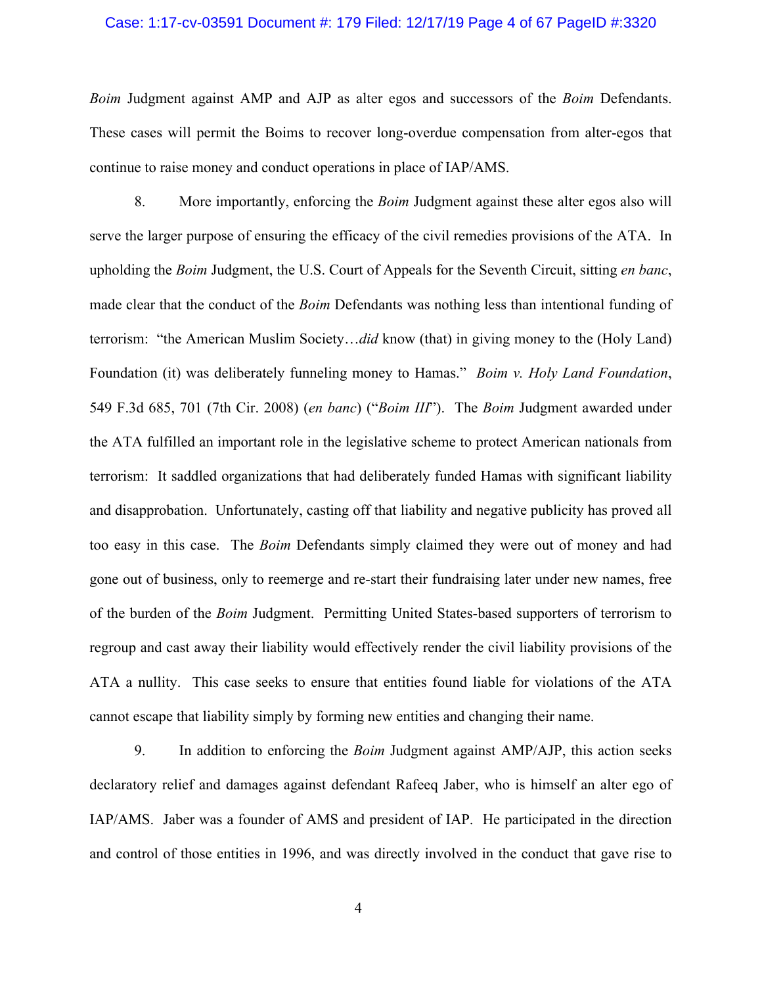### Case: 1:17-cv-03591 Document #: 179 Filed: 12/17/19 Page 4 of 67 PageID #:3320

*Boim* Judgment against AMP and AJP as alter egos and successors of the *Boim* Defendants. These cases will permit the Boims to recover long-overdue compensation from alter-egos that continue to raise money and conduct operations in place of IAP/AMS.

8. More importantly, enforcing the *Boim* Judgment against these alter egos also will serve the larger purpose of ensuring the efficacy of the civil remedies provisions of the ATA. In upholding the *Boim* Judgment, the U.S. Court of Appeals for the Seventh Circuit, sitting *en banc*, made clear that the conduct of the *Boim* Defendants was nothing less than intentional funding of terrorism: "the American Muslim Society…*did* know (that) in giving money to the (Holy Land) Foundation (it) was deliberately funneling money to Hamas." *Boim v. Holy Land Foundation*, 549 F.3d 685, 701 (7th Cir. 2008) (*en banc*) ("*Boim III*"). The *Boim* Judgment awarded under the ATA fulfilled an important role in the legislative scheme to protect American nationals from terrorism: It saddled organizations that had deliberately funded Hamas with significant liability and disapprobation. Unfortunately, casting off that liability and negative publicity has proved all too easy in this case. The *Boim* Defendants simply claimed they were out of money and had gone out of business, only to reemerge and re-start their fundraising later under new names, free of the burden of the *Boim* Judgment. Permitting United States-based supporters of terrorism to regroup and cast away their liability would effectively render the civil liability provisions of the ATA a nullity. This case seeks to ensure that entities found liable for violations of the ATA cannot escape that liability simply by forming new entities and changing their name.

9. In addition to enforcing the *Boim* Judgment against AMP/AJP, this action seeks declaratory relief and damages against defendant Rafeeq Jaber, who is himself an alter ego of IAP/AMS. Jaber was a founder of AMS and president of IAP. He participated in the direction and control of those entities in 1996, and was directly involved in the conduct that gave rise to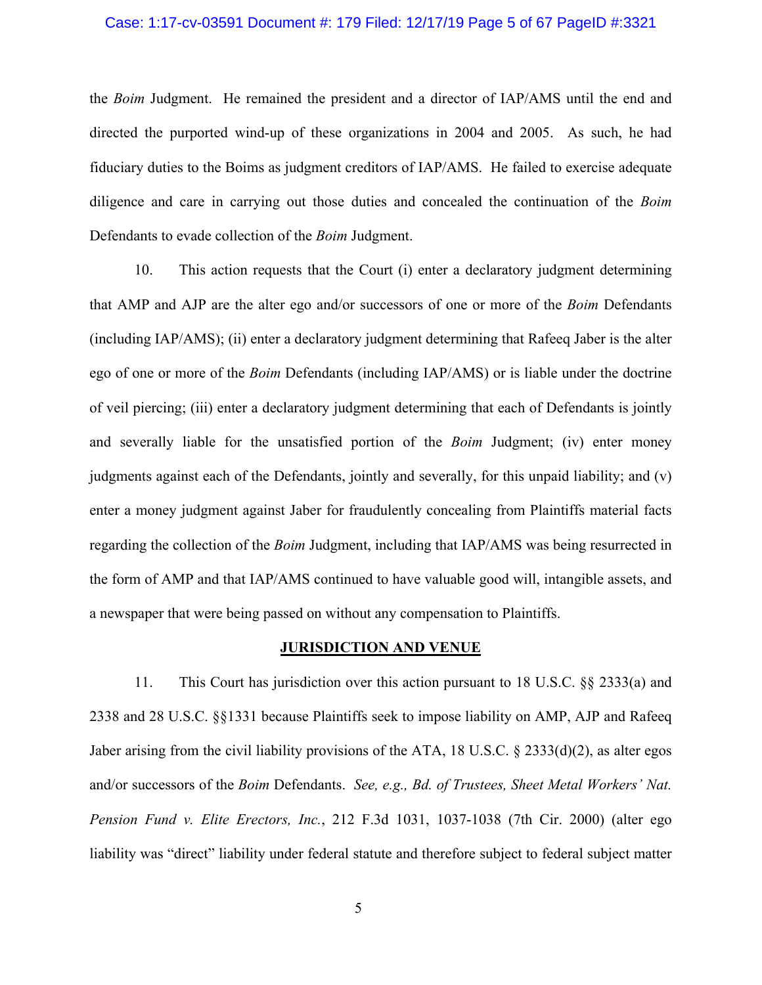### Case: 1:17-cv-03591 Document #: 179 Filed: 12/17/19 Page 5 of 67 PageID #:3321

the *Boim* Judgment. He remained the president and a director of IAP/AMS until the end and directed the purported wind-up of these organizations in 2004 and 2005. As such, he had fiduciary duties to the Boims as judgment creditors of IAP/AMS. He failed to exercise adequate diligence and care in carrying out those duties and concealed the continuation of the *Boim* Defendants to evade collection of the *Boim* Judgment.

10. This action requests that the Court (i) enter a declaratory judgment determining that AMP and AJP are the alter ego and/or successors of one or more of the *Boim* Defendants (including IAP/AMS); (ii) enter a declaratory judgment determining that Rafeeq Jaber is the alter ego of one or more of the *Boim* Defendants (including IAP/AMS) or is liable under the doctrine of veil piercing; (iii) enter a declaratory judgment determining that each of Defendants is jointly and severally liable for the unsatisfied portion of the *Boim* Judgment; (iv) enter money judgments against each of the Defendants, jointly and severally, for this unpaid liability; and (v) enter a money judgment against Jaber for fraudulently concealing from Plaintiffs material facts regarding the collection of the *Boim* Judgment, including that IAP/AMS was being resurrected in the form of AMP and that IAP/AMS continued to have valuable good will, intangible assets, and a newspaper that were being passed on without any compensation to Plaintiffs.

#### **JURISDICTION AND VENUE**

11. This Court has jurisdiction over this action pursuant to 18 U.S.C. §§ 2333(a) and 2338 and 28 U.S.C. §§1331 because Plaintiffs seek to impose liability on AMP, AJP and Rafeeq Jaber arising from the civil liability provisions of the ATA, 18 U.S.C. § 2333(d)(2), as alter egos and/or successors of the *Boim* Defendants. *See, e.g., Bd. of Trustees, Sheet Metal Workers' Nat. Pension Fund v. Elite Erectors, Inc.*, 212 F.3d 1031, 1037-1038 (7th Cir. 2000) (alter ego liability was "direct" liability under federal statute and therefore subject to federal subject matter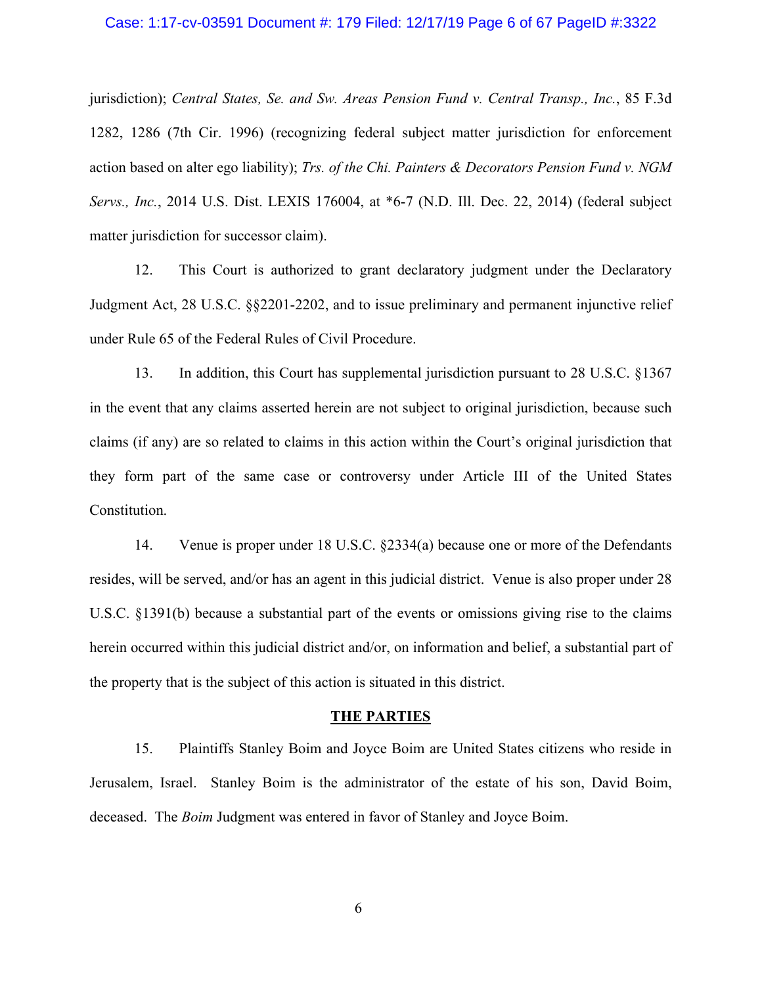#### Case: 1:17-cv-03591 Document #: 179 Filed: 12/17/19 Page 6 of 67 PageID #:3322

jurisdiction); *Central States, Se. and Sw. Areas Pension Fund v. Central Transp., Inc.*, 85 F.3d 1282, 1286 (7th Cir. 1996) (recognizing federal subject matter jurisdiction for enforcement action based on alter ego liability); *Trs. of the Chi. Painters & Decorators Pension Fund v. NGM Servs., Inc.*, 2014 U.S. Dist. LEXIS 176004, at \*6-7 (N.D. Ill. Dec. 22, 2014) (federal subject matter jurisdiction for successor claim).

12. This Court is authorized to grant declaratory judgment under the Declaratory Judgment Act, 28 U.S.C. §§2201-2202, and to issue preliminary and permanent injunctive relief under Rule 65 of the Federal Rules of Civil Procedure.

13. In addition, this Court has supplemental jurisdiction pursuant to 28 U.S.C. §1367 in the event that any claims asserted herein are not subject to original jurisdiction, because such claims (if any) are so related to claims in this action within the Court's original jurisdiction that they form part of the same case or controversy under Article III of the United States Constitution.

14. Venue is proper under 18 U.S.C. §2334(a) because one or more of the Defendants resides, will be served, and/or has an agent in this judicial district. Venue is also proper under 28 U.S.C. §1391(b) because a substantial part of the events or omissions giving rise to the claims herein occurred within this judicial district and/or, on information and belief, a substantial part of the property that is the subject of this action is situated in this district.

#### **THE PARTIES**

15. Plaintiffs Stanley Boim and Joyce Boim are United States citizens who reside in Jerusalem, Israel. Stanley Boim is the administrator of the estate of his son, David Boim, deceased. The *Boim* Judgment was entered in favor of Stanley and Joyce Boim.

6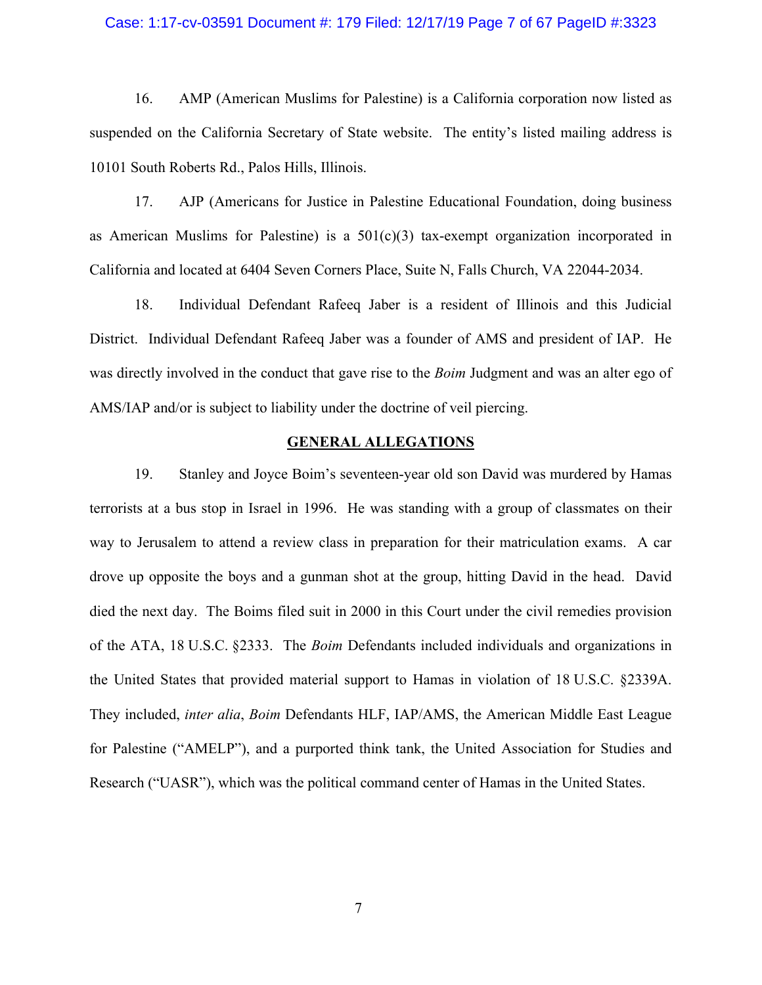### Case: 1:17-cv-03591 Document #: 179 Filed: 12/17/19 Page 7 of 67 PageID #:3323

16. AMP (American Muslims for Palestine) is a California corporation now listed as suspended on the California Secretary of State website. The entity's listed mailing address is 10101 South Roberts Rd., Palos Hills, Illinois.

17. AJP (Americans for Justice in Palestine Educational Foundation, doing business as American Muslims for Palestine) is a  $501(c)(3)$  tax-exempt organization incorporated in California and located at 6404 Seven Corners Place, Suite N, Falls Church, VA 22044-2034.

18. Individual Defendant Rafeeq Jaber is a resident of Illinois and this Judicial District. Individual Defendant Rafeeq Jaber was a founder of AMS and president of IAP. He was directly involved in the conduct that gave rise to the *Boim* Judgment and was an alter ego of AMS/IAP and/or is subject to liability under the doctrine of veil piercing.

### **GENERAL ALLEGATIONS**

19. Stanley and Joyce Boim's seventeen-year old son David was murdered by Hamas terrorists at a bus stop in Israel in 1996. He was standing with a group of classmates on their way to Jerusalem to attend a review class in preparation for their matriculation exams. A car drove up opposite the boys and a gunman shot at the group, hitting David in the head. David died the next day. The Boims filed suit in 2000 in this Court under the civil remedies provision of the ATA, 18 U.S.C. §2333. The *Boim* Defendants included individuals and organizations in the United States that provided material support to Hamas in violation of 18 U.S.C. §2339A. They included, *inter alia*, *Boim* Defendants HLF, IAP/AMS, the American Middle East League for Palestine ("AMELP"), and a purported think tank, the United Association for Studies and Research ("UASR"), which was the political command center of Hamas in the United States.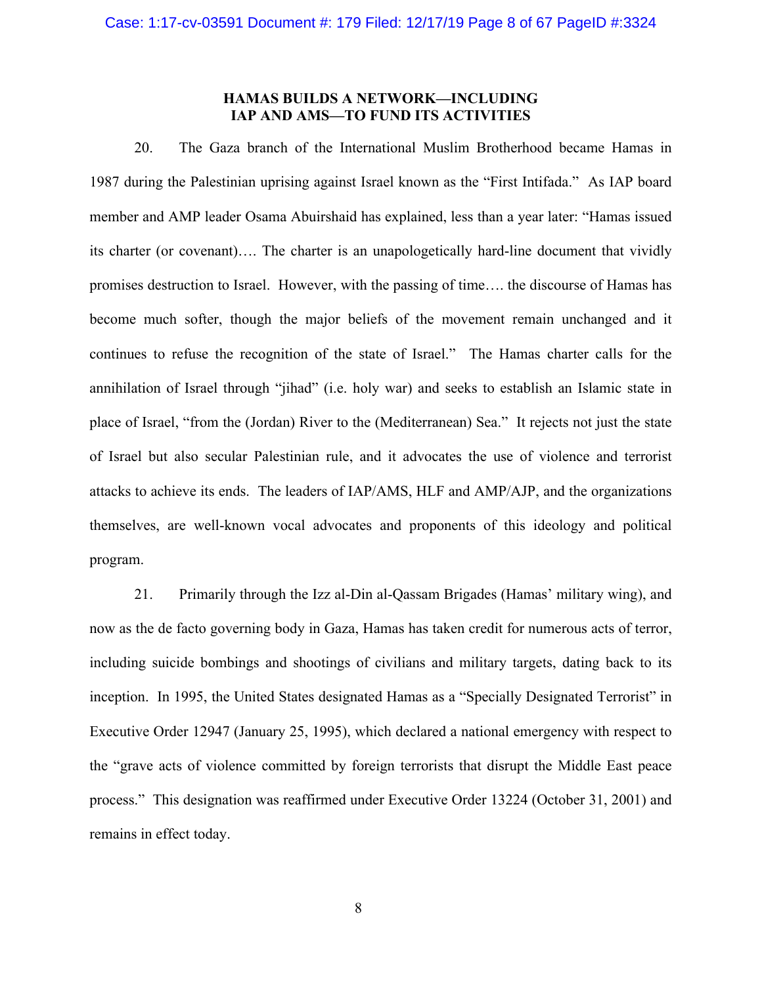# **HAMAS BUILDS A NETWORK—INCLUDING IAP AND AMS—TO FUND ITS ACTIVITIES**

20. The Gaza branch of the International Muslim Brotherhood became Hamas in 1987 during the Palestinian uprising against Israel known as the "First Intifada." As IAP board member and AMP leader Osama Abuirshaid has explained, less than a year later: "Hamas issued its charter (or covenant)…. The charter is an unapologetically hard-line document that vividly promises destruction to Israel. However, with the passing of time…. the discourse of Hamas has become much softer, though the major beliefs of the movement remain unchanged and it continues to refuse the recognition of the state of Israel." The Hamas charter calls for the annihilation of Israel through "jihad" (i.e. holy war) and seeks to establish an Islamic state in place of Israel, "from the (Jordan) River to the (Mediterranean) Sea." It rejects not just the state of Israel but also secular Palestinian rule, and it advocates the use of violence and terrorist attacks to achieve its ends. The leaders of IAP/AMS, HLF and AMP/AJP, and the organizations themselves, are well-known vocal advocates and proponents of this ideology and political program.

21. Primarily through the Izz al-Din al-Qassam Brigades (Hamas' military wing), and now as the de facto governing body in Gaza, Hamas has taken credit for numerous acts of terror, including suicide bombings and shootings of civilians and military targets, dating back to its inception. In 1995, the United States designated Hamas as a "Specially Designated Terrorist" in Executive Order 12947 (January 25, 1995), which declared a national emergency with respect to the "grave acts of violence committed by foreign terrorists that disrupt the Middle East peace process." This designation was reaffirmed under Executive Order 13224 (October 31, 2001) and remains in effect today.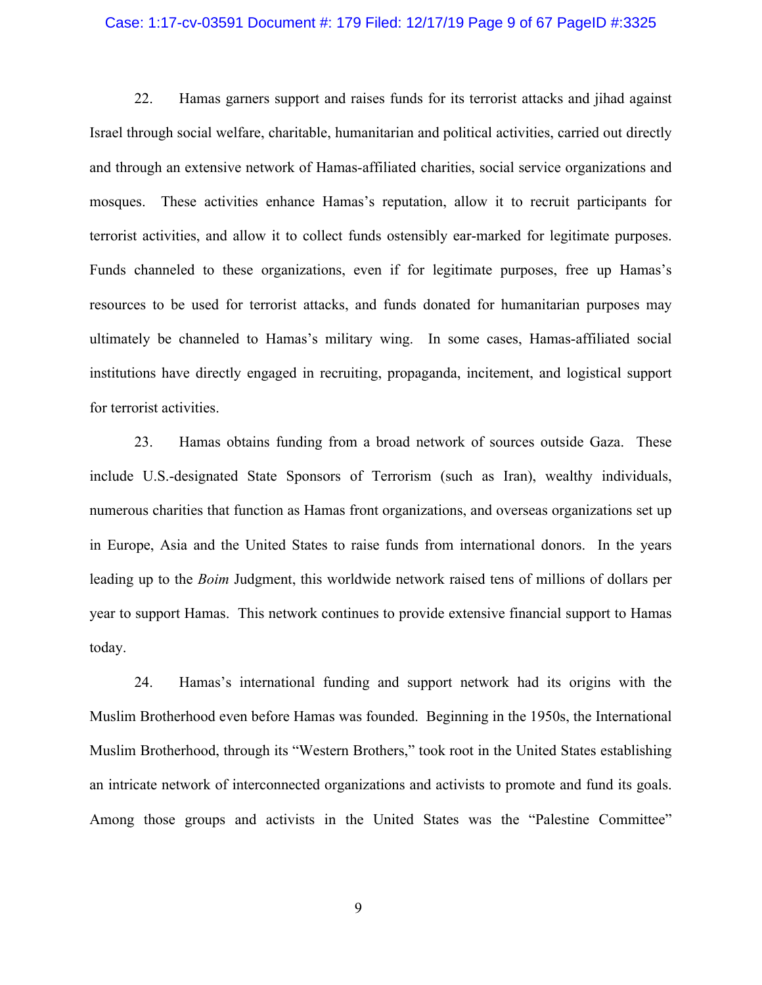#### Case: 1:17-cv-03591 Document #: 179 Filed: 12/17/19 Page 9 of 67 PageID #:3325

22. Hamas garners support and raises funds for its terrorist attacks and jihad against Israel through social welfare, charitable, humanitarian and political activities, carried out directly and through an extensive network of Hamas-affiliated charities, social service organizations and mosques. These activities enhance Hamas's reputation, allow it to recruit participants for terrorist activities, and allow it to collect funds ostensibly ear-marked for legitimate purposes. Funds channeled to these organizations, even if for legitimate purposes, free up Hamas's resources to be used for terrorist attacks, and funds donated for humanitarian purposes may ultimately be channeled to Hamas's military wing. In some cases, Hamas-affiliated social institutions have directly engaged in recruiting, propaganda, incitement, and logistical support for terrorist activities.

23. Hamas obtains funding from a broad network of sources outside Gaza. These include U.S.-designated State Sponsors of Terrorism (such as Iran), wealthy individuals, numerous charities that function as Hamas front organizations, and overseas organizations set up in Europe, Asia and the United States to raise funds from international donors. In the years leading up to the *Boim* Judgment, this worldwide network raised tens of millions of dollars per year to support Hamas. This network continues to provide extensive financial support to Hamas today.

24. Hamas's international funding and support network had its origins with the Muslim Brotherhood even before Hamas was founded. Beginning in the 1950s, the International Muslim Brotherhood, through its "Western Brothers," took root in the United States establishing an intricate network of interconnected organizations and activists to promote and fund its goals. Among those groups and activists in the United States was the "Palestine Committee"

9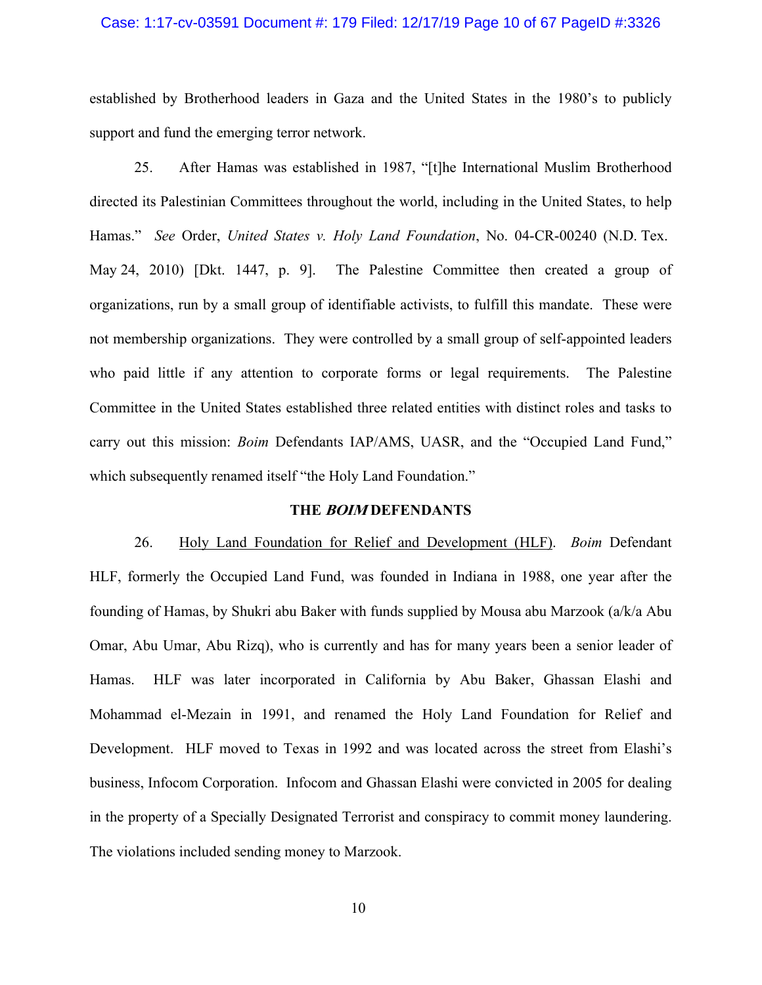#### Case: 1:17-cv-03591 Document #: 179 Filed: 12/17/19 Page 10 of 67 PageID #:3326

established by Brotherhood leaders in Gaza and the United States in the 1980's to publicly support and fund the emerging terror network.

25. After Hamas was established in 1987, "[t]he International Muslim Brotherhood directed its Palestinian Committees throughout the world, including in the United States, to help Hamas." *See* Order, *United States v. Holy Land Foundation*, No. 04-CR-00240 (N.D. Tex. May 24, 2010) [Dkt. 1447, p. 9]. The Palestine Committee then created a group of organizations, run by a small group of identifiable activists, to fulfill this mandate. These were not membership organizations. They were controlled by a small group of self-appointed leaders who paid little if any attention to corporate forms or legal requirements. The Palestine Committee in the United States established three related entities with distinct roles and tasks to carry out this mission: *Boim* Defendants IAP/AMS, UASR, and the "Occupied Land Fund," which subsequently renamed itself "the Holy Land Foundation."

#### **THE BOIM DEFENDANTS**

26. Holy Land Foundation for Relief and Development (HLF). *Boim* Defendant HLF, formerly the Occupied Land Fund, was founded in Indiana in 1988, one year after the founding of Hamas, by Shukri abu Baker with funds supplied by Mousa abu Marzook (a/k/a Abu Omar, Abu Umar, Abu Rizq), who is currently and has for many years been a senior leader of Hamas. HLF was later incorporated in California by Abu Baker, Ghassan Elashi and Mohammad el-Mezain in 1991, and renamed the Holy Land Foundation for Relief and Development. HLF moved to Texas in 1992 and was located across the street from Elashi's business, Infocom Corporation. Infocom and Ghassan Elashi were convicted in 2005 for dealing in the property of a Specially Designated Terrorist and conspiracy to commit money laundering. The violations included sending money to Marzook.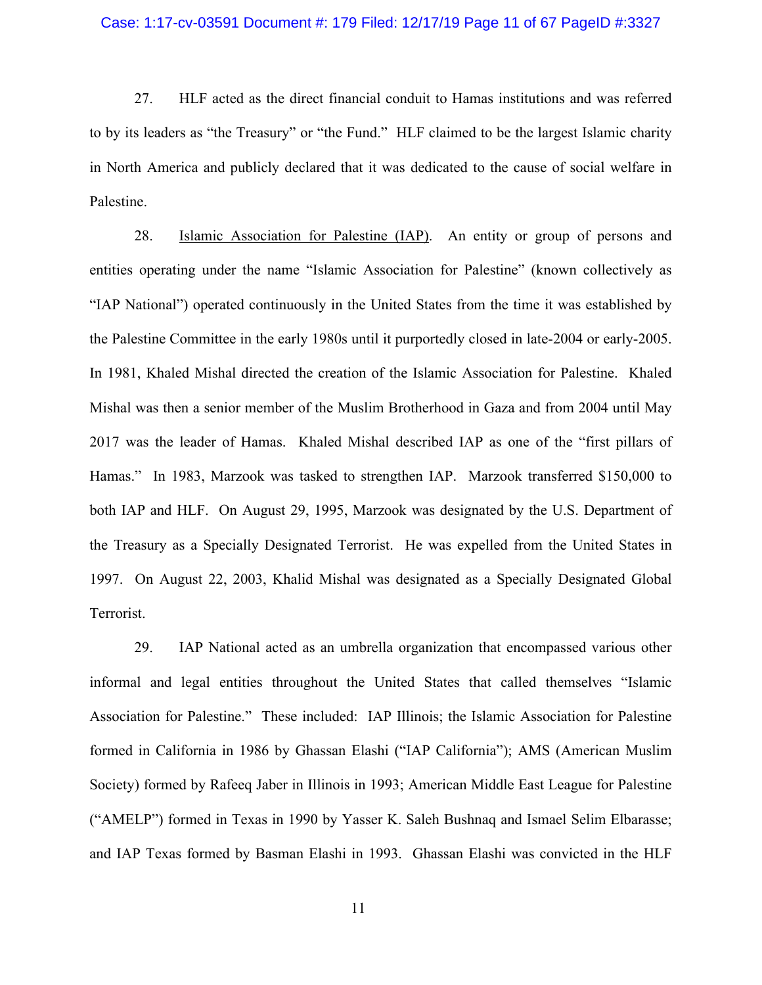#### Case: 1:17-cv-03591 Document #: 179 Filed: 12/17/19 Page 11 of 67 PageID #:3327

27. HLF acted as the direct financial conduit to Hamas institutions and was referred to by its leaders as "the Treasury" or "the Fund." HLF claimed to be the largest Islamic charity in North America and publicly declared that it was dedicated to the cause of social welfare in Palestine.

28. Islamic Association for Palestine (IAP). An entity or group of persons and entities operating under the name "Islamic Association for Palestine" (known collectively as "IAP National") operated continuously in the United States from the time it was established by the Palestine Committee in the early 1980s until it purportedly closed in late-2004 or early-2005. In 1981, Khaled Mishal directed the creation of the Islamic Association for Palestine. Khaled Mishal was then a senior member of the Muslim Brotherhood in Gaza and from 2004 until May 2017 was the leader of Hamas. Khaled Mishal described IAP as one of the "first pillars of Hamas." In 1983, Marzook was tasked to strengthen IAP. Marzook transferred \$150,000 to both IAP and HLF. On August 29, 1995, Marzook was designated by the U.S. Department of the Treasury as a Specially Designated Terrorist. He was expelled from the United States in 1997. On August 22, 2003, Khalid Mishal was designated as a Specially Designated Global Terrorist.

29. IAP National acted as an umbrella organization that encompassed various other informal and legal entities throughout the United States that called themselves "Islamic Association for Palestine." These included: IAP Illinois; the Islamic Association for Palestine formed in California in 1986 by Ghassan Elashi ("IAP California"); AMS (American Muslim Society) formed by Rafeeq Jaber in Illinois in 1993; American Middle East League for Palestine ("AMELP") formed in Texas in 1990 by Yasser K. Saleh Bushnaq and Ismael Selim Elbarasse; and IAP Texas formed by Basman Elashi in 1993. Ghassan Elashi was convicted in the HLF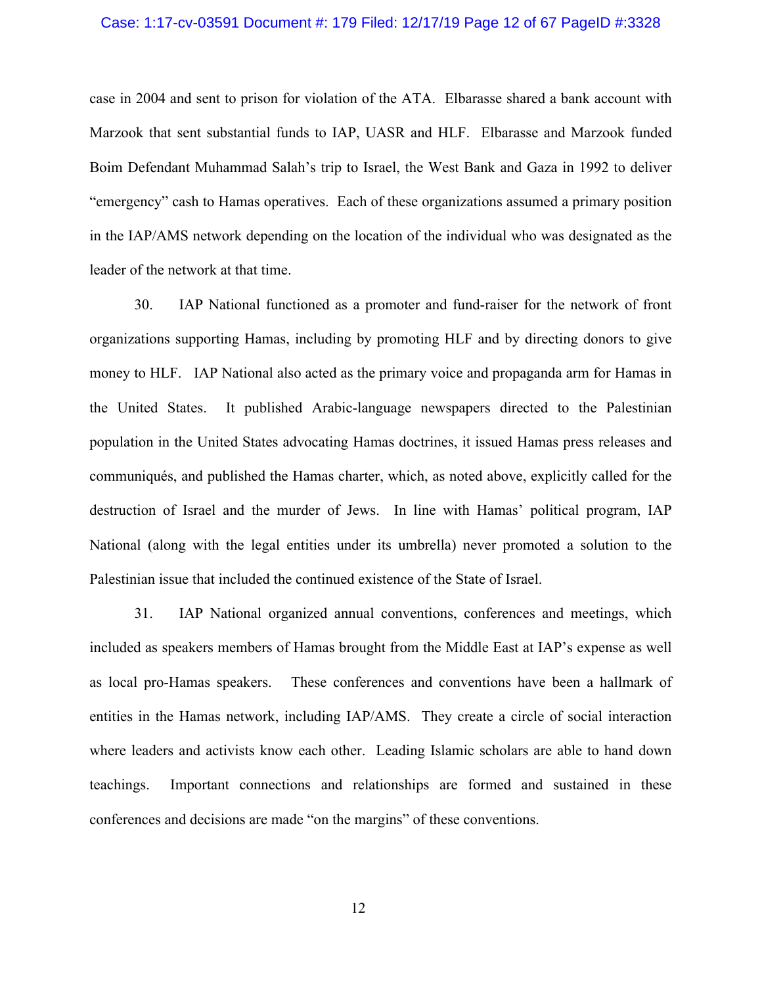# Case: 1:17-cv-03591 Document #: 179 Filed: 12/17/19 Page 12 of 67 PageID #:3328

case in 2004 and sent to prison for violation of the ATA. Elbarasse shared a bank account with Marzook that sent substantial funds to IAP, UASR and HLF. Elbarasse and Marzook funded Boim Defendant Muhammad Salah's trip to Israel, the West Bank and Gaza in 1992 to deliver "emergency" cash to Hamas operatives. Each of these organizations assumed a primary position in the IAP/AMS network depending on the location of the individual who was designated as the leader of the network at that time.

30. IAP National functioned as a promoter and fund-raiser for the network of front organizations supporting Hamas, including by promoting HLF and by directing donors to give money to HLF. IAP National also acted as the primary voice and propaganda arm for Hamas in the United States. It published Arabic-language newspapers directed to the Palestinian population in the United States advocating Hamas doctrines, it issued Hamas press releases and communiqués, and published the Hamas charter, which, as noted above, explicitly called for the destruction of Israel and the murder of Jews. In line with Hamas' political program, IAP National (along with the legal entities under its umbrella) never promoted a solution to the Palestinian issue that included the continued existence of the State of Israel.

31. IAP National organized annual conventions, conferences and meetings, which included as speakers members of Hamas brought from the Middle East at IAP's expense as well as local pro-Hamas speakers. These conferences and conventions have been a hallmark of entities in the Hamas network, including IAP/AMS. They create a circle of social interaction where leaders and activists know each other. Leading Islamic scholars are able to hand down teachings. Important connections and relationships are formed and sustained in these conferences and decisions are made "on the margins" of these conventions.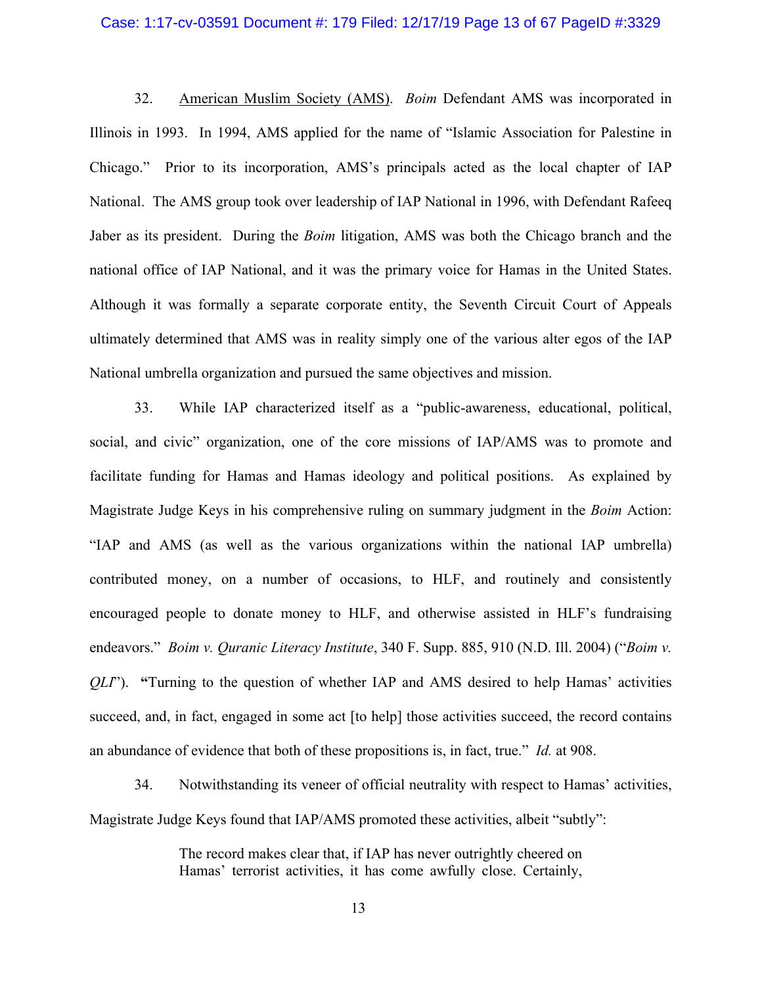# Case: 1:17-cv-03591 Document #: 179 Filed: 12/17/19 Page 13 of 67 PageID #:3329

32. American Muslim Society (AMS). *Boim* Defendant AMS was incorporated in Illinois in 1993. In 1994, AMS applied for the name of "Islamic Association for Palestine in Chicago." Prior to its incorporation, AMS's principals acted as the local chapter of IAP National. The AMS group took over leadership of IAP National in 1996, with Defendant Rafeeq Jaber as its president. During the *Boim* litigation, AMS was both the Chicago branch and the national office of IAP National, and it was the primary voice for Hamas in the United States. Although it was formally a separate corporate entity, the Seventh Circuit Court of Appeals ultimately determined that AMS was in reality simply one of the various alter egos of the IAP National umbrella organization and pursued the same objectives and mission.

33. While IAP characterized itself as a "public-awareness, educational, political, social, and civic" organization, one of the core missions of IAP/AMS was to promote and facilitate funding for Hamas and Hamas ideology and political positions. As explained by Magistrate Judge Keys in his comprehensive ruling on summary judgment in the *Boim* Action: "IAP and AMS (as well as the various organizations within the national IAP umbrella) contributed money, on a number of occasions, to HLF, and routinely and consistently encouraged people to donate money to HLF, and otherwise assisted in HLF's fundraising endeavors." *Boim v. Quranic Literacy Institute*, 340 F. Supp. 885, 910 (N.D. Ill. 2004) ("*Boim v. QLI*"). **"**Turning to the question of whether IAP and AMS desired to help Hamas' activities succeed, and, in fact, engaged in some act [to help] those activities succeed, the record contains an abundance of evidence that both of these propositions is, in fact, true." *Id.* at 908.

34. Notwithstanding its veneer of official neutrality with respect to Hamas' activities, Magistrate Judge Keys found that IAP/AMS promoted these activities, albeit "subtly":

> The record makes clear that, if IAP has never outrightly cheered on Hamas' terrorist activities, it has come awfully close. Certainly,

> > 13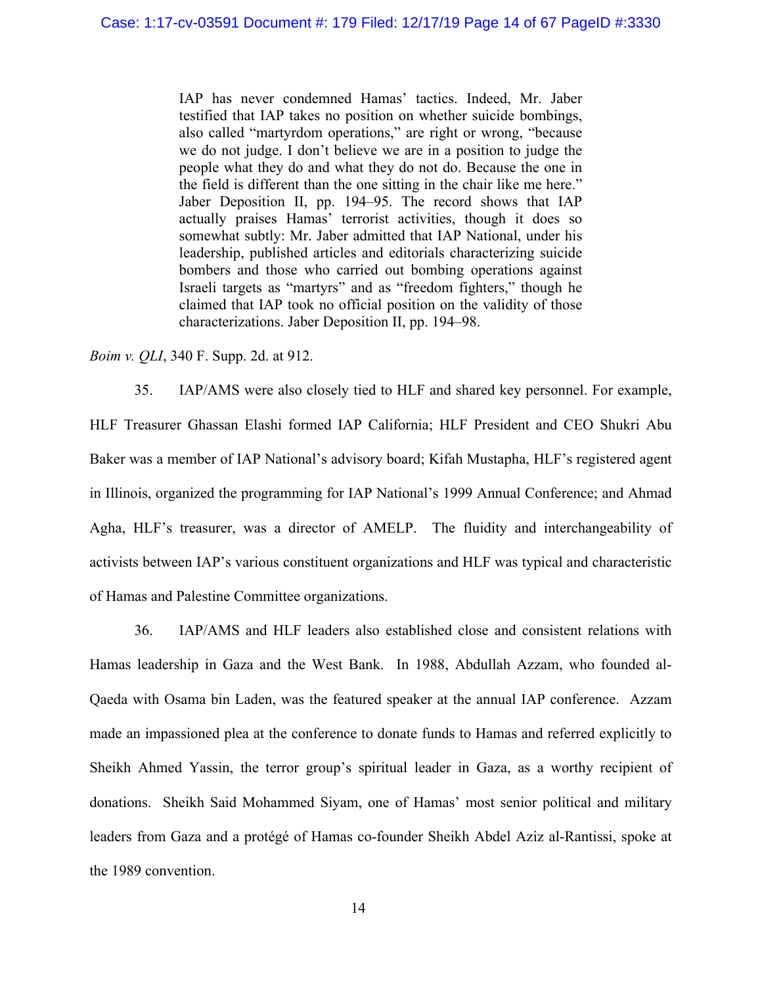IAP has never condemned Hamas' tactics. Indeed, Mr. Jaber testified that IAP takes no position on whether suicide bombings, also called "martyrdom operations," are right or wrong, "because we do not judge. I don't believe we are in a position to judge the people what they do and what they do not do. Because the one in the field is different than the one sitting in the chair like me here." Jaber Deposition II, pp. 194–95. The record shows that IAP actually praises Hamas' terrorist activities, though it does so somewhat subtly: Mr. Jaber admitted that IAP National, under his leadership, published articles and editorials characterizing suicide bombers and those who carried out bombing operations against Israeli targets as "martyrs" and as "freedom fighters," though he claimed that IAP took no official position on the validity of those characterizations. Jaber Deposition II, pp. 194–98.

### *Boim v. QLI*, 340 F. Supp. 2d. at 912.

35. IAP/AMS were also closely tied to HLF and shared key personnel. For example, HLF Treasurer Ghassan Elashi formed IAP California; HLF President and CEO Shukri Abu Baker was a member of IAP National's advisory board; Kifah Mustapha, HLF's registered agent in Illinois, organized the programming for IAP National's 1999 Annual Conference; and Ahmad Agha, HLF's treasurer, was a director of AMELP. The fluidity and interchangeability of activists between IAP's various constituent organizations and HLF was typical and characteristic of Hamas and Palestine Committee organizations.

36. IAP/AMS and HLF leaders also established close and consistent relations with Hamas leadership in Gaza and the West Bank. In 1988, Abdullah Azzam, who founded al-Qaeda with Osama bin Laden, was the featured speaker at the annual IAP conference. Azzam made an impassioned plea at the conference to donate funds to Hamas and referred explicitly to Sheikh Ahmed Yassin, the terror group's spiritual leader in Gaza, as a worthy recipient of donations. Sheikh Said Mohammed Siyam, one of Hamas' most senior political and military leaders from Gaza and a protégé of Hamas co-founder Sheikh Abdel Aziz al-Rantissi, spoke at the 1989 convention.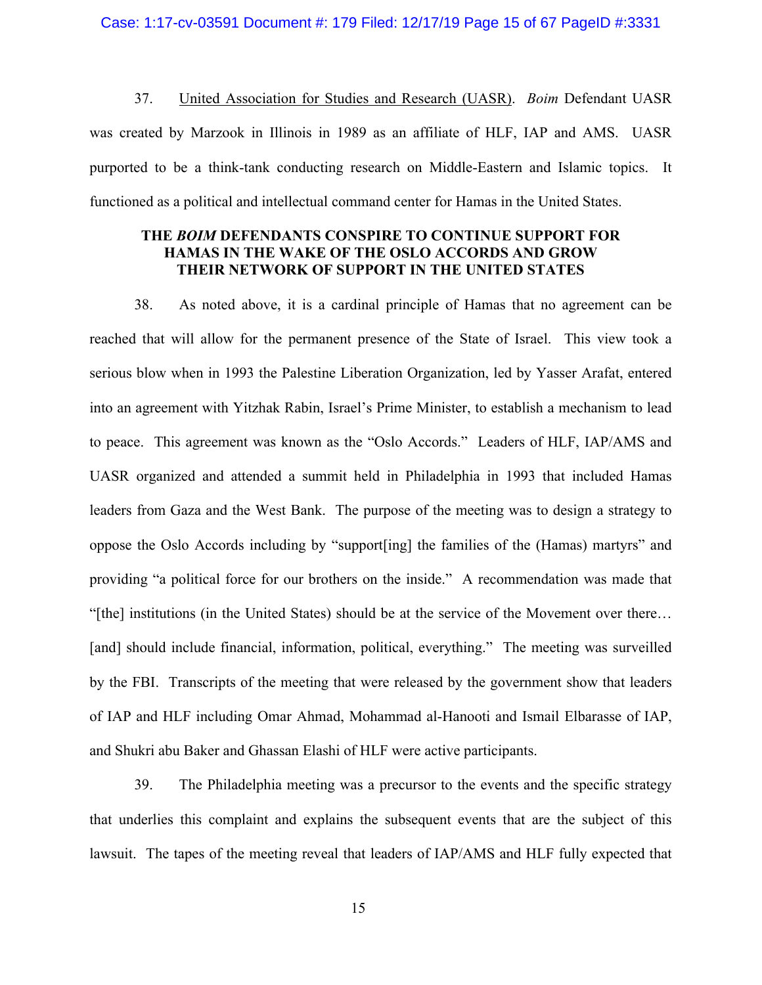37. United Association for Studies and Research (UASR). *Boim* Defendant UASR was created by Marzook in Illinois in 1989 as an affiliate of HLF, IAP and AMS. UASR purported to be a think-tank conducting research on Middle-Eastern and Islamic topics. It functioned as a political and intellectual command center for Hamas in the United States.

# **THE** *BOIM* **DEFENDANTS CONSPIRE TO CONTINUE SUPPORT FOR HAMAS IN THE WAKE OF THE OSLO ACCORDS AND GROW THEIR NETWORK OF SUPPORT IN THE UNITED STATES**

38. As noted above, it is a cardinal principle of Hamas that no agreement can be reached that will allow for the permanent presence of the State of Israel. This view took a serious blow when in 1993 the Palestine Liberation Organization, led by Yasser Arafat, entered into an agreement with Yitzhak Rabin, Israel's Prime Minister, to establish a mechanism to lead to peace. This agreement was known as the "Oslo Accords." Leaders of HLF, IAP/AMS and UASR organized and attended a summit held in Philadelphia in 1993 that included Hamas leaders from Gaza and the West Bank. The purpose of the meeting was to design a strategy to oppose the Oslo Accords including by "support[ing] the families of the (Hamas) martyrs" and providing "a political force for our brothers on the inside." A recommendation was made that "[the] institutions (in the United States) should be at the service of the Movement over there… [and] should include financial, information, political, everything." The meeting was surveilled by the FBI. Transcripts of the meeting that were released by the government show that leaders of IAP and HLF including Omar Ahmad, Mohammad al-Hanooti and Ismail Elbarasse of IAP, and Shukri abu Baker and Ghassan Elashi of HLF were active participants.

39. The Philadelphia meeting was a precursor to the events and the specific strategy that underlies this complaint and explains the subsequent events that are the subject of this lawsuit. The tapes of the meeting reveal that leaders of IAP/AMS and HLF fully expected that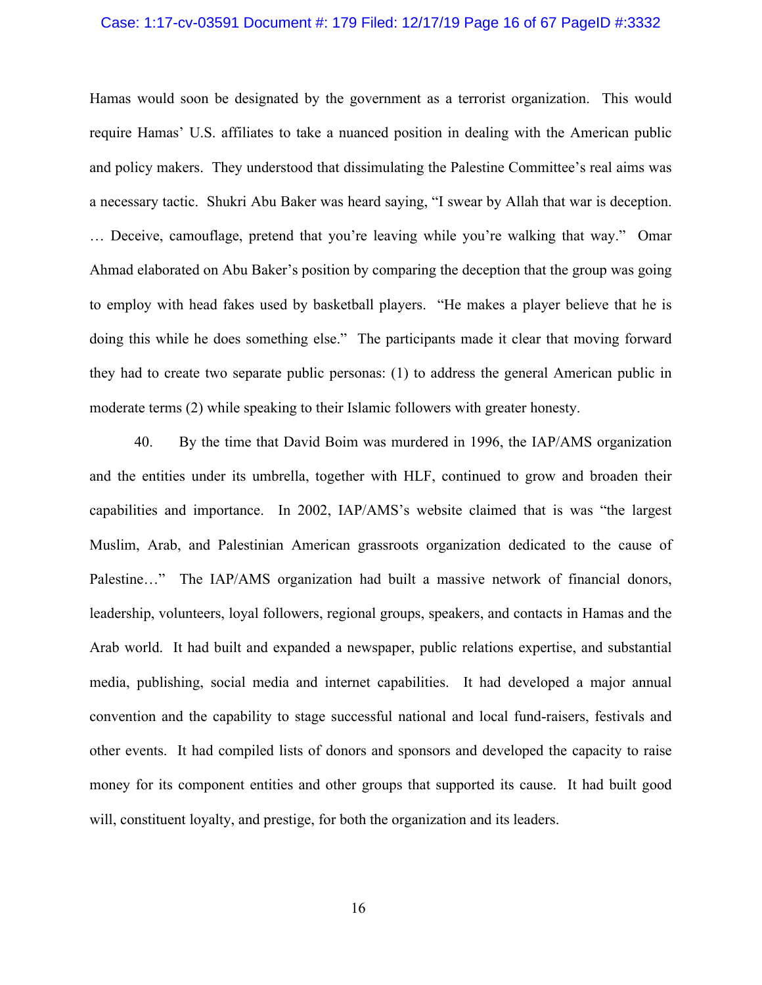#### Case: 1:17-cv-03591 Document #: 179 Filed: 12/17/19 Page 16 of 67 PageID #:3332

Hamas would soon be designated by the government as a terrorist organization. This would require Hamas' U.S. affiliates to take a nuanced position in dealing with the American public and policy makers. They understood that dissimulating the Palestine Committee's real aims was a necessary tactic. Shukri Abu Baker was heard saying, "I swear by Allah that war is deception. … Deceive, camouflage, pretend that you're leaving while you're walking that way." Omar Ahmad elaborated on Abu Baker's position by comparing the deception that the group was going to employ with head fakes used by basketball players. "He makes a player believe that he is doing this while he does something else." The participants made it clear that moving forward they had to create two separate public personas: (1) to address the general American public in moderate terms (2) while speaking to their Islamic followers with greater honesty.

40. By the time that David Boim was murdered in 1996, the IAP/AMS organization and the entities under its umbrella, together with HLF, continued to grow and broaden their capabilities and importance. In 2002, IAP/AMS's website claimed that is was "the largest Muslim, Arab, and Palestinian American grassroots organization dedicated to the cause of Palestine..." The IAP/AMS organization had built a massive network of financial donors, leadership, volunteers, loyal followers, regional groups, speakers, and contacts in Hamas and the Arab world. It had built and expanded a newspaper, public relations expertise, and substantial media, publishing, social media and internet capabilities. It had developed a major annual convention and the capability to stage successful national and local fund-raisers, festivals and other events. It had compiled lists of donors and sponsors and developed the capacity to raise money for its component entities and other groups that supported its cause. It had built good will, constituent loyalty, and prestige, for both the organization and its leaders.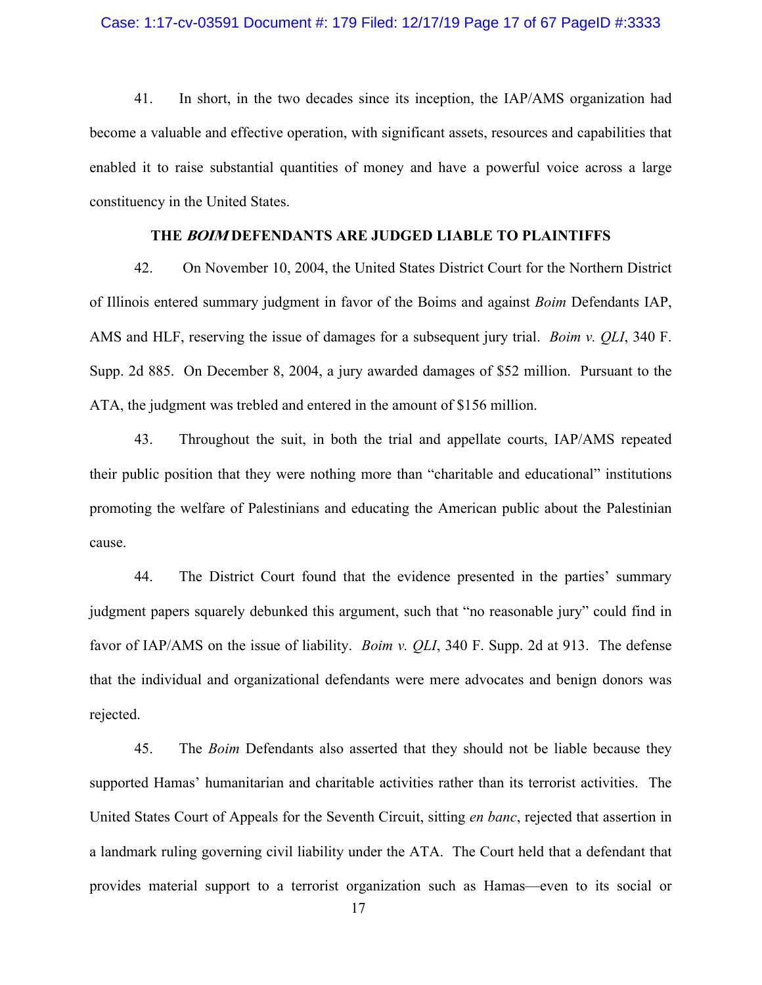### Case: 1:17-cv-03591 Document #: 179 Filed: 12/17/19 Page 17 of 67 PageID #:3333

41. In short, in the two decades since its inception, the IAP/AMS organization had become a valuable and effective operation, with significant assets, resources and capabilities that enabled it to raise substantial quantities of money and have a powerful voice across a large constituency in the United States.

# **THE BOIM DEFENDANTS ARE JUDGED LIABLE TO PLAINTIFFS**

42. On November 10, 2004, the United States District Court for the Northern District of Illinois entered summary judgment in favor of the Boims and against *Boim* Defendants IAP, AMS and HLF, reserving the issue of damages for a subsequent jury trial. *Boim v. QLI*, 340 F. Supp. 2d 885. On December 8, 2004, a jury awarded damages of \$52 million. Pursuant to the ATA, the judgment was trebled and entered in the amount of \$156 million.

43. Throughout the suit, in both the trial and appellate courts, IAP/AMS repeated their public position that they were nothing more than "charitable and educational" institutions promoting the welfare of Palestinians and educating the American public about the Palestinian cause.

44. The District Court found that the evidence presented in the parties' summary judgment papers squarely debunked this argument, such that "no reasonable jury" could find in favor of IAP/AMS on the issue of liability. *Boim v. QLI*, 340 F. Supp. 2d at 913. The defense that the individual and organizational defendants were mere advocates and benign donors was rejected.

45. The *Boim* Defendants also asserted that they should not be liable because they supported Hamas' humanitarian and charitable activities rather than its terrorist activities. The United States Court of Appeals for the Seventh Circuit, sitting *en banc*, rejected that assertion in a landmark ruling governing civil liability under the ATA. The Court held that a defendant that provides material support to a terrorist organization such as Hamas—even to its social or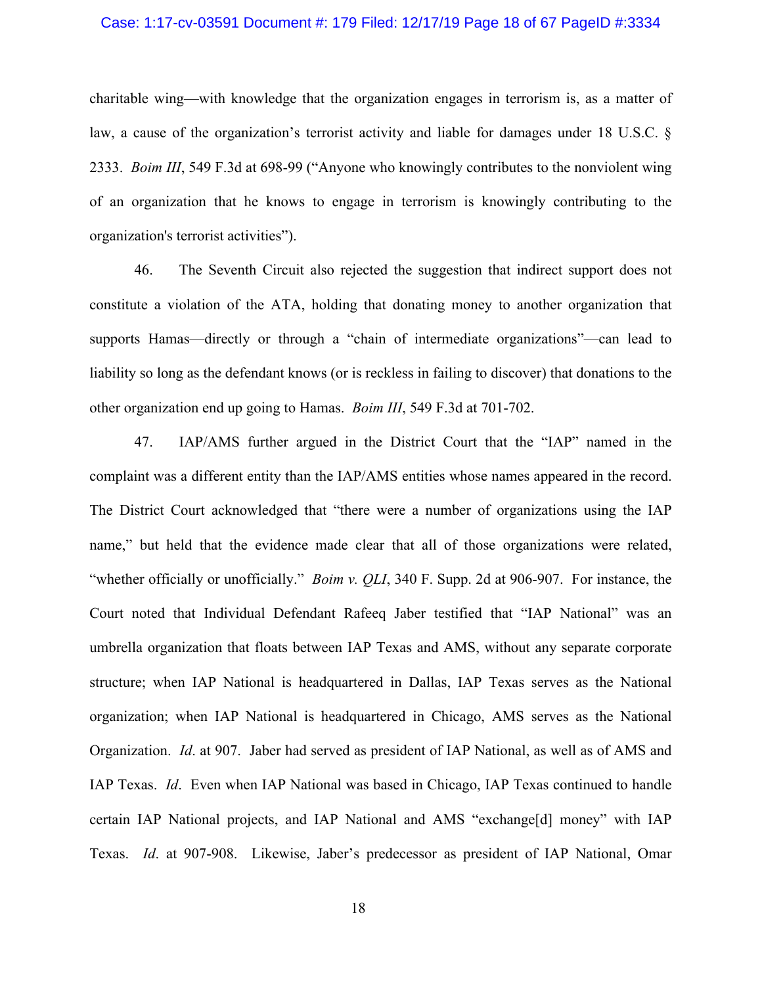### Case: 1:17-cv-03591 Document #: 179 Filed: 12/17/19 Page 18 of 67 PageID #:3334

charitable wing—with knowledge that the organization engages in terrorism is, as a matter of law, a cause of the organization's terrorist activity and liable for damages under 18 U.S.C. § 2333. *Boim III*, 549 F.3d at 698-99 ("Anyone who knowingly contributes to the nonviolent wing of an organization that he knows to engage in terrorism is knowingly contributing to the organization's terrorist activities").

46. The Seventh Circuit also rejected the suggestion that indirect support does not constitute a violation of the ATA, holding that donating money to another organization that supports Hamas—directly or through a "chain of intermediate organizations"—can lead to liability so long as the defendant knows (or is reckless in failing to discover) that donations to the other organization end up going to Hamas. *Boim III*, 549 F.3d at 701-702.

47. IAP/AMS further argued in the District Court that the "IAP" named in the complaint was a different entity than the IAP/AMS entities whose names appeared in the record. The District Court acknowledged that "there were a number of organizations using the IAP name," but held that the evidence made clear that all of those organizations were related, "whether officially or unofficially." *Boim v. QLI*, 340 F. Supp. 2d at 906-907. For instance, the Court noted that Individual Defendant Rafeeq Jaber testified that "IAP National" was an umbrella organization that floats between IAP Texas and AMS, without any separate corporate structure; when IAP National is headquartered in Dallas, IAP Texas serves as the National organization; when IAP National is headquartered in Chicago, AMS serves as the National Organization. *Id*. at 907. Jaber had served as president of IAP National, as well as of AMS and IAP Texas. *Id*. Even when IAP National was based in Chicago, IAP Texas continued to handle certain IAP National projects, and IAP National and AMS "exchange[d] money" with IAP Texas. *Id*. at 907-908. Likewise, Jaber's predecessor as president of IAP National, Omar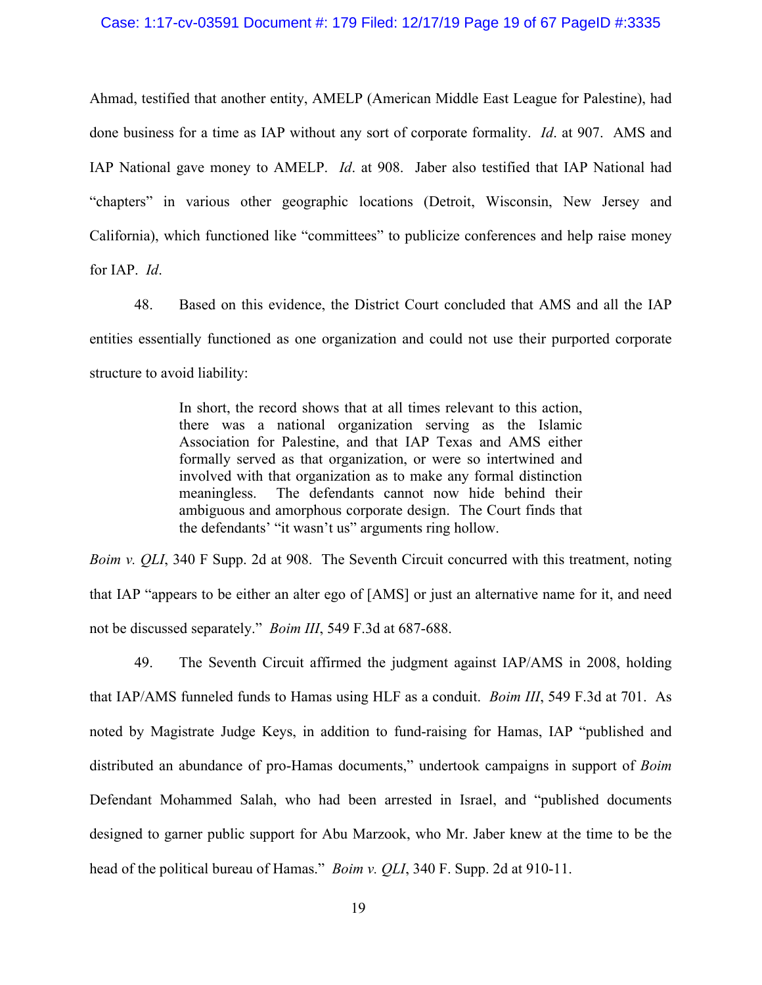#### Case: 1:17-cv-03591 Document #: 179 Filed: 12/17/19 Page 19 of 67 PageID #:3335

Ahmad, testified that another entity, AMELP (American Middle East League for Palestine), had done business for a time as IAP without any sort of corporate formality. *Id*. at 907. AMS and IAP National gave money to AMELP. *Id*. at 908. Jaber also testified that IAP National had "chapters" in various other geographic locations (Detroit, Wisconsin, New Jersey and California), which functioned like "committees" to publicize conferences and help raise money for IAP. *Id*.

48. Based on this evidence, the District Court concluded that AMS and all the IAP entities essentially functioned as one organization and could not use their purported corporate structure to avoid liability:

> In short, the record shows that at all times relevant to this action, there was a national organization serving as the Islamic Association for Palestine, and that IAP Texas and AMS either formally served as that organization, or were so intertwined and involved with that organization as to make any formal distinction meaningless. The defendants cannot now hide behind their ambiguous and amorphous corporate design. The Court finds that the defendants' "it wasn't us" arguments ring hollow.

*Boim v. QLI*, 340 F Supp. 2d at 908. The Seventh Circuit concurred with this treatment, noting that IAP "appears to be either an alter ego of [AMS] or just an alternative name for it, and need not be discussed separately." *Boim III*, 549 F.3d at 687-688.

49. The Seventh Circuit affirmed the judgment against IAP/AMS in 2008, holding that IAP/AMS funneled funds to Hamas using HLF as a conduit. *Boim III*, 549 F.3d at 701. As noted by Magistrate Judge Keys, in addition to fund-raising for Hamas, IAP "published and distributed an abundance of pro-Hamas documents," undertook campaigns in support of *Boim* Defendant Mohammed Salah, who had been arrested in Israel, and "published documents designed to garner public support for Abu Marzook, who Mr. Jaber knew at the time to be the head of the political bureau of Hamas." *Boim v. QLI*, 340 F. Supp. 2d at 910-11.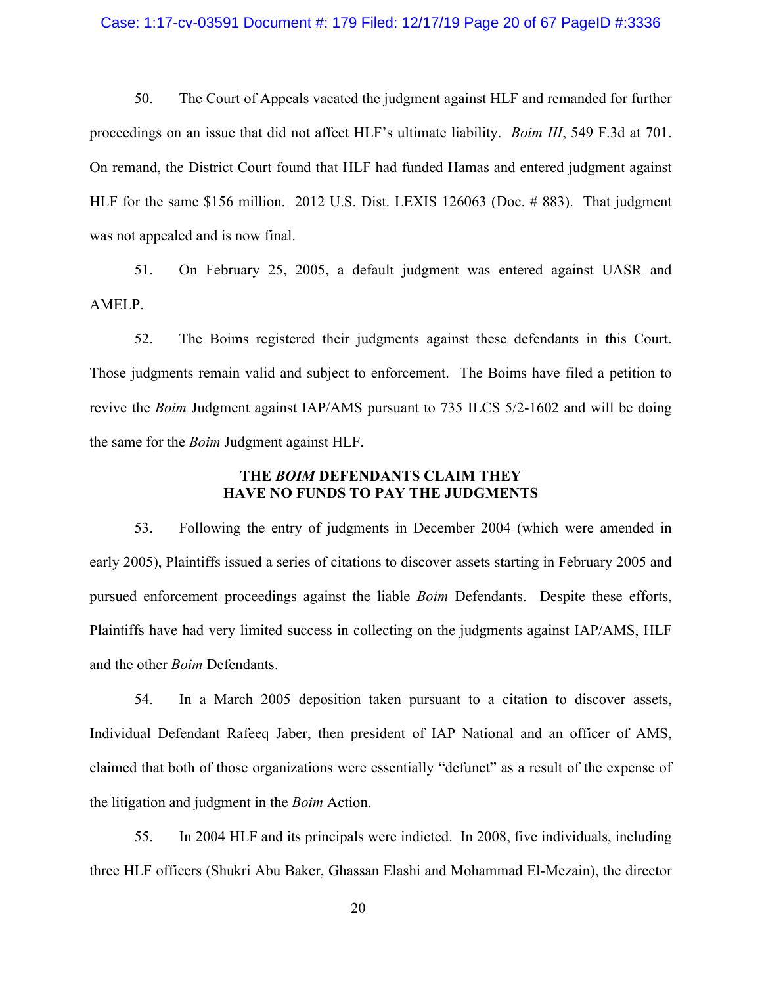### Case: 1:17-cv-03591 Document #: 179 Filed: 12/17/19 Page 20 of 67 PageID #:3336

50. The Court of Appeals vacated the judgment against HLF and remanded for further proceedings on an issue that did not affect HLF's ultimate liability. *Boim III*, 549 F.3d at 701. On remand, the District Court found that HLF had funded Hamas and entered judgment against HLF for the same \$156 million. 2012 U.S. Dist. LEXIS 126063 (Doc. # 883). That judgment was not appealed and is now final.

51. On February 25, 2005, a default judgment was entered against UASR and AMELP.

52. The Boims registered their judgments against these defendants in this Court. Those judgments remain valid and subject to enforcement. The Boims have filed a petition to revive the *Boim* Judgment against IAP/AMS pursuant to 735 ILCS 5/2-1602 and will be doing the same for the *Boim* Judgment against HLF.

# **THE** *BOIM* **DEFENDANTS CLAIM THEY HAVE NO FUNDS TO PAY THE JUDGMENTS**

53. Following the entry of judgments in December 2004 (which were amended in early 2005), Plaintiffs issued a series of citations to discover assets starting in February 2005 and pursued enforcement proceedings against the liable *Boim* Defendants. Despite these efforts, Plaintiffs have had very limited success in collecting on the judgments against IAP/AMS, HLF and the other *Boim* Defendants.

54. In a March 2005 deposition taken pursuant to a citation to discover assets, Individual Defendant Rafeeq Jaber, then president of IAP National and an officer of AMS, claimed that both of those organizations were essentially "defunct" as a result of the expense of the litigation and judgment in the *Boim* Action.

55. In 2004 HLF and its principals were indicted. In 2008, five individuals, including three HLF officers (Shukri Abu Baker, Ghassan Elashi and Mohammad El-Mezain), the director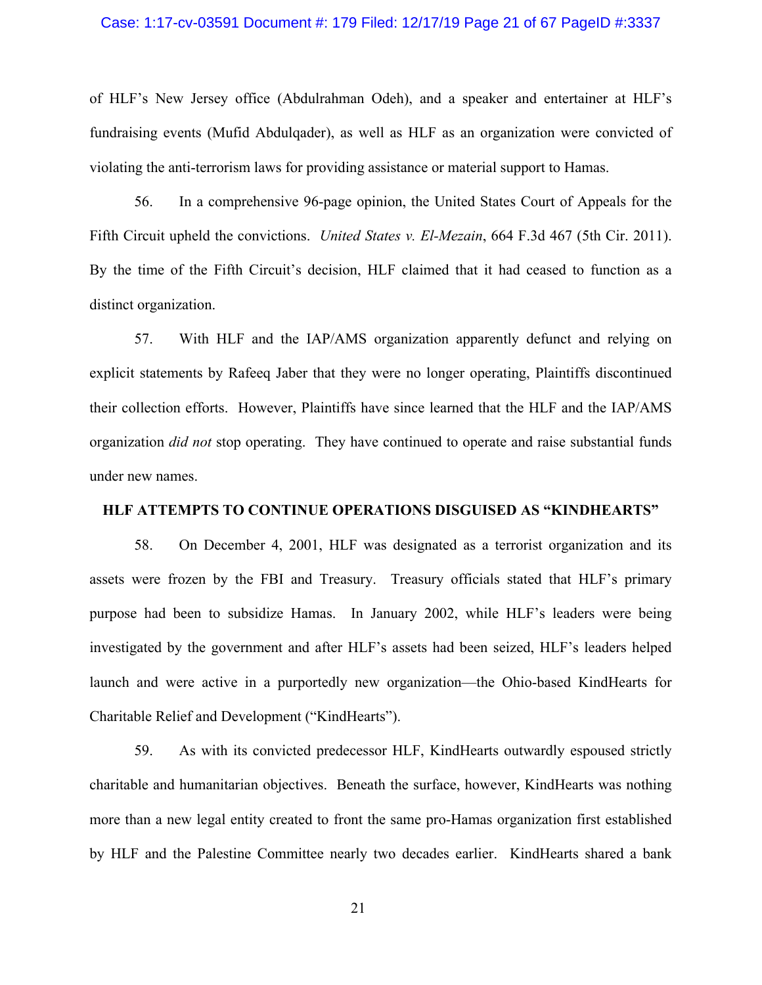#### Case: 1:17-cv-03591 Document #: 179 Filed: 12/17/19 Page 21 of 67 PageID #:3337

of HLF's New Jersey office (Abdulrahman Odeh), and a speaker and entertainer at HLF's fundraising events (Mufid Abdulqader), as well as HLF as an organization were convicted of violating the anti-terrorism laws for providing assistance or material support to Hamas.

56. In a comprehensive 96-page opinion, the United States Court of Appeals for the Fifth Circuit upheld the convictions. *United States v. El-Mezain*, 664 F.3d 467 (5th Cir. 2011). By the time of the Fifth Circuit's decision, HLF claimed that it had ceased to function as a distinct organization.

57. With HLF and the IAP/AMS organization apparently defunct and relying on explicit statements by Rafeeq Jaber that they were no longer operating, Plaintiffs discontinued their collection efforts. However, Plaintiffs have since learned that the HLF and the IAP/AMS organization *did not* stop operating. They have continued to operate and raise substantial funds under new names.

#### **HLF ATTEMPTS TO CONTINUE OPERATIONS DISGUISED AS "KINDHEARTS"**

58. On December 4, 2001, HLF was designated as a terrorist organization and its assets were frozen by the [FBI](https://en.wikipedia.org/wiki/FBI) and Treasury. Treasury officials stated that HLF's primary purpose had been to subsidize Hamas. In January 2002, while HLF's leaders were being investigated by the government and after HLF's assets had been seized, HLF's leaders helped launch and were active in a purportedly new organization—the Ohio-based KindHearts for Charitable Relief and Development ("KindHearts").

59. As with its convicted predecessor HLF, KindHearts outwardly espoused strictly charitable and humanitarian objectives. Beneath the surface, however, KindHearts was nothing more than a new legal entity created to front the same pro-Hamas organization first established by HLF and the Palestine Committee nearly two decades earlier. KindHearts shared a bank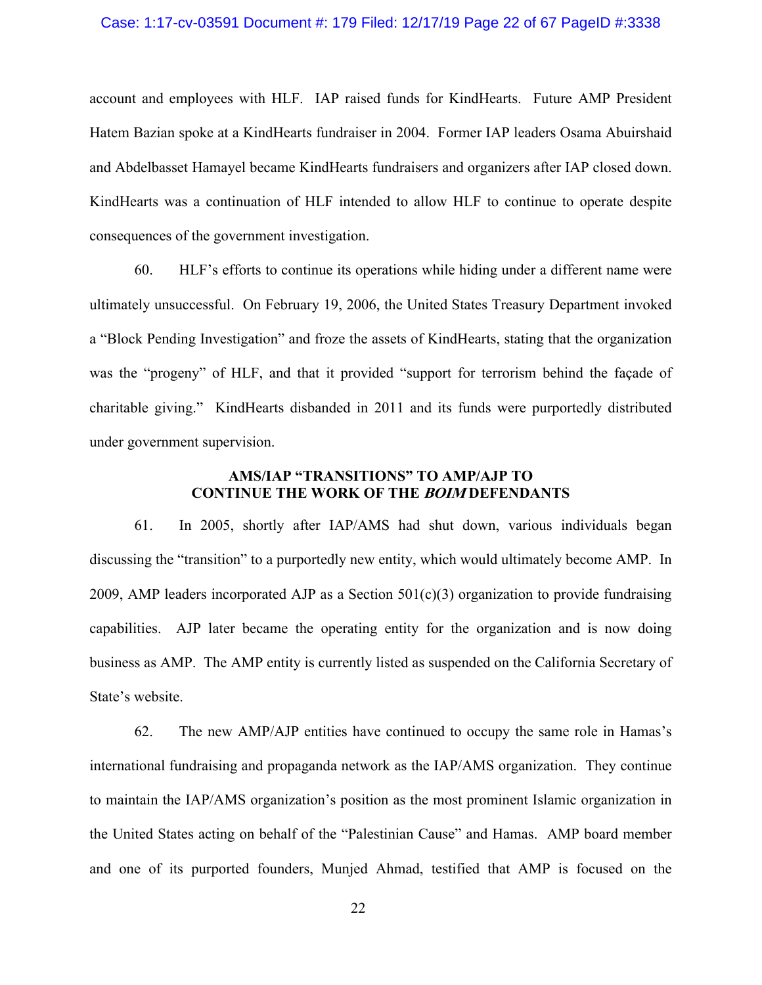### Case: 1:17-cv-03591 Document #: 179 Filed: 12/17/19 Page 22 of 67 PageID #:3338

account and employees with HLF. IAP raised funds for KindHearts. Future AMP President Hatem Bazian spoke at a KindHearts fundraiser in 2004. Former IAP leaders Osama Abuirshaid and Abdelbasset Hamayel became KindHearts fundraisers and organizers after IAP closed down. KindHearts was a continuation of HLF intended to allow HLF to continue to operate despite consequences of the government investigation.

60. HLF's efforts to continue its operations while hiding under a different name were ultimately unsuccessful. On February 19, 2006, the United States Treasury Department invoked a "Block Pending Investigation" and froze the assets of KindHearts, stating that the organization was the "progeny" of HLF, and that it provided "support for terrorism behind the façade of charitable giving." KindHearts disbanded in 2011 and its funds were purportedly distributed under government supervision.

# **AMS/IAP "TRANSITIONS" TO AMP/AJP TO CONTINUE THE WORK OF THE BOIM DEFENDANTS**

61. In 2005, shortly after IAP/AMS had shut down, various individuals began discussing the "transition" to a purportedly new entity, which would ultimately become AMP. In 2009, AMP leaders incorporated AJP as a Section  $501(c)(3)$  organization to provide fundraising capabilities. AJP later became the operating entity for the organization and is now doing business as AMP. The AMP entity is currently listed as suspended on the California Secretary of State's website.

62. The new AMP/AJP entities have continued to occupy the same role in Hamas's international fundraising and propaganda network as the IAP/AMS organization. They continue to maintain the IAP/AMS organization's position as the most prominent Islamic organization in the United States acting on behalf of the "Palestinian Cause" and Hamas. AMP board member and one of its purported founders, Munjed Ahmad, testified that AMP is focused on the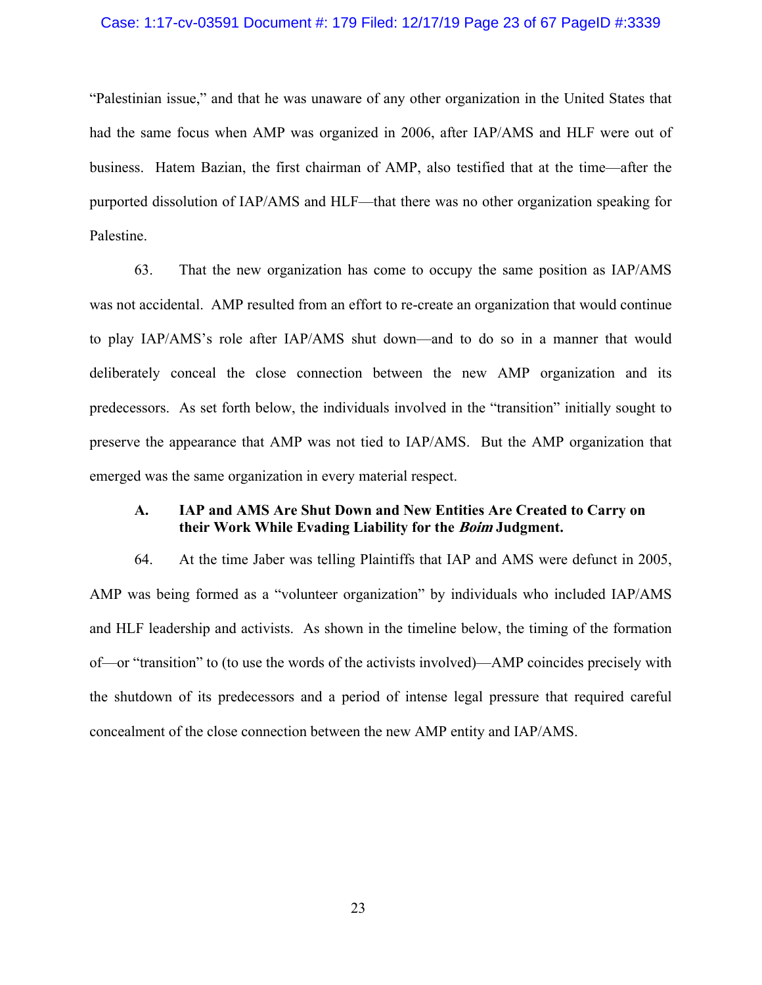# Case: 1:17-cv-03591 Document #: 179 Filed: 12/17/19 Page 23 of 67 PageID #:3339

"Palestinian issue," and that he was unaware of any other organization in the United States that had the same focus when AMP was organized in 2006, after IAP/AMS and HLF were out of business. Hatem Bazian, the first chairman of AMP, also testified that at the time—after the purported dissolution of IAP/AMS and HLF—that there was no other organization speaking for Palestine.

63. That the new organization has come to occupy the same position as IAP/AMS was not accidental. AMP resulted from an effort to re-create an organization that would continue to play IAP/AMS's role after IAP/AMS shut down—and to do so in a manner that would deliberately conceal the close connection between the new AMP organization and its predecessors. As set forth below, the individuals involved in the "transition" initially sought to preserve the appearance that AMP was not tied to IAP/AMS. But the AMP organization that emerged was the same organization in every material respect.

# **A. IAP and AMS Are Shut Down and New Entities Are Created to Carry on their Work While Evading Liability for the Boim Judgment.**

64. At the time Jaber was telling Plaintiffs that IAP and AMS were defunct in 2005, AMP was being formed as a "volunteer organization" by individuals who included IAP/AMS and HLF leadership and activists. As shown in the timeline below, the timing of the formation of—or "transition" to (to use the words of the activists involved)—AMP coincides precisely with the shutdown of its predecessors and a period of intense legal pressure that required careful concealment of the close connection between the new AMP entity and IAP/AMS.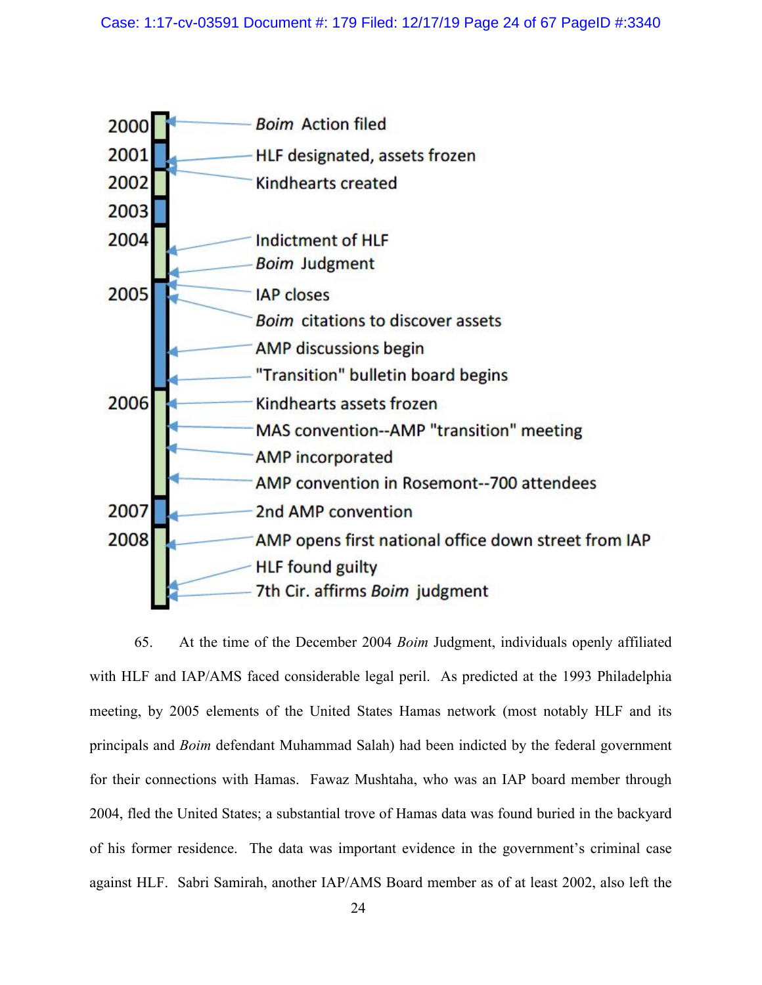

65. At the time of the December 2004 *Boim* Judgment, individuals openly affiliated with HLF and IAP/AMS faced considerable legal peril. As predicted at the 1993 Philadelphia meeting, by 2005 elements of the United States Hamas network (most notably HLF and its principals and *Boim* defendant Muhammad Salah) had been indicted by the federal government for their connections with Hamas. Fawaz Mushtaha, who was an IAP board member through 2004, fled the United States; a substantial trove of Hamas data was found buried in the backyard of his former residence. The data was important evidence in the government's criminal case against HLF. Sabri Samirah, another IAP/AMS Board member as of at least 2002, also left the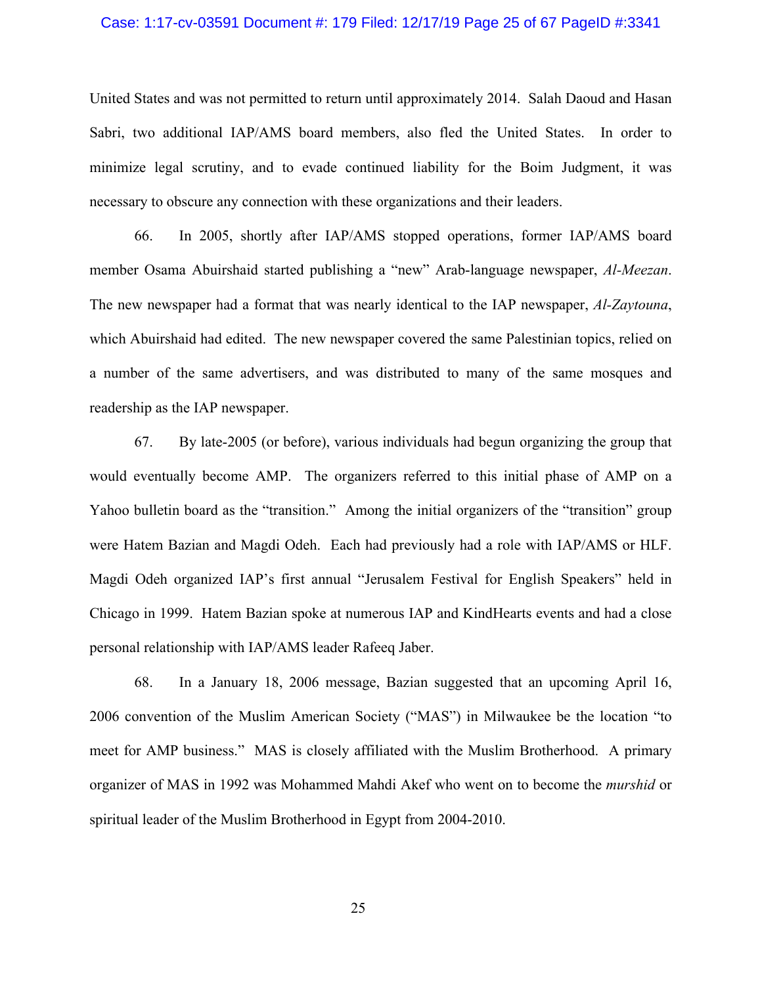#### Case: 1:17-cv-03591 Document #: 179 Filed: 12/17/19 Page 25 of 67 PageID #:3341

United States and was not permitted to return until approximately 2014. Salah Daoud and Hasan Sabri, two additional IAP/AMS board members, also fled the United States. In order to minimize legal scrutiny, and to evade continued liability for the Boim Judgment, it was necessary to obscure any connection with these organizations and their leaders.

66. In 2005, shortly after IAP/AMS stopped operations, former IAP/AMS board member Osama Abuirshaid started publishing a "new" Arab-language newspaper, *Al-Meezan*. The new newspaper had a format that was nearly identical to the IAP newspaper, *Al-Zaytouna*, which Abuirshaid had edited. The new newspaper covered the same Palestinian topics, relied on a number of the same advertisers, and was distributed to many of the same mosques and readership as the IAP newspaper.

67. By late-2005 (or before), various individuals had begun organizing the group that would eventually become AMP. The organizers referred to this initial phase of AMP on a Yahoo bulletin board as the "transition." Among the initial organizers of the "transition" group were Hatem Bazian and Magdi Odeh. Each had previously had a role with IAP/AMS or HLF. Magdi Odeh organized IAP's first annual "Jerusalem Festival for English Speakers" held in Chicago in 1999. Hatem Bazian spoke at numerous IAP and KindHearts events and had a close personal relationship with IAP/AMS leader Rafeeq Jaber.

68. In a January 18, 2006 message, Bazian suggested that an upcoming April 16, 2006 convention of the Muslim American Society ("MAS") in Milwaukee be the location "to meet for AMP business." MAS is closely affiliated with the Muslim Brotherhood. A primary organizer of MAS in 1992 was Mohammed Mahdi Akef who went on to become the *murshid* or spiritual leader of the Muslim Brotherhood in Egypt from 2004-2010.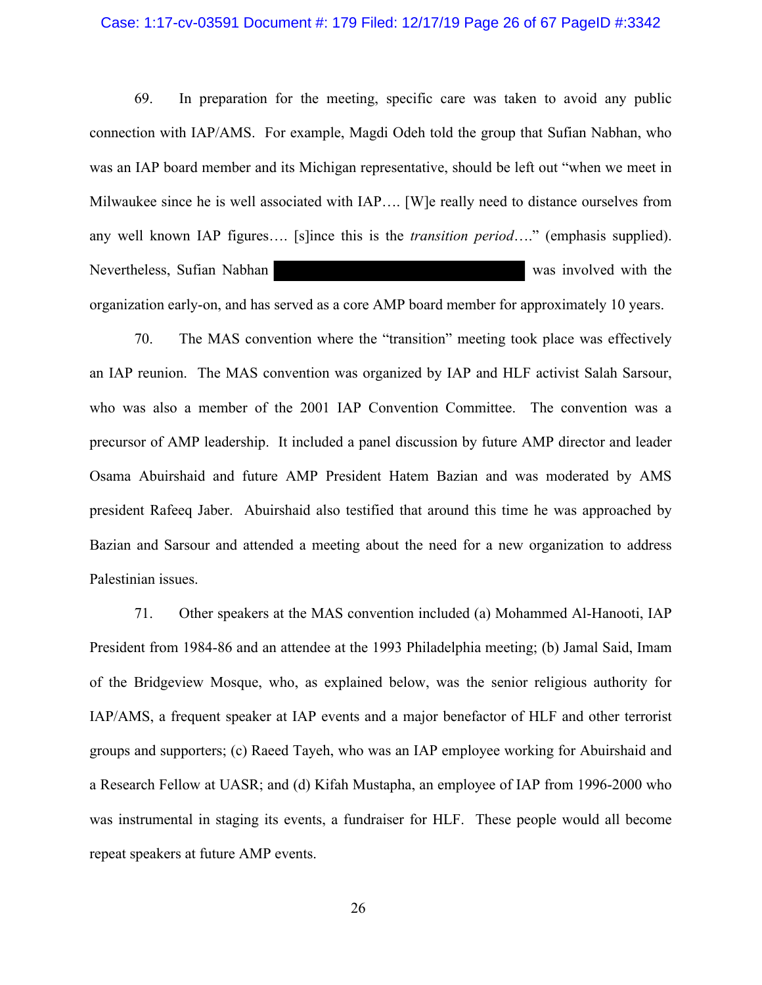#### Case: 1:17-cv-03591 Document #: 179 Filed: 12/17/19 Page 26 of 67 PageID #:3342

69. In preparation for the meeting, specific care was taken to avoid any public connection with IAP/AMS. For example, Magdi Odeh told the group that Sufian Nabhan, who was an IAP board member and its Michigan representative, should be left out "when we meet in Milwaukee since he is well associated with IAP…. [W]e really need to distance ourselves from any well known IAP figures…. [s]ince this is the *transition period*…." (emphasis supplied). Nevertheless, Sufian Nabhan was involved with the organization early-on, and has served as a core AMP board member for approximately 10 years.

70. The MAS convention where the "transition" meeting took place was effectively an IAP reunion. The MAS convention was organized by IAP and HLF activist Salah Sarsour, who was also a member of the 2001 IAP Convention Committee. The convention was a precursor of AMP leadership. It included a panel discussion by future AMP director and leader Osama Abuirshaid and future AMP President Hatem Bazian and was moderated by AMS president Rafeeq Jaber. Abuirshaid also testified that around this time he was approached by Bazian and Sarsour and attended a meeting about the need for a new organization to address Palestinian issues.

71. Other speakers at the MAS convention included (a) Mohammed Al-Hanooti, IAP President from 1984-86 and an attendee at the 1993 Philadelphia meeting; (b) Jamal Said, Imam of the Bridgeview Mosque, who, as explained below, was the senior religious authority for IAP/AMS, a frequent speaker at IAP events and a major benefactor of HLF and other terrorist groups and supporters; (c) Raeed Tayeh, who was an IAP employee working for Abuirshaid and a Research Fellow at UASR; and (d) Kifah Mustapha, an employee of IAP from 1996-2000 who was instrumental in staging its events, a fundraiser for HLF. These people would all become repeat speakers at future AMP events.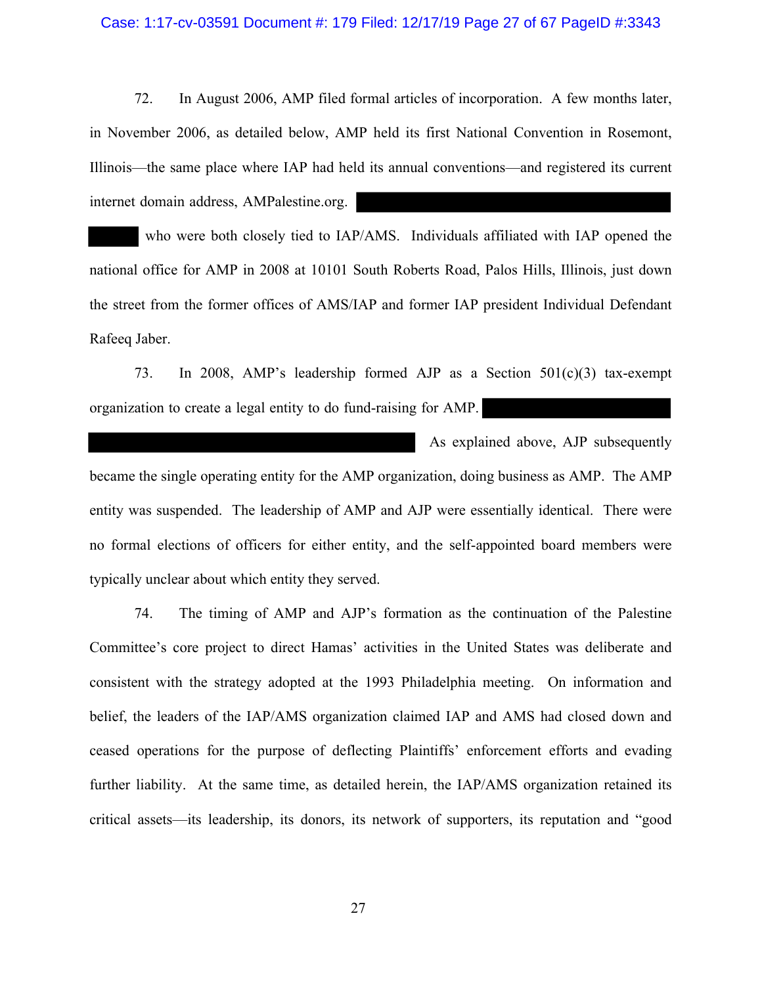#### Case: 1:17-cv-03591 Document #: 179 Filed: 12/17/19 Page 27 of 67 PageID #:3343

72. In August 2006, AMP filed formal articles of incorporation. A few months later, in November 2006, as detailed below, AMP held its first National Convention in Rosemont, Illinois—the same place where IAP had held its annual conventions—and registered its current internet domain address, AMPalestine.org.

 who were both closely tied to IAP/AMS. Individuals affiliated with IAP opened the national office for AMP in 2008 at 10101 South Roberts Road, Palos Hills, Illinois, just down the street from the former offices of AMS/IAP and former IAP president Individual Defendant Rafeeq Jaber.

73. In 2008, AMP's leadership formed AJP as a Section 501(c)(3) tax-exempt organization to create a legal entity to do fund-raising for AMP.

 As explained above, AJP subsequently became the single operating entity for the AMP organization, doing business as AMP. The AMP entity was suspended. The leadership of AMP and AJP were essentially identical. There were no formal elections of officers for either entity, and the self-appointed board members were typically unclear about which entity they served.

74. The timing of AMP and AJP's formation as the continuation of the Palestine Committee's core project to direct Hamas' activities in the United States was deliberate and consistent with the strategy adopted at the 1993 Philadelphia meeting. On information and belief, the leaders of the IAP/AMS organization claimed IAP and AMS had closed down and ceased operations for the purpose of deflecting Plaintiffs' enforcement efforts and evading further liability. At the same time, as detailed herein, the IAP/AMS organization retained its critical assets—its leadership, its donors, its network of supporters, its reputation and "good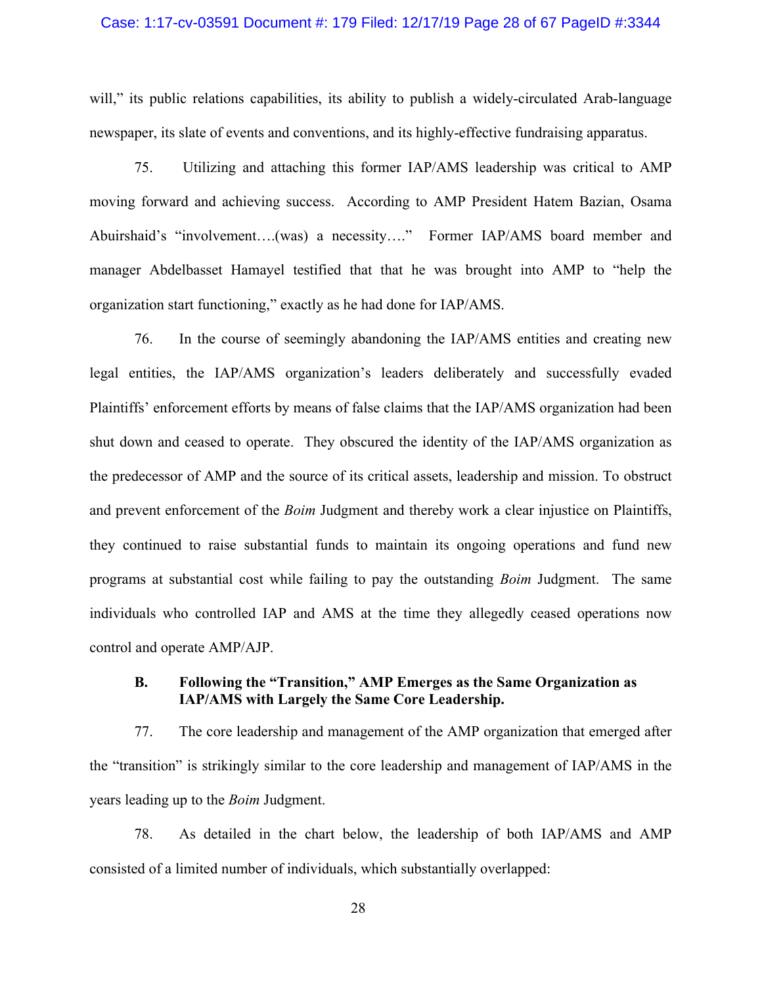### Case: 1:17-cv-03591 Document #: 179 Filed: 12/17/19 Page 28 of 67 PageID #:3344

will," its public relations capabilities, its ability to publish a widely-circulated Arab-language newspaper, its slate of events and conventions, and its highly-effective fundraising apparatus.

75. Utilizing and attaching this former IAP/AMS leadership was critical to AMP moving forward and achieving success. According to AMP President Hatem Bazian, Osama Abuirshaid's "involvement….(was) a necessity…." Former IAP/AMS board member and manager Abdelbasset Hamayel testified that that he was brought into AMP to "help the organization start functioning," exactly as he had done for IAP/AMS.

76. In the course of seemingly abandoning the IAP/AMS entities and creating new legal entities, the IAP/AMS organization's leaders deliberately and successfully evaded Plaintiffs' enforcement efforts by means of false claims that the IAP/AMS organization had been shut down and ceased to operate. They obscured the identity of the IAP/AMS organization as the predecessor of AMP and the source of its critical assets, leadership and mission. To obstruct and prevent enforcement of the *Boim* Judgment and thereby work a clear injustice on Plaintiffs, they continued to raise substantial funds to maintain its ongoing operations and fund new programs at substantial cost while failing to pay the outstanding *Boim* Judgment. The same individuals who controlled IAP and AMS at the time they allegedly ceased operations now control and operate AMP/AJP.

# **B. Following the "Transition," AMP Emerges as the Same Organization as IAP/AMS with Largely the Same Core Leadership.**

77. The core leadership and management of the AMP organization that emerged after the "transition" is strikingly similar to the core leadership and management of IAP/AMS in the years leading up to the *Boim* Judgment.

78. As detailed in the chart below, the leadership of both IAP/AMS and AMP consisted of a limited number of individuals, which substantially overlapped:

28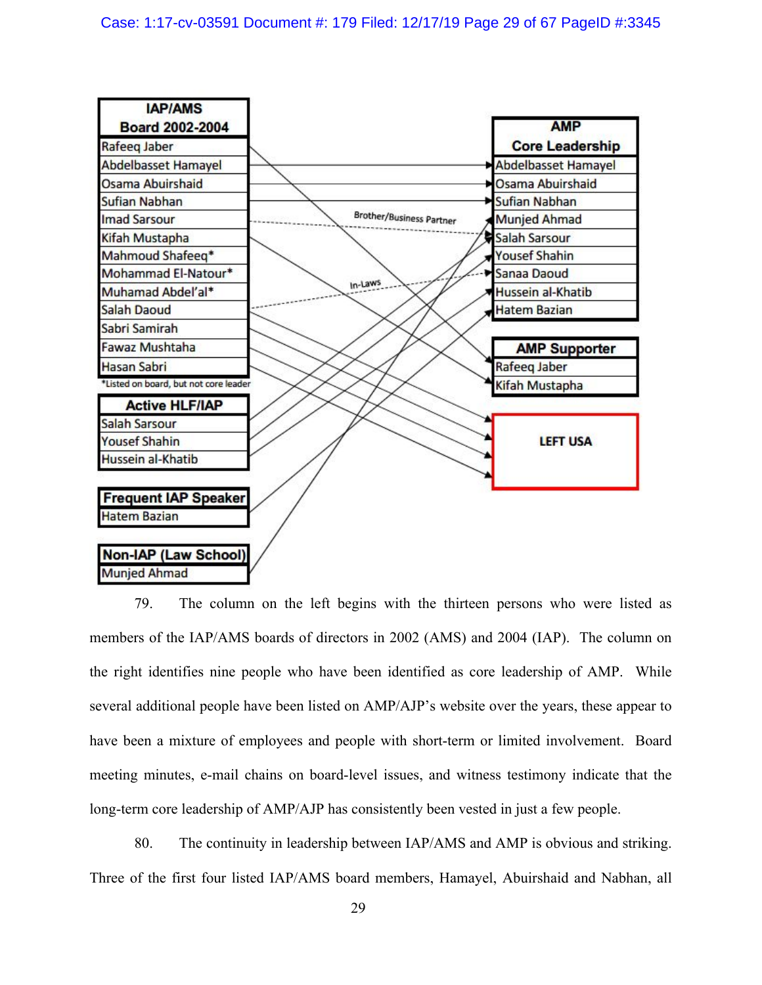

79. The column on the left begins with the thirteen persons who were listed as members of the IAP/AMS boards of directors in 2002 (AMS) and 2004 (IAP). The column on the right identifies nine people who have been identified as core leadership of AMP. While several additional people have been listed on AMP/AJP's website over the years, these appear to have been a mixture of employees and people with short-term or limited involvement. Board meeting minutes, e-mail chains on board-level issues, and witness testimony indicate that the long-term core leadership of AMP/AJP has consistently been vested in just a few people.

80. The continuity in leadership between IAP/AMS and AMP is obvious and striking. Three of the first four listed IAP/AMS board members, Hamayel, Abuirshaid and Nabhan, all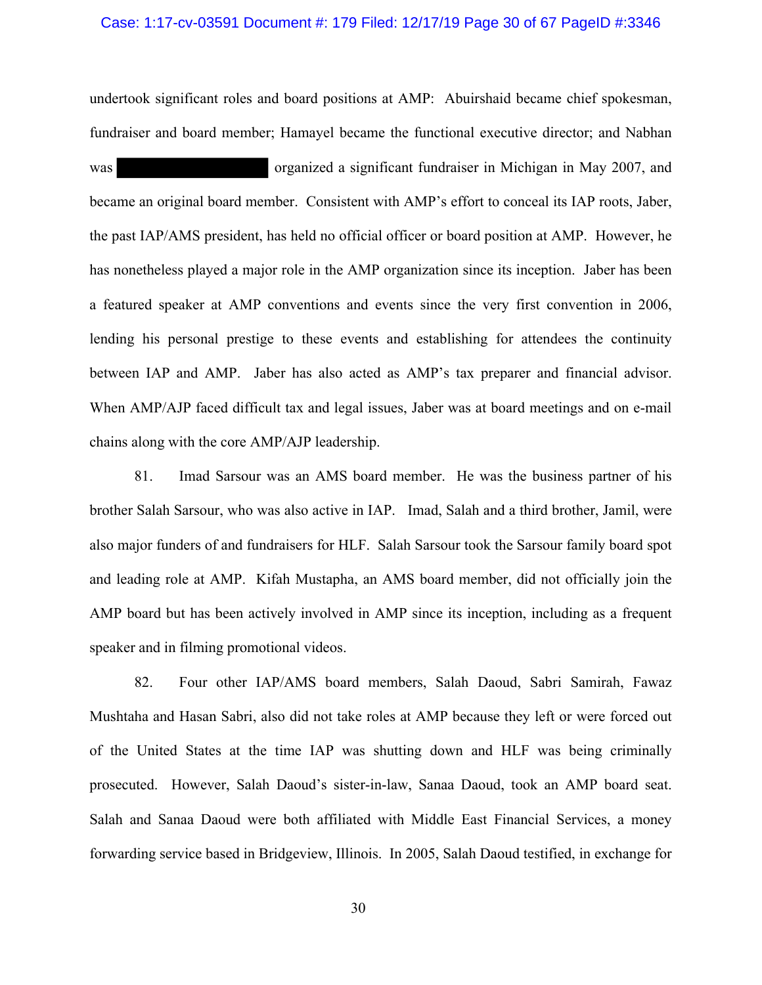#### Case: 1:17-cv-03591 Document #: 179 Filed: 12/17/19 Page 30 of 67 PageID #:3346

undertook significant roles and board positions at AMP: Abuirshaid became chief spokesman, fundraiser and board member; Hamayel became the functional executive director; and Nabhan

was organized a significant fundraiser in Michigan in May 2007, and became an original board member. Consistent with AMP's effort to conceal its IAP roots, Jaber, the past IAP/AMS president, has held no official officer or board position at AMP. However, he has nonetheless played a major role in the AMP organization since its inception. Jaber has been a featured speaker at AMP conventions and events since the very first convention in 2006, lending his personal prestige to these events and establishing for attendees the continuity between IAP and AMP. Jaber has also acted as AMP's tax preparer and financial advisor. When AMP/AJP faced difficult tax and legal issues, Jaber was at board meetings and on e-mail chains along with the core AMP/AJP leadership.

81. Imad Sarsour was an AMS board member. He was the business partner of his brother Salah Sarsour, who was also active in IAP. Imad, Salah and a third brother, Jamil, were also major funders of and fundraisers for HLF. Salah Sarsour took the Sarsour family board spot and leading role at AMP. Kifah Mustapha, an AMS board member, did not officially join the AMP board but has been actively involved in AMP since its inception, including as a frequent speaker and in filming promotional videos.

82. Four other IAP/AMS board members, Salah Daoud, Sabri Samirah, Fawaz Mushtaha and Hasan Sabri, also did not take roles at AMP because they left or were forced out of the United States at the time IAP was shutting down and HLF was being criminally prosecuted. However, Salah Daoud's sister-in-law, Sanaa Daoud, took an AMP board seat. Salah and Sanaa Daoud were both affiliated with Middle East Financial Services, a money forwarding service based in Bridgeview, Illinois. In 2005, Salah Daoud testified, in exchange for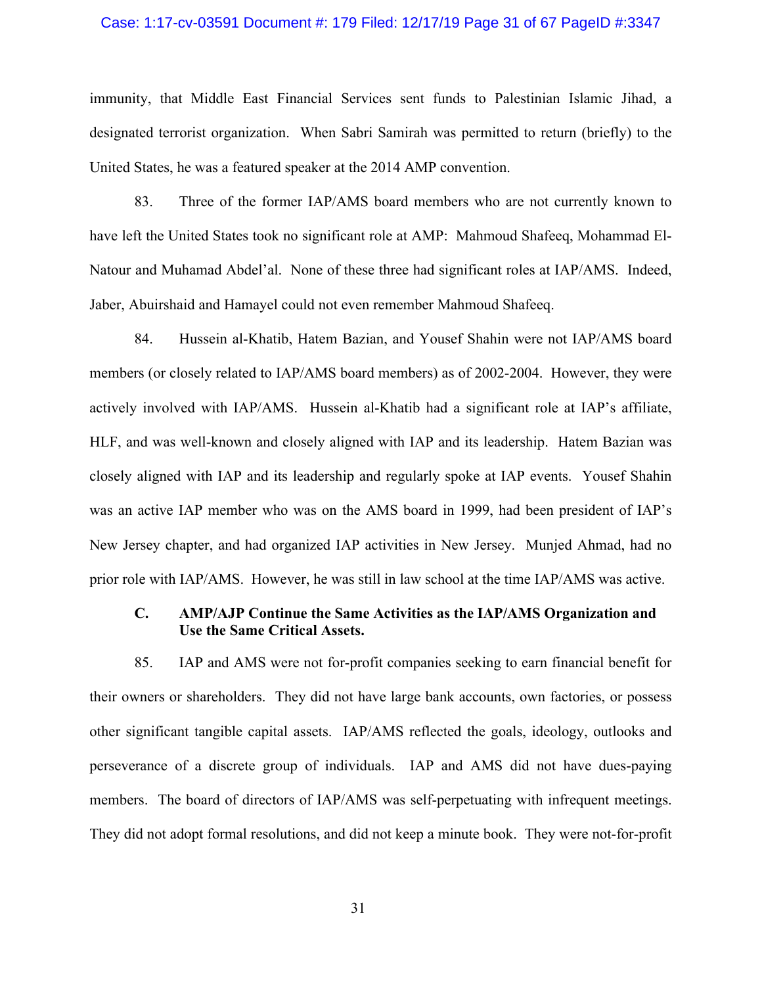#### Case: 1:17-cv-03591 Document #: 179 Filed: 12/17/19 Page 31 of 67 PageID #:3347

immunity, that Middle East Financial Services sent funds to Palestinian Islamic Jihad, a designated terrorist organization. When Sabri Samirah was permitted to return (briefly) to the United States, he was a featured speaker at the 2014 AMP convention.

83. Three of the former IAP/AMS board members who are not currently known to have left the United States took no significant role at AMP: Mahmoud Shafeeq, Mohammad El-Natour and Muhamad Abdel'al. None of these three had significant roles at IAP/AMS. Indeed, Jaber, Abuirshaid and Hamayel could not even remember Mahmoud Shafeeq.

84. Hussein al-Khatib, Hatem Bazian, and Yousef Shahin were not IAP/AMS board members (or closely related to IAP/AMS board members) as of 2002-2004. However, they were actively involved with IAP/AMS. Hussein al-Khatib had a significant role at IAP's affiliate, HLF, and was well-known and closely aligned with IAP and its leadership. Hatem Bazian was closely aligned with IAP and its leadership and regularly spoke at IAP events. Yousef Shahin was an active IAP member who was on the AMS board in 1999, had been president of IAP's New Jersey chapter, and had organized IAP activities in New Jersey. Munjed Ahmad, had no prior role with IAP/AMS. However, he was still in law school at the time IAP/AMS was active.

# **C. AMP/AJP Continue the Same Activities as the IAP/AMS Organization and Use the Same Critical Assets.**

85. IAP and AMS were not for-profit companies seeking to earn financial benefit for their owners or shareholders. They did not have large bank accounts, own factories, or possess other significant tangible capital assets. IAP/AMS reflected the goals, ideology, outlooks and perseverance of a discrete group of individuals. IAP and AMS did not have dues-paying members. The board of directors of IAP/AMS was self-perpetuating with infrequent meetings. They did not adopt formal resolutions, and did not keep a minute book. They were not-for-profit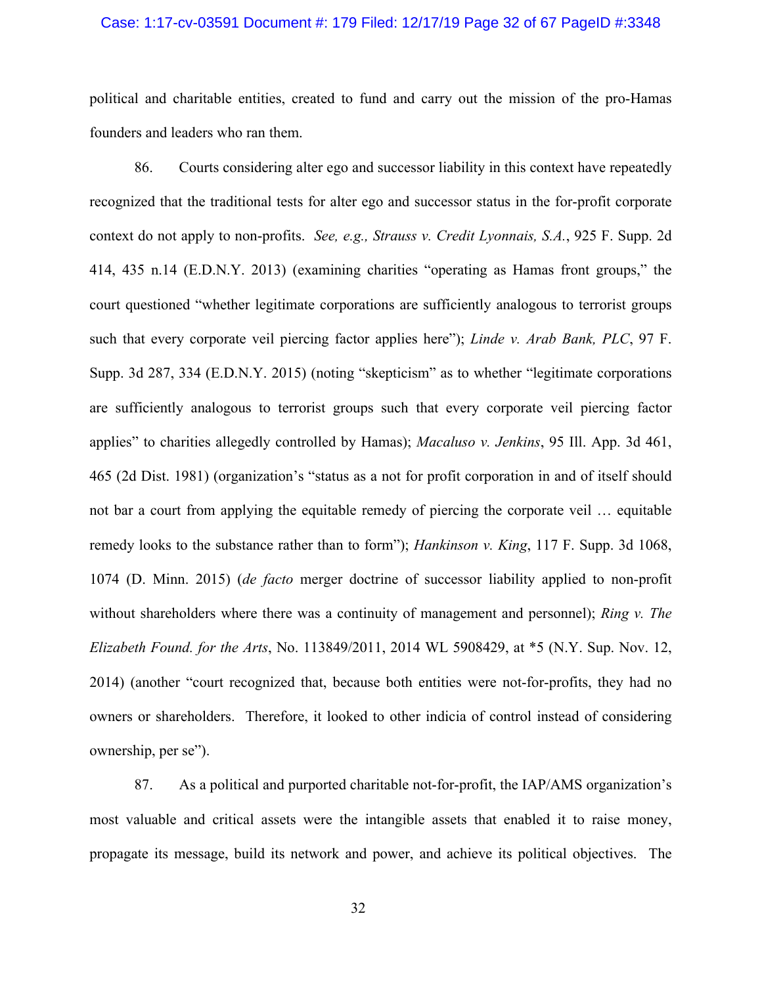# Case: 1:17-cv-03591 Document #: 179 Filed: 12/17/19 Page 32 of 67 PageID #:3348

political and charitable entities, created to fund and carry out the mission of the pro-Hamas founders and leaders who ran them.

86. Courts considering alter ego and successor liability in this context have repeatedly recognized that the traditional tests for alter ego and successor status in the for-profit corporate context do not apply to non-profits. *See, e.g., Strauss v. Credit Lyonnais, S.A.*, 925 F. Supp. 2d 414, 435 n.14 (E.D.N.Y. 2013) (examining charities "operating as Hamas front groups," the court questioned "whether legitimate corporations are sufficiently analogous to terrorist groups such that every corporate veil piercing factor applies here"); *Linde v. Arab Bank, PLC*, 97 F. Supp. 3d 287, 334 (E.D.N.Y. 2015) (noting "skepticism" as to whether "legitimate corporations are sufficiently analogous to terrorist groups such that every corporate veil piercing factor applies" to charities allegedly controlled by Hamas); *Macaluso v. Jenkins*, 95 Ill. App. 3d 461, 465 (2d Dist. 1981) (organization's "status as a not for profit corporation in and of itself should not bar a court from applying the equitable remedy of piercing the corporate veil … equitable remedy looks to the substance rather than to form"); *Hankinson v. King*, 117 F. Supp. 3d 1068, 1074 (D. Minn. 2015) (*de facto* merger doctrine of successor liability applied to non-profit without shareholders where there was a continuity of management and personnel); *Ring v. The Elizabeth Found. for the Arts*, No. 113849/2011, 2014 WL 5908429, at \*5 (N.Y. Sup. Nov. 12, 2014) (another "court recognized that, because both entities were not-for-profits, they had no owners or shareholders. Therefore, it looked to other indicia of control instead of considering ownership, per se").

87. As a political and purported charitable not-for-profit, the IAP/AMS organization's most valuable and critical assets were the intangible assets that enabled it to raise money, propagate its message, build its network and power, and achieve its political objectives. The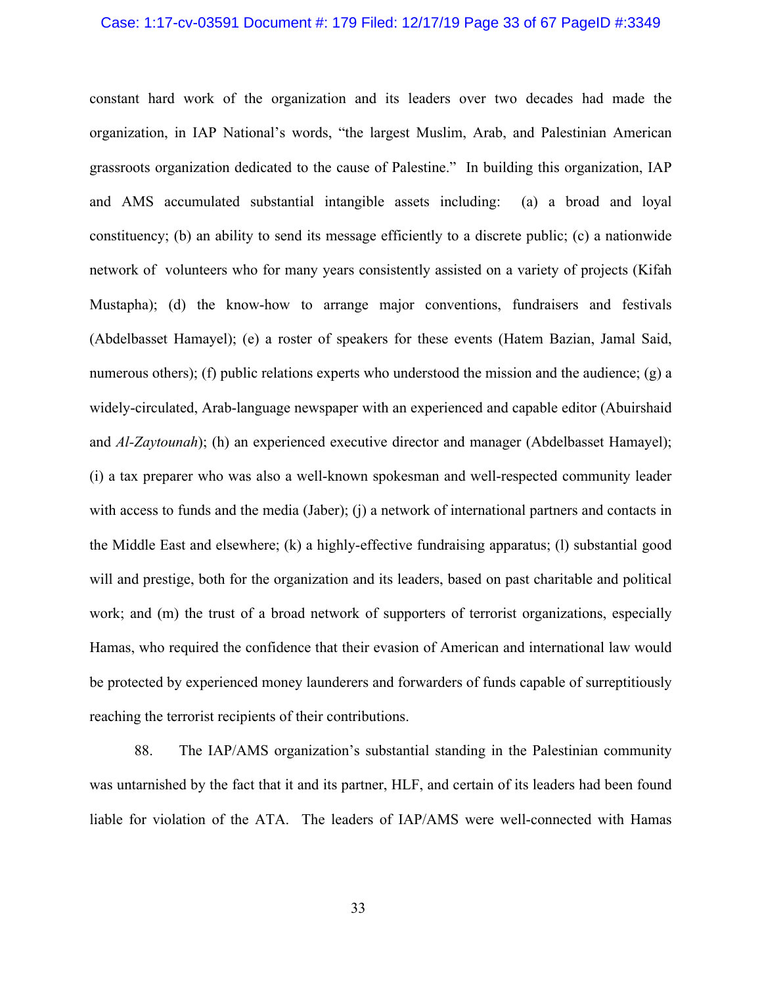# Case: 1:17-cv-03591 Document #: 179 Filed: 12/17/19 Page 33 of 67 PageID #:3349

constant hard work of the organization and its leaders over two decades had made the organization, in IAP National's words, "the largest Muslim, Arab, and Palestinian American grassroots organization dedicated to the cause of Palestine." In building this organization, IAP and AMS accumulated substantial intangible assets including: (a) a broad and loyal constituency; (b) an ability to send its message efficiently to a discrete public; (c) a nationwide network of volunteers who for many years consistently assisted on a variety of projects (Kifah Mustapha); (d) the know-how to arrange major conventions, fundraisers and festivals (Abdelbasset Hamayel); (e) a roster of speakers for these events (Hatem Bazian, Jamal Said, numerous others); (f) public relations experts who understood the mission and the audience; (g) a widely-circulated, Arab-language newspaper with an experienced and capable editor (Abuirshaid and *Al-Zaytounah*); (h) an experienced executive director and manager (Abdelbasset Hamayel); (i) a tax preparer who was also a well-known spokesman and well-respected community leader with access to funds and the media (Jaber); (j) a network of international partners and contacts in the Middle East and elsewhere; (k) a highly-effective fundraising apparatus; (l) substantial good will and prestige, both for the organization and its leaders, based on past charitable and political work; and (m) the trust of a broad network of supporters of terrorist organizations, especially Hamas, who required the confidence that their evasion of American and international law would be protected by experienced money launderers and forwarders of funds capable of surreptitiously reaching the terrorist recipients of their contributions.

88. The IAP/AMS organization's substantial standing in the Palestinian community was untarnished by the fact that it and its partner, HLF, and certain of its leaders had been found liable for violation of the ATA. The leaders of IAP/AMS were well-connected with Hamas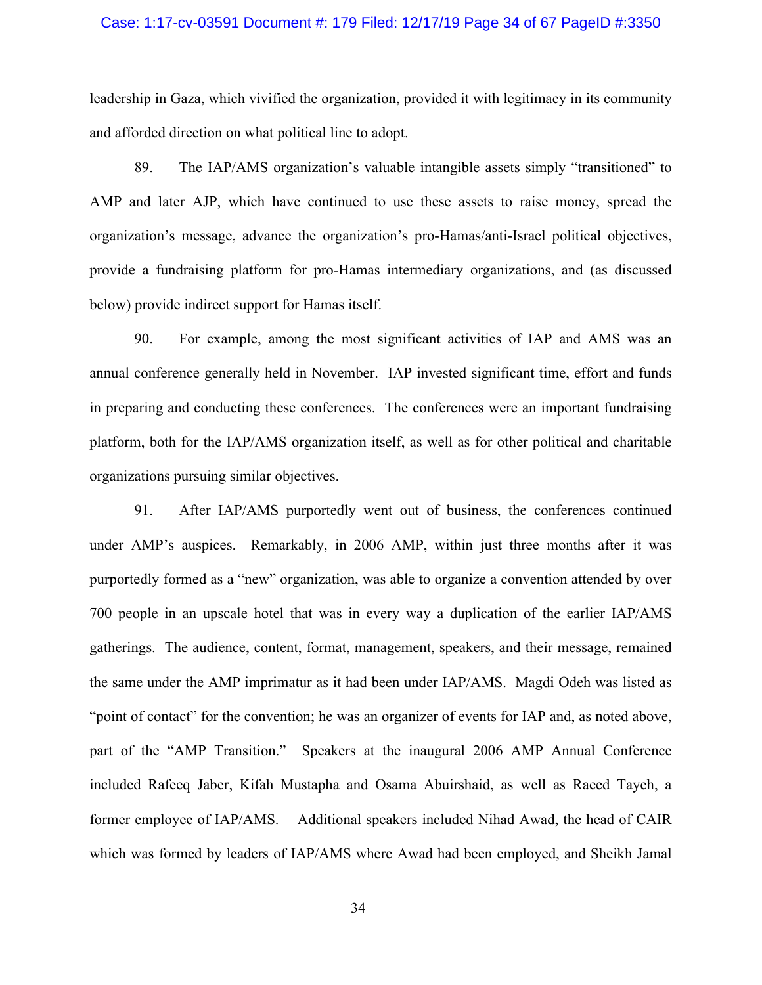### Case: 1:17-cv-03591 Document #: 179 Filed: 12/17/19 Page 34 of 67 PageID #:3350

leadership in Gaza, which vivified the organization, provided it with legitimacy in its community and afforded direction on what political line to adopt.

89. The IAP/AMS organization's valuable intangible assets simply "transitioned" to AMP and later AJP, which have continued to use these assets to raise money, spread the organization's message, advance the organization's pro-Hamas/anti-Israel political objectives, provide a fundraising platform for pro-Hamas intermediary organizations, and (as discussed below) provide indirect support for Hamas itself.

90. For example, among the most significant activities of IAP and AMS was an annual conference generally held in November. IAP invested significant time, effort and funds in preparing and conducting these conferences. The conferences were an important fundraising platform, both for the IAP/AMS organization itself, as well as for other political and charitable organizations pursuing similar objectives.

91. After IAP/AMS purportedly went out of business, the conferences continued under AMP's auspices. Remarkably, in 2006 AMP, within just three months after it was purportedly formed as a "new" organization, was able to organize a convention attended by over 700 people in an upscale hotel that was in every way a duplication of the earlier IAP/AMS gatherings. The audience, content, format, management, speakers, and their message, remained the same under the AMP imprimatur as it had been under IAP/AMS. Magdi Odeh was listed as "point of contact" for the convention; he was an organizer of events for IAP and, as noted above, part of the "AMP Transition." Speakers at the inaugural 2006 AMP Annual Conference included Rafeeq Jaber, Kifah Mustapha and Osama Abuirshaid, as well as Raeed Tayeh, a former employee of IAP/AMS. Additional speakers included Nihad Awad, the head of CAIR which was formed by leaders of IAP/AMS where Awad had been employed, and Sheikh Jamal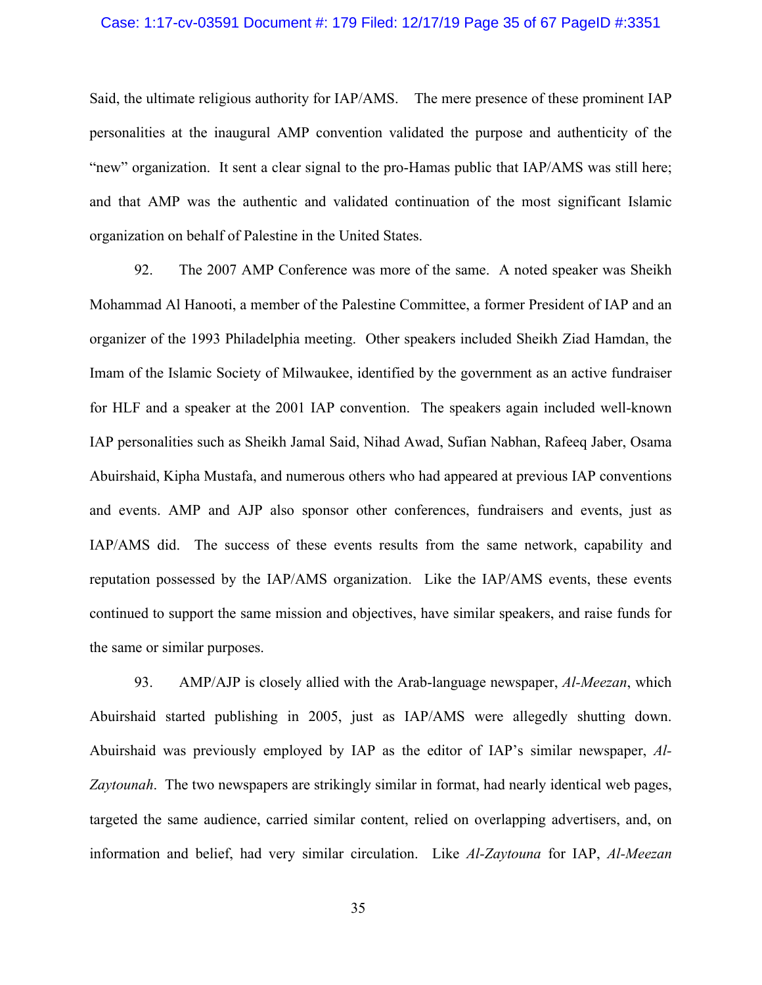### Case: 1:17-cv-03591 Document #: 179 Filed: 12/17/19 Page 35 of 67 PageID #:3351

Said, the ultimate religious authority for IAP/AMS. The mere presence of these prominent IAP personalities at the inaugural AMP convention validated the purpose and authenticity of the "new" organization. It sent a clear signal to the pro-Hamas public that IAP/AMS was still here; and that AMP was the authentic and validated continuation of the most significant Islamic organization on behalf of Palestine in the United States.

92. The 2007 AMP Conference was more of the same. A noted speaker was Sheikh Mohammad Al Hanooti, a member of the Palestine Committee, a former President of IAP and an organizer of the 1993 Philadelphia meeting. Other speakers included Sheikh Ziad Hamdan, the Imam of the Islamic Society of Milwaukee, identified by the government as an active fundraiser for HLF and a speaker at the 2001 IAP convention. The speakers again included well-known IAP personalities such as Sheikh Jamal Said, Nihad Awad, Sufian Nabhan, Rafeeq Jaber, Osama Abuirshaid, Kipha Mustafa, and numerous others who had appeared at previous IAP conventions and events. AMP and AJP also sponsor other conferences, fundraisers and events, just as IAP/AMS did. The success of these events results from the same network, capability and reputation possessed by the IAP/AMS organization. Like the IAP/AMS events, these events continued to support the same mission and objectives, have similar speakers, and raise funds for the same or similar purposes.

93. AMP/AJP is closely allied with the Arab-language newspaper, *Al-Meezan*, which Abuirshaid started publishing in 2005, just as IAP/AMS were allegedly shutting down. Abuirshaid was previously employed by IAP as the editor of IAP's similar newspaper, *Al-Zaytounah*. The two newspapers are strikingly similar in format, had nearly identical web pages, targeted the same audience, carried similar content, relied on overlapping advertisers, and, on information and belief, had very similar circulation. Like *Al-Zaytouna* for IAP, *Al-Meezan*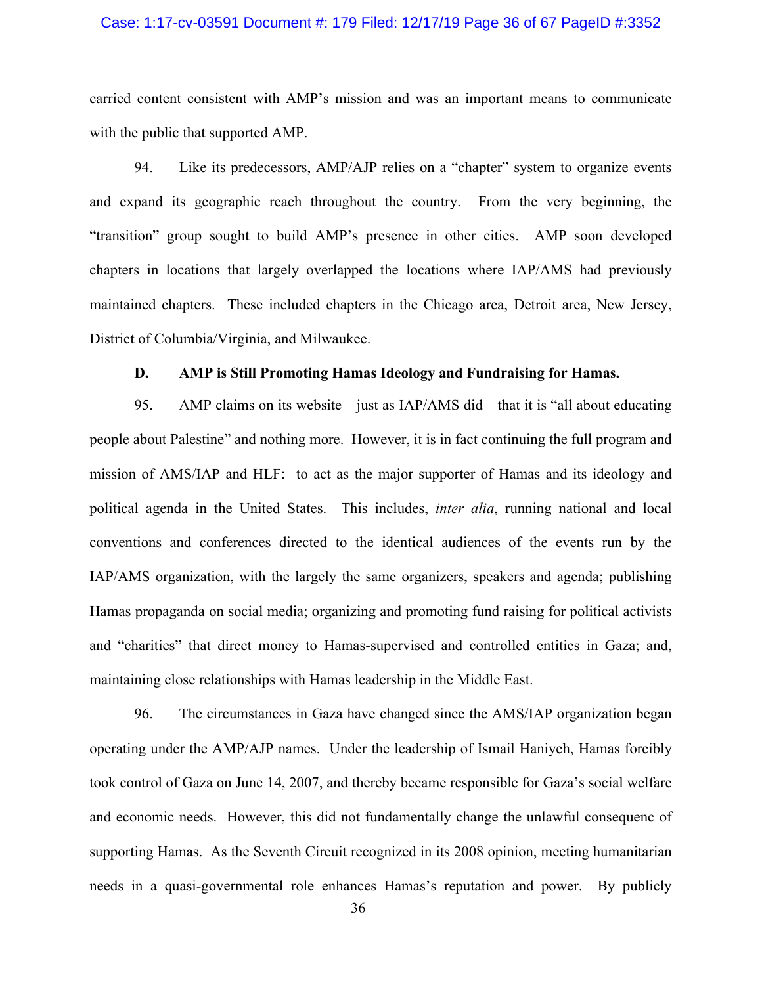### Case: 1:17-cv-03591 Document #: 179 Filed: 12/17/19 Page 36 of 67 PageID #:3352

carried content consistent with AMP's mission and was an important means to communicate with the public that supported AMP.

94. Like its predecessors, AMP/AJP relies on a "chapter" system to organize events and expand its geographic reach throughout the country. From the very beginning, the "transition" group sought to build AMP's presence in other cities. AMP soon developed chapters in locations that largely overlapped the locations where IAP/AMS had previously maintained chapters. These included chapters in the Chicago area, Detroit area, New Jersey, District of Columbia/Virginia, and Milwaukee.

### **D. AMP is Still Promoting Hamas Ideology and Fundraising for Hamas.**

95. AMP claims on its website—just as IAP/AMS did—that it is "all about educating people about Palestine" and nothing more. However, it is in fact continuing the full program and mission of AMS/IAP and HLF: to act as the major supporter of Hamas and its ideology and political agenda in the United States. This includes, *inter alia*, running national and local conventions and conferences directed to the identical audiences of the events run by the IAP/AMS organization, with the largely the same organizers, speakers and agenda; publishing Hamas propaganda on social media; organizing and promoting fund raising for political activists and "charities" that direct money to Hamas-supervised and controlled entities in Gaza; and, maintaining close relationships with Hamas leadership in the Middle East.

96. The circumstances in Gaza have changed since the AMS/IAP organization began operating under the AMP/AJP names. Under the leadership of Ismail Haniyeh, Hamas forcibly took control of Gaza on June 14, 2007, and thereby became responsible for Gaza's social welfare and economic needs. However, this did not fundamentally change the unlawful consequenc of supporting Hamas. As the Seventh Circuit recognized in its 2008 opinion, meeting humanitarian needs in a quasi-governmental role enhances Hamas's reputation and power. By publicly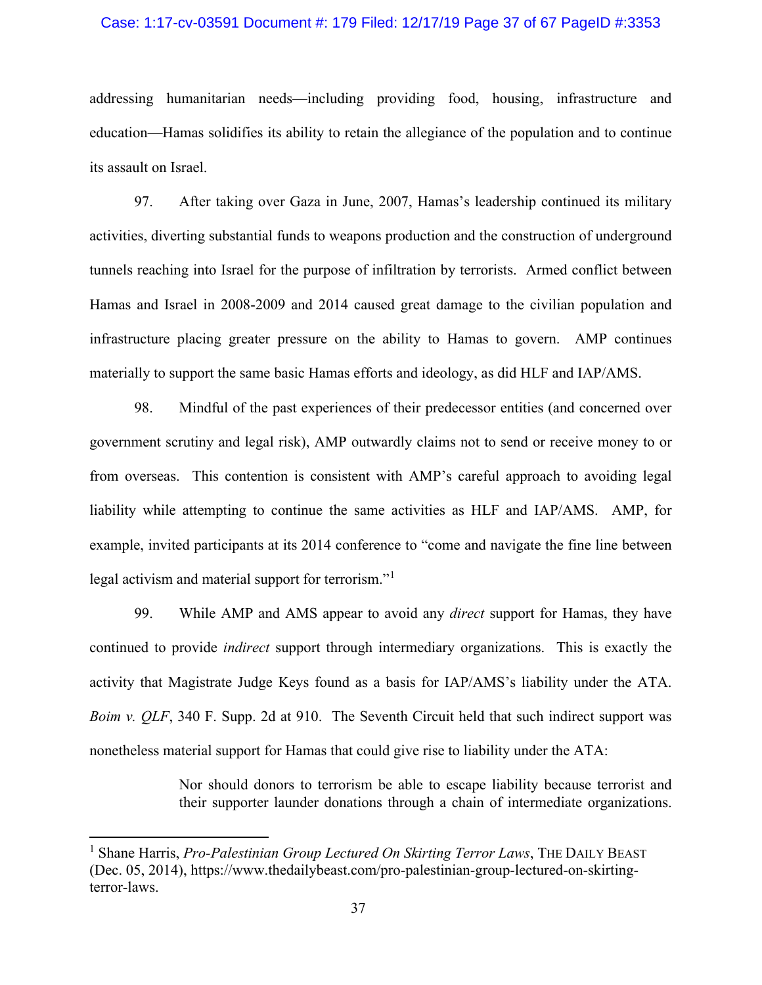### Case: 1:17-cv-03591 Document #: 179 Filed: 12/17/19 Page 37 of 67 PageID #:3353

addressing humanitarian needs—including providing food, housing, infrastructure and education—Hamas solidifies its ability to retain the allegiance of the population and to continue its assault on Israel.

97. After taking over Gaza in June, 2007, Hamas's leadership continued its military activities, diverting substantial funds to weapons production and the construction of underground tunnels reaching into Israel for the purpose of infiltration by terrorists. Armed conflict between Hamas and Israel in 2008-2009 and 2014 caused great damage to the civilian population and infrastructure placing greater pressure on the ability to Hamas to govern. AMP continues materially to support the same basic Hamas efforts and ideology, as did HLF and IAP/AMS.

98. Mindful of the past experiences of their predecessor entities (and concerned over government scrutiny and legal risk), AMP outwardly claims not to send or receive money to or from overseas. This contention is consistent with AMP's careful approach to avoiding legal liability while attempting to continue the same activities as HLF and IAP/AMS. AMP, for example, invited participants at its 2014 conference to "come and navigate the fine line between legal activism and material support for terrorism."<sup>[1](#page-36-0)</sup>

99. While AMP and AMS appear to avoid any *direct* support for Hamas, they have continued to provide *indirect* support through intermediary organizations. This is exactly the activity that Magistrate Judge Keys found as a basis for IAP/AMS's liability under the ATA. *Boim v. QLF*, 340 F. Supp. 2d at 910. The Seventh Circuit held that such indirect support was nonetheless material support for Hamas that could give rise to liability under the ATA:

> Nor should donors to terrorism be able to escape liability because terrorist and their supporter launder donations through a chain of intermediate organizations.

<span id="page-36-0"></span><sup>&</sup>lt;sup>1</sup> Shane Harris, *Pro-Palestinian Group Lectured On Skirting Terror Laws*, THE DAILY BEAST (Dec. 05, 2014), https://www.thedailybeast.com/pro-palestinian-group-lectured-on-skirtingterror-laws.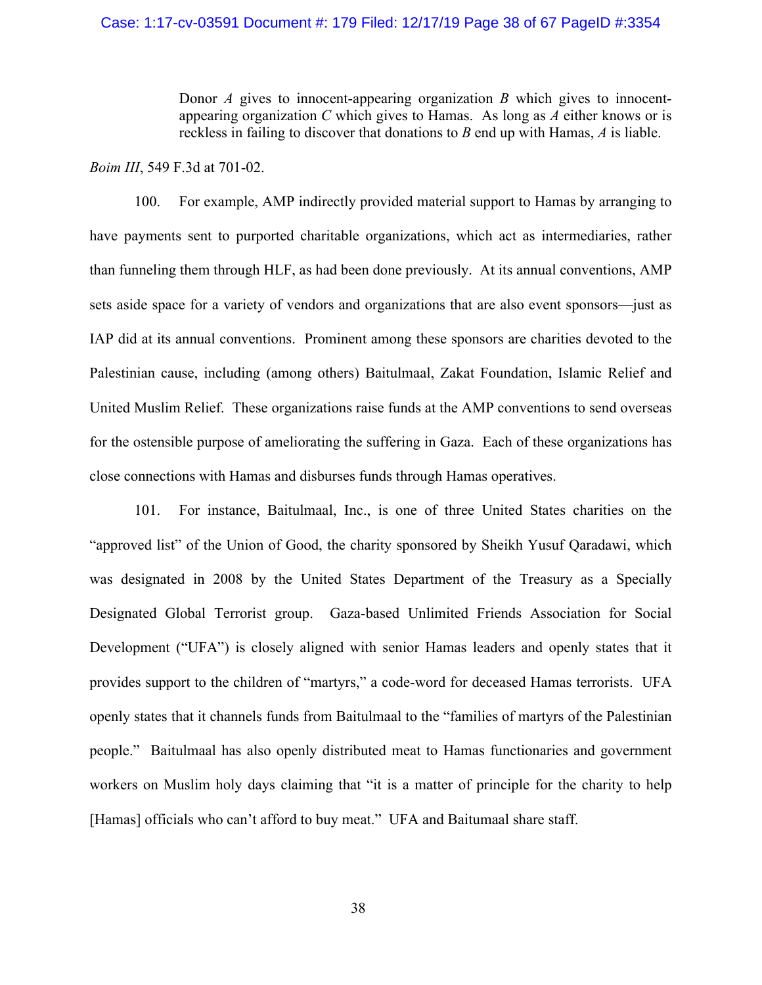# Case: 1:17-cv-03591 Document #: 179 Filed: 12/17/19 Page 38 of 67 PageID #:3354

Donor *A* gives to innocent-appearing organization *B* which gives to innocentappearing organization *C* which gives to Hamas. As long as *A* either knows or is reckless in failing to discover that donations to *B* end up with Hamas, *A* is liable.

## *Boim III*, 549 F.3d at 701-02.

100. For example, AMP indirectly provided material support to Hamas by arranging to have payments sent to purported charitable organizations, which act as intermediaries, rather than funneling them through HLF, as had been done previously. At its annual conventions, AMP sets aside space for a variety of vendors and organizations that are also event sponsors—just as IAP did at its annual conventions. Prominent among these sponsors are charities devoted to the Palestinian cause, including (among others) Baitulmaal, Zakat Foundation, Islamic Relief and United Muslim Relief. These organizations raise funds at the AMP conventions to send overseas for the ostensible purpose of ameliorating the suffering in Gaza. Each of these organizations has close connections with Hamas and disburses funds through Hamas operatives.

101. For instance, Baitulmaal, Inc., is one of three United States charities on the "approved list" of the Union of Good, the charity sponsored by Sheikh Yusuf Qaradawi, which was designated in 2008 by the United States Department of the Treasury as a Specially Designated Global Terrorist group. Gaza-based Unlimited Friends Association for Social Development ("UFA") is closely aligned with senior Hamas leaders and openly states that it provides support to the children of "martyrs," a code-word for deceased Hamas terrorists. UFA openly states that it channels funds from Baitulmaal to the "families of martyrs of the Palestinian people." Baitulmaal has also openly distributed meat to Hamas functionaries and government workers on Muslim holy days claiming that "it is a matter of principle for the charity to help [Hamas] officials who can't afford to buy meat." UFA and Baitumaal share staff.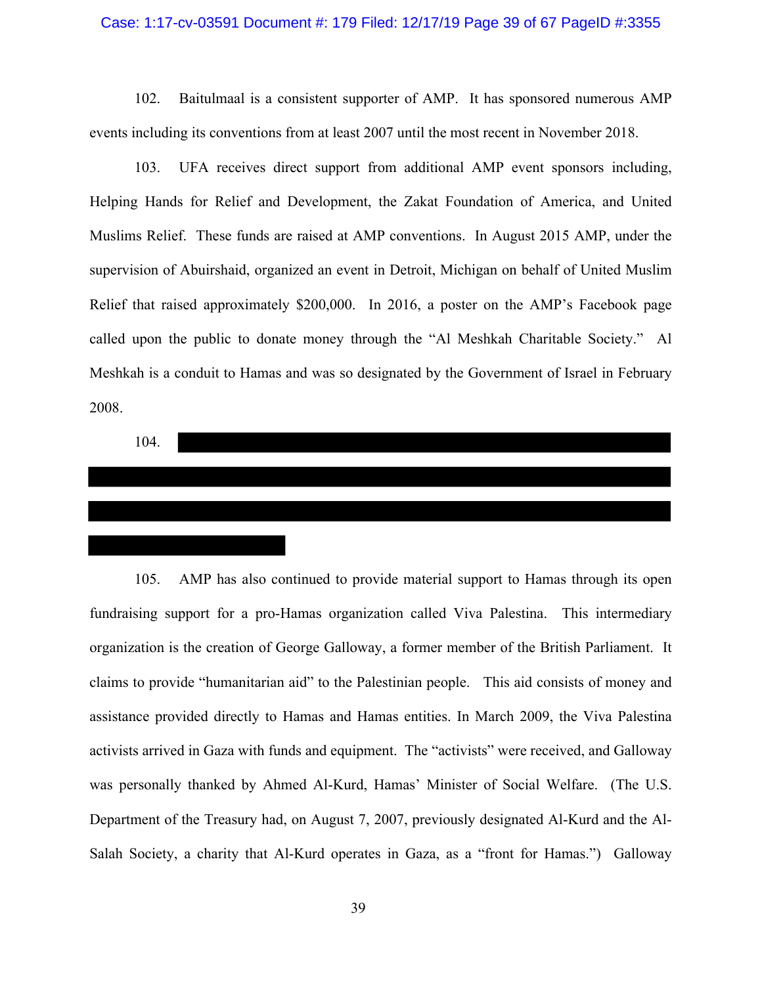### Case: 1:17-cv-03591 Document #: 179 Filed: 12/17/19 Page 39 of 67 PageID #:3355

102. Baitulmaal is a consistent supporter of AMP. It has sponsored numerous AMP events including its conventions from at least 2007 until the most recent in November 2018.

103. UFA receives direct support from additional AMP event sponsors including, Helping Hands for Relief and Development, the Zakat Foundation of America, and United Muslims Relief. These funds are raised at AMP conventions. In August 2015 AMP, under the supervision of Abuirshaid, organized an event in Detroit, Michigan on behalf of United Muslim Relief that raised approximately \$200,000. In 2016, a poster on the AMP's Facebook page called upon the public to donate money through the "Al Meshkah Charitable Society." Al Meshkah is a conduit to Hamas and was so designated by the Government of Israel in February 2008.

104.

105. AMP has also continued to provide material support to Hamas through its open fundraising support for a pro-Hamas organization called Viva Palestina. This intermediary organization is the creation of George Galloway, a former member of the British Parliament. It claims to provide "humanitarian aid" to the Palestinian people. This aid consists of money and assistance provided directly to Hamas and Hamas entities. In March 2009, the Viva Palestina activists arrived in Gaza with funds and equipment. The "activists" were received, and Galloway was personally thanked by Ahmed Al-Kurd, Hamas' Minister of Social Welfare. (The U.S. Department of the Treasury had, on August 7, 2007, previously designated Al-Kurd and the Al-Salah Society, a charity that Al-Kurd operates in Gaza, as a "front for Hamas.") Galloway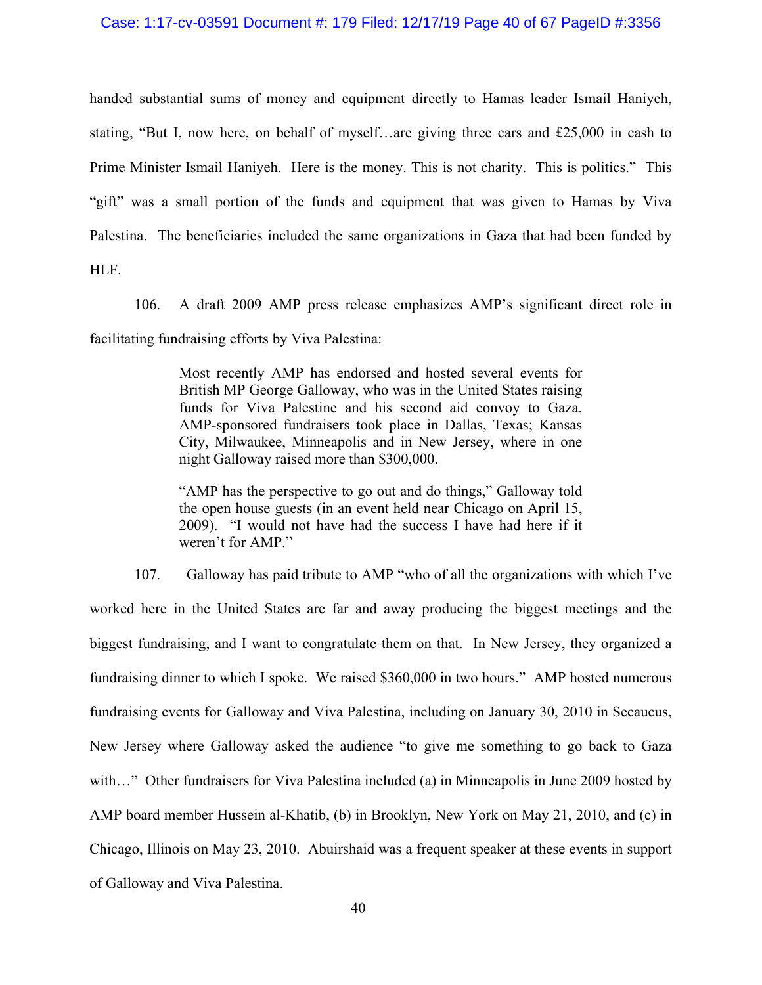# Case: 1:17-cv-03591 Document #: 179 Filed: 12/17/19 Page 40 of 67 PageID #:3356

handed substantial sums of money and equipment directly to Hamas leader Ismail Haniyeh, stating, "But I, now here, on behalf of myself…are giving three cars and £25,000 in cash to Prime Minister Ismail Haniyeh. Here is the money. This is not charity. This is politics." This "gift" was a small portion of the funds and equipment that was given to Hamas by Viva Palestina. The beneficiaries included the same organizations in Gaza that had been funded by HLF.

106. A draft 2009 AMP press release emphasizes AMP's significant direct role in facilitating fundraising efforts by Viva Palestina:

> Most recently AMP has endorsed and hosted several events for British MP George Galloway, who was in the United States raising funds for Viva Palestine and his second aid convoy to Gaza. AMP-sponsored fundraisers took place in Dallas, Texas; Kansas City, Milwaukee, Minneapolis and in New Jersey, where in one night Galloway raised more than \$300,000.

> "AMP has the perspective to go out and do things," Galloway told the open house guests (in an event held near Chicago on April 15, 2009). "I would not have had the success I have had here if it weren't for AMP."

107. Galloway has paid tribute to AMP "who of all the organizations with which I've worked here in the United States are far and away producing the biggest meetings and the biggest fundraising, and I want to congratulate them on that. In New Jersey, they organized a fundraising dinner to which I spoke. We raised \$360,000 in two hours." AMP hosted numerous fundraising events for Galloway and Viva Palestina, including on January 30, 2010 in Secaucus, New Jersey where Galloway asked the audience "to give me something to go back to Gaza with..." Other fundraisers for Viva Palestina included (a) in Minneapolis in June 2009 hosted by AMP board member Hussein al-Khatib, (b) in Brooklyn, New York on May 21, 2010, and (c) in Chicago, Illinois on May 23, 2010. Abuirshaid was a frequent speaker at these events in support of Galloway and Viva Palestina.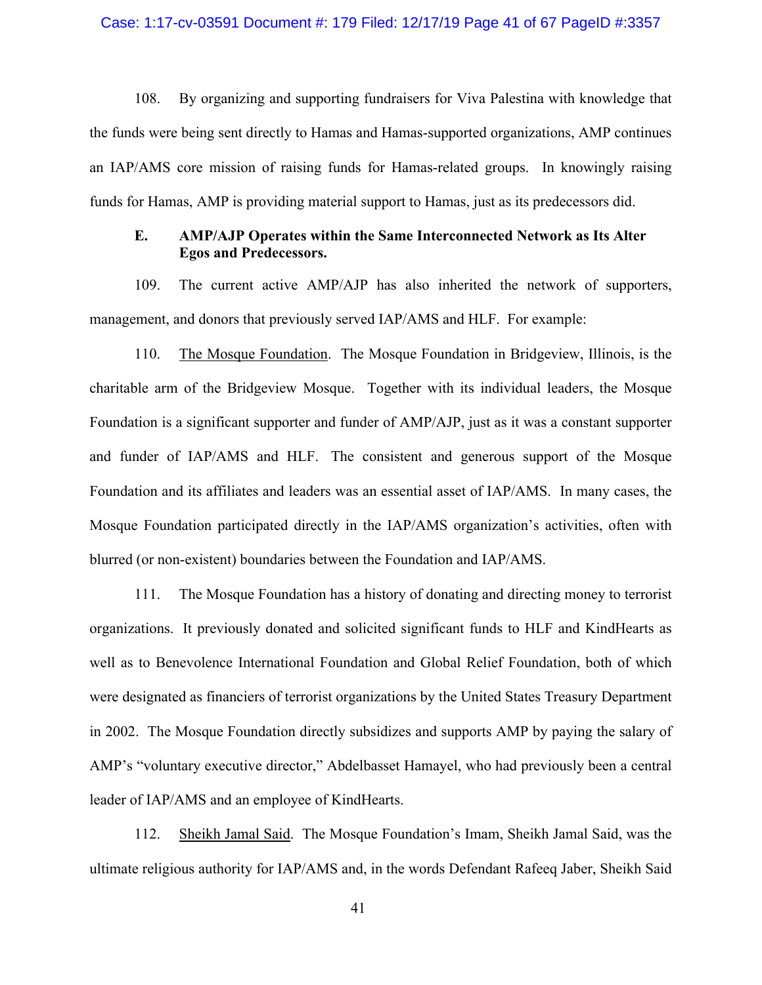# Case: 1:17-cv-03591 Document #: 179 Filed: 12/17/19 Page 41 of 67 PageID #:3357

108. By organizing and supporting fundraisers for Viva Palestina with knowledge that the funds were being sent directly to Hamas and Hamas-supported organizations, AMP continues an IAP/AMS core mission of raising funds for Hamas-related groups. In knowingly raising funds for Hamas, AMP is providing material support to Hamas, just as its predecessors did.

# **E. AMP/AJP Operates within the Same Interconnected Network as Its Alter Egos and Predecessors.**

109. The current active AMP/AJP has also inherited the network of supporters, management, and donors that previously served IAP/AMS and HLF. For example:

110. The Mosque Foundation. The Mosque Foundation in Bridgeview, Illinois, is the charitable arm of the Bridgeview Mosque. Together with its individual leaders, the Mosque Foundation is a significant supporter and funder of AMP/AJP, just as it was a constant supporter and funder of IAP/AMS and HLF. The consistent and generous support of the Mosque Foundation and its affiliates and leaders was an essential asset of IAP/AMS. In many cases, the Mosque Foundation participated directly in the IAP/AMS organization's activities, often with blurred (or non-existent) boundaries between the Foundation and IAP/AMS.

111. The Mosque Foundation has a history of donating and directing money to terrorist organizations. It previously donated and solicited significant funds to HLF and KindHearts as well as to Benevolence International Foundation and Global Relief Foundation, both of which were designated as financiers of terrorist organizations by the United States Treasury Department in 2002. The Mosque Foundation directly subsidizes and supports AMP by paying the salary of AMP's "voluntary executive director," Abdelbasset Hamayel, who had previously been a central leader of IAP/AMS and an employee of KindHearts.

112. Sheikh Jamal Said. The Mosque Foundation's Imam, Sheikh Jamal Said, was the ultimate religious authority for IAP/AMS and, in the words Defendant Rafeeq Jaber, Sheikh Said

41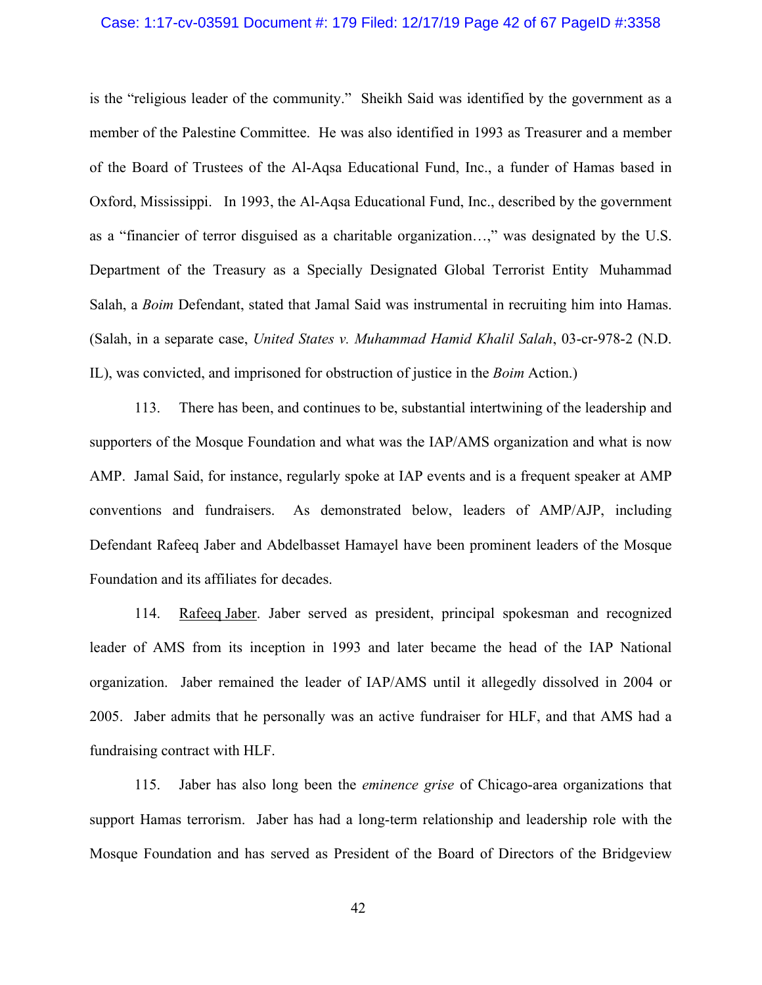# Case: 1:17-cv-03591 Document #: 179 Filed: 12/17/19 Page 42 of 67 PageID #:3358

is the "religious leader of the community." Sheikh Said was identified by the government as a member of the Palestine Committee. He was also identified in 1993 as Treasurer and a member of the Board of Trustees of the Al-Aqsa Educational Fund, Inc., a funder of Hamas based in Oxford, Mississippi. In 1993, the Al-Aqsa Educational Fund, Inc., described by the government as a "financier of terror disguised as a charitable organization…," was designated by the U.S. Department of the Treasury as a Specially Designated Global Terrorist Entity Muhammad Salah, a *Boim* Defendant, stated that Jamal Said was instrumental in recruiting him into Hamas. (Salah, in a separate case, *United States v. Muhammad Hamid Khalil Salah*, 03-cr-978-2 (N.D. IL), was convicted, and imprisoned for obstruction of justice in the *Boim* Action.)

113. There has been, and continues to be, substantial intertwining of the leadership and supporters of the Mosque Foundation and what was the IAP/AMS organization and what is now AMP. Jamal Said, for instance, regularly spoke at IAP events and is a frequent speaker at AMP conventions and fundraisers. As demonstrated below, leaders of AMP/AJP, including Defendant Rafeeq Jaber and Abdelbasset Hamayel have been prominent leaders of the Mosque Foundation and its affiliates for decades.

114. Rafeeq Jaber. Jaber served as president, principal spokesman and recognized leader of AMS from its inception in 1993 and later became the head of the IAP National organization. Jaber remained the leader of IAP/AMS until it allegedly dissolved in 2004 or 2005. Jaber admits that he personally was an active fundraiser for HLF, and that AMS had a fundraising contract with HLF.

115. Jaber has also long been the *eminence grise* of Chicago-area organizations that support Hamas terrorism. Jaber has had a long-term relationship and leadership role with the Mosque Foundation and has served as President of the Board of Directors of the Bridgeview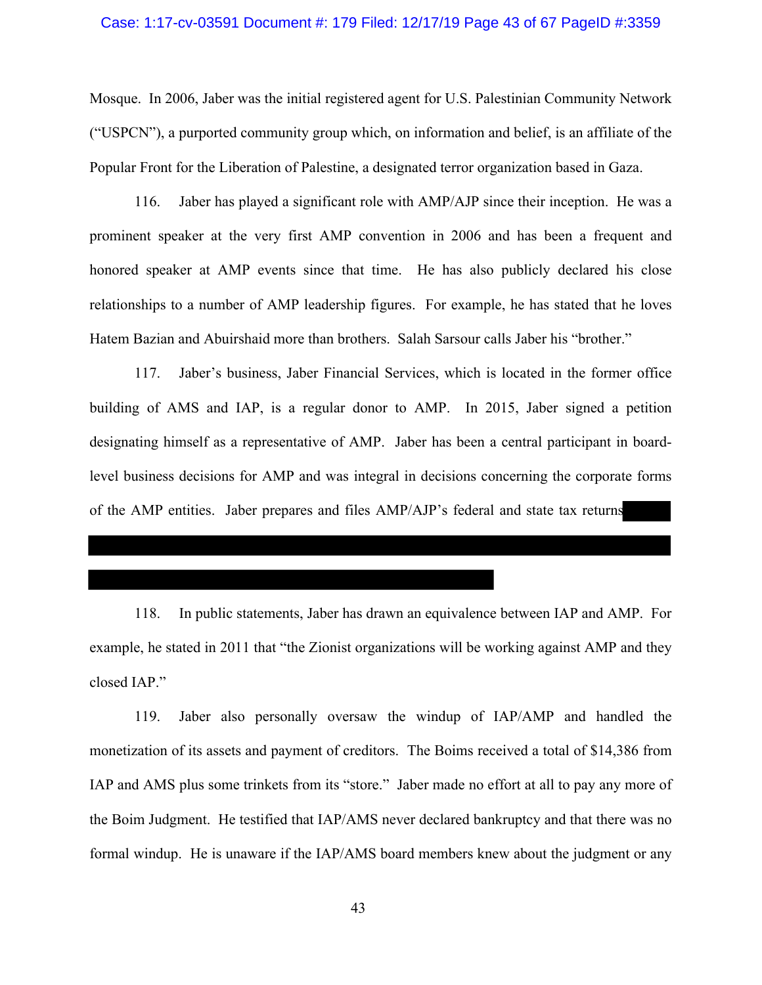### Case: 1:17-cv-03591 Document #: 179 Filed: 12/17/19 Page 43 of 67 PageID #:3359

Mosque. In 2006, Jaber was the initial registered agent for U.S. Palestinian Community Network ("USPCN"), a purported community group which, on information and belief, is an affiliate of the Popular Front for the Liberation of Palestine, a designated terror organization based in Gaza.

116. Jaber has played a significant role with AMP/AJP since their inception. He was a prominent speaker at the very first AMP convention in 2006 and has been a frequent and honored speaker at AMP events since that time. He has also publicly declared his close relationships to a number of AMP leadership figures. For example, he has stated that he loves Hatem Bazian and Abuirshaid more than brothers. Salah Sarsour calls Jaber his "brother."

117. Jaber's business, Jaber Financial Services, which is located in the former office building of AMS and IAP, is a regular donor to AMP. In 2015, Jaber signed a petition designating himself as a representative of AMP. Jaber has been a central participant in boardlevel business decisions for AMP and was integral in decisions concerning the corporate forms of the AMP entities. Jaber prepares and files AMP/AJP's federal and state tax returns

118. In public statements, Jaber has drawn an equivalence between IAP and AMP. For example, he stated in 2011 that "the Zionist organizations will be working against AMP and they closed IAP."

119. Jaber also personally oversaw the windup of IAP/AMP and handled the monetization of its assets and payment of creditors. The Boims received a total of \$14,386 from IAP and AMS plus some trinkets from its "store." Jaber made no effort at all to pay any more of the Boim Judgment. He testified that IAP/AMS never declared bankruptcy and that there was no formal windup. He is unaware if the IAP/AMS board members knew about the judgment or any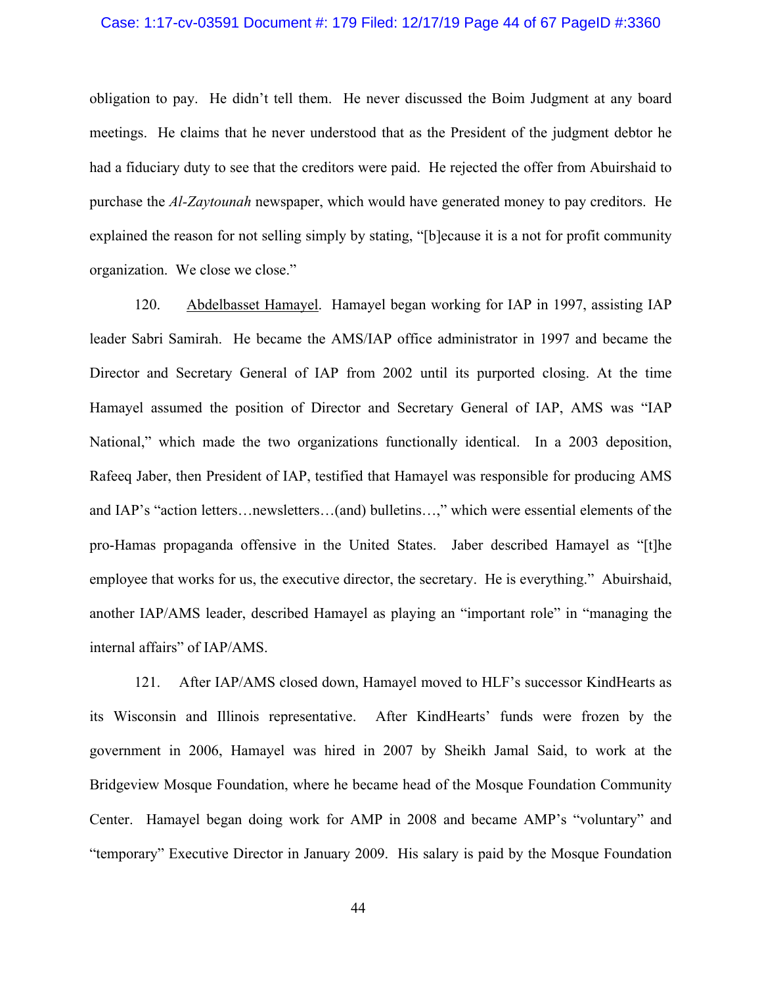### Case: 1:17-cv-03591 Document #: 179 Filed: 12/17/19 Page 44 of 67 PageID #:3360

obligation to pay. He didn't tell them. He never discussed the Boim Judgment at any board meetings. He claims that he never understood that as the President of the judgment debtor he had a fiduciary duty to see that the creditors were paid. He rejected the offer from Abuirshaid to purchase the *Al-Zaytounah* newspaper, which would have generated money to pay creditors. He explained the reason for not selling simply by stating, "[b]ecause it is a not for profit community organization. We close we close."

120. Abdelbasset Hamayel. Hamayel began working for IAP in 1997, assisting IAP leader Sabri Samirah. He became the AMS/IAP office administrator in 1997 and became the Director and Secretary General of IAP from 2002 until its purported closing. At the time Hamayel assumed the position of Director and Secretary General of IAP, AMS was "IAP National," which made the two organizations functionally identical. In a 2003 deposition, Rafeeq Jaber, then President of IAP, testified that Hamayel was responsible for producing AMS and IAP's "action letters…newsletters…(and) bulletins…," which were essential elements of the pro-Hamas propaganda offensive in the United States. Jaber described Hamayel as "[t]he employee that works for us, the executive director, the secretary. He is everything." Abuirshaid, another IAP/AMS leader, described Hamayel as playing an "important role" in "managing the internal affairs" of IAP/AMS.

121. After IAP/AMS closed down, Hamayel moved to HLF's successor KindHearts as its Wisconsin and Illinois representative. After KindHearts' funds were frozen by the government in 2006, Hamayel was hired in 2007 by Sheikh Jamal Said, to work at the Bridgeview Mosque Foundation, where he became head of the Mosque Foundation Community Center. Hamayel began doing work for AMP in 2008 and became AMP's "voluntary" and "temporary" Executive Director in January 2009. His salary is paid by the Mosque Foundation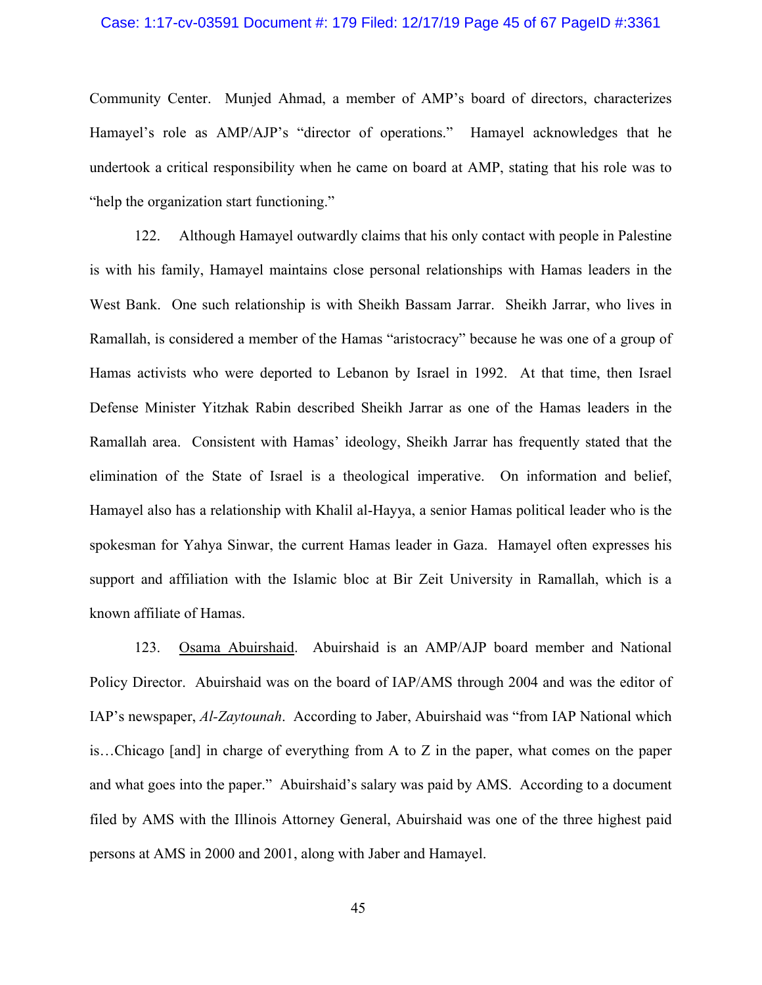# Case: 1:17-cv-03591 Document #: 179 Filed: 12/17/19 Page 45 of 67 PageID #:3361

Community Center. Munjed Ahmad, a member of AMP's board of directors, characterizes Hamayel's role as AMP/AJP's "director of operations." Hamayel acknowledges that he undertook a critical responsibility when he came on board at AMP, stating that his role was to "help the organization start functioning."

122. Although Hamayel outwardly claims that his only contact with people in Palestine is with his family, Hamayel maintains close personal relationships with Hamas leaders in the West Bank. One such relationship is with Sheikh Bassam Jarrar. Sheikh Jarrar, who lives in Ramallah, is considered a member of the Hamas "aristocracy" because he was one of a group of Hamas activists who were deported to Lebanon by Israel in 1992. At that time, then Israel Defense Minister Yitzhak Rabin described Sheikh Jarrar as one of the Hamas leaders in the Ramallah area. Consistent with Hamas' ideology, Sheikh Jarrar has frequently stated that the elimination of the State of Israel is a theological imperative. On information and belief, Hamayel also has a relationship with Khalil al-Hayya, a senior Hamas political leader who is the spokesman for Yahya Sinwar, the current Hamas leader in Gaza. Hamayel often expresses his support and affiliation with the Islamic bloc at Bir Zeit University in Ramallah, which is a known affiliate of Hamas.

123. Osama Abuirshaid. Abuirshaid is an AMP/AJP board member and National Policy Director. Abuirshaid was on the board of IAP/AMS through 2004 and was the editor of IAP's newspaper, *Al-Zaytounah*. According to Jaber, Abuirshaid was "from IAP National which is…Chicago [and] in charge of everything from A to Z in the paper, what comes on the paper and what goes into the paper." Abuirshaid's salary was paid by AMS. According to a document filed by AMS with the Illinois Attorney General, Abuirshaid was one of the three highest paid persons at AMS in 2000 and 2001, along with Jaber and Hamayel.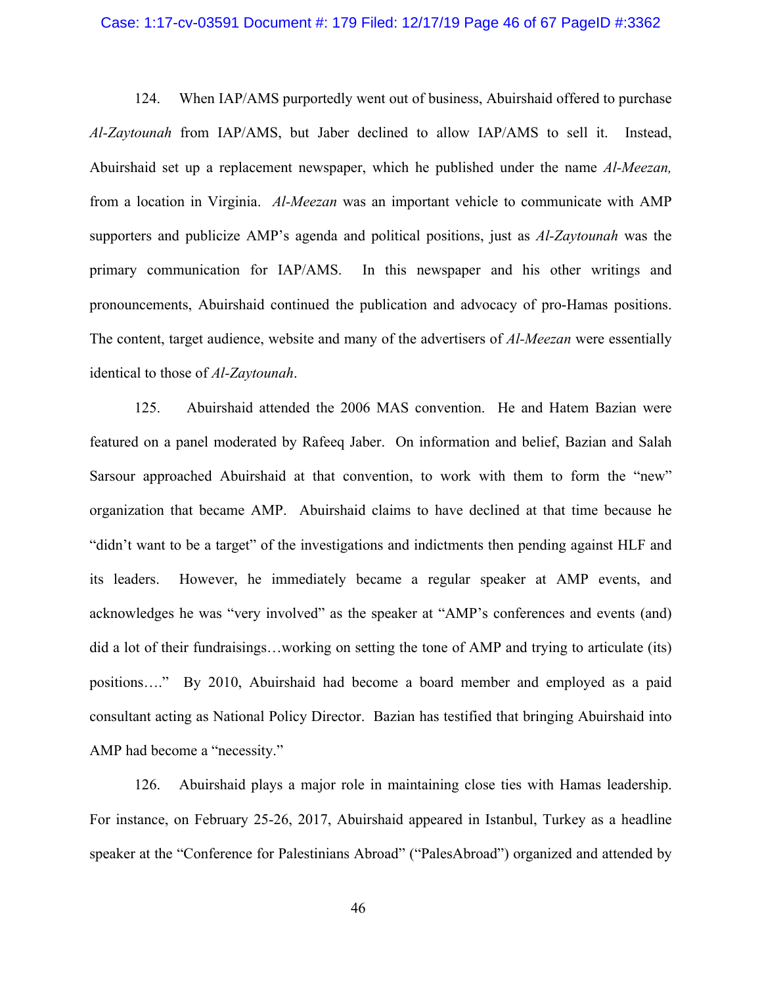#### Case: 1:17-cv-03591 Document #: 179 Filed: 12/17/19 Page 46 of 67 PageID #:3362

124. When IAP/AMS purportedly went out of business, Abuirshaid offered to purchase *Al-Zaytounah* from IAP/AMS, but Jaber declined to allow IAP/AMS to sell it. Instead, Abuirshaid set up a replacement newspaper, which he published under the name *Al-Meezan,* from a location in Virginia. *Al-Meezan* was an important vehicle to communicate with AMP supporters and publicize AMP's agenda and political positions, just as *Al-Zaytounah* was the primary communication for IAP/AMS. In this newspaper and his other writings and pronouncements, Abuirshaid continued the publication and advocacy of pro-Hamas positions. The content, target audience, website and many of the advertisers of *Al-Meezan* were essentially identical to those of *Al-Zaytounah*.

125. Abuirshaid attended the 2006 MAS convention. He and Hatem Bazian were featured on a panel moderated by Rafeeq Jaber. On information and belief, Bazian and Salah Sarsour approached Abuirshaid at that convention, to work with them to form the "new" organization that became AMP. Abuirshaid claims to have declined at that time because he "didn't want to be a target" of the investigations and indictments then pending against HLF and its leaders. However, he immediately became a regular speaker at AMP events, and acknowledges he was "very involved" as the speaker at "AMP's conferences and events (and) did a lot of their fundraisings…working on setting the tone of AMP and trying to articulate (its) positions…." By 2010, Abuirshaid had become a board member and employed as a paid consultant acting as National Policy Director. Bazian has testified that bringing Abuirshaid into AMP had become a "necessity."

126. Abuirshaid plays a major role in maintaining close ties with Hamas leadership. For instance, on February 25-26, 2017, Abuirshaid appeared in Istanbul, Turkey as a headline speaker at the "Conference for Palestinians Abroad" ("PalesAbroad") organized and attended by

46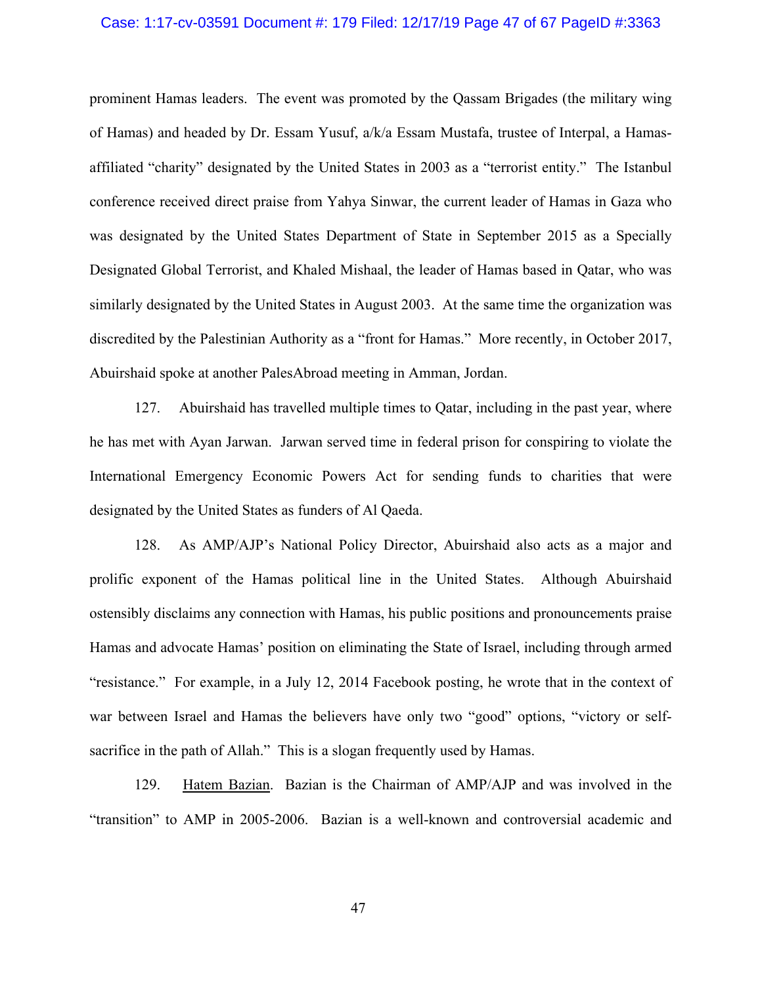### Case: 1:17-cv-03591 Document #: 179 Filed: 12/17/19 Page 47 of 67 PageID #:3363

prominent Hamas leaders. The event was promoted by the Qassam Brigades (the military wing of Hamas) and headed by Dr. Essam Yusuf, a/k/a Essam Mustafa, trustee of Interpal, a Hamasaffiliated "charity" designated by the United States in 2003 as a "terrorist entity." The Istanbul conference received direct praise from Yahya Sinwar, the current leader of Hamas in Gaza who was designated by the United States Department of State in September 2015 as a Specially Designated Global Terrorist, and Khaled Mishaal, the leader of Hamas based in Qatar, who was similarly designated by the United States in August 2003. At the same time the organization was discredited by the Palestinian Authority as a "front for Hamas." More recently, in October 2017, Abuirshaid spoke at another PalesAbroad meeting in Amman, Jordan.

127. Abuirshaid has travelled multiple times to Qatar, including in the past year, where he has met with Ayan Jarwan. Jarwan served time in federal prison for conspiring to violate the International Emergency Economic Powers Act for sending funds to charities that were designated by the United States as funders of Al Qaeda.

128. As AMP/AJP's National Policy Director, Abuirshaid also acts as a major and prolific exponent of the Hamas political line in the United States. Although Abuirshaid ostensibly disclaims any connection with Hamas, his public positions and pronouncements praise Hamas and advocate Hamas' position on eliminating the State of Israel, including through armed "resistance." For example, in a July 12, 2014 Facebook posting, he wrote that in the context of war between Israel and Hamas the believers have only two "good" options, "victory or selfsacrifice in the path of Allah." This is a slogan frequently used by Hamas.

129. Hatem Bazian. Bazian is the Chairman of AMP/AJP and was involved in the "transition" to AMP in 2005-2006. Bazian is a well-known and controversial academic and

47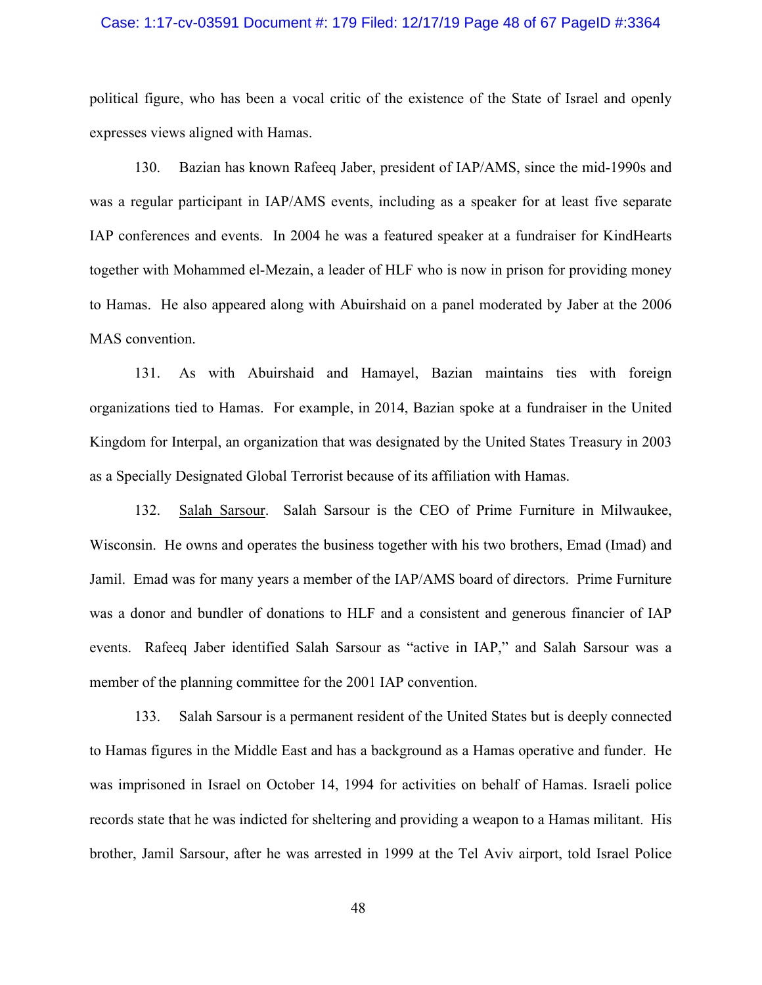### Case: 1:17-cv-03591 Document #: 179 Filed: 12/17/19 Page 48 of 67 PageID #:3364

political figure, who has been a vocal critic of the existence of the State of Israel and openly expresses views aligned with Hamas.

130. Bazian has known Rafeeq Jaber, president of IAP/AMS, since the mid-1990s and was a regular participant in IAP/AMS events, including as a speaker for at least five separate IAP conferences and events. In 2004 he was a featured speaker at a fundraiser for KindHearts together with Mohammed el-Mezain, a leader of HLF who is now in prison for providing money to Hamas. He also appeared along with Abuirshaid on a panel moderated by Jaber at the 2006 MAS convention.

131. As with Abuirshaid and Hamayel, Bazian maintains ties with foreign organizations tied to Hamas. For example, in 2014, Bazian spoke at a fundraiser in the United Kingdom for Interpal, an organization that was designated by the United States Treasury in 2003 as a Specially Designated Global Terrorist because of its affiliation with Hamas.

132. Salah Sarsour. Salah Sarsour is the CEO of Prime Furniture in Milwaukee, Wisconsin. He owns and operates the business together with his two brothers, Emad (Imad) and Jamil. Emad was for many years a member of the IAP/AMS board of directors. Prime Furniture was a donor and bundler of donations to HLF and a consistent and generous financier of IAP events. Rafeeq Jaber identified Salah Sarsour as "active in IAP," and Salah Sarsour was a member of the planning committee for the 2001 IAP convention.

133. Salah Sarsour is a permanent resident of the United States but is deeply connected to Hamas figures in the Middle East and has a background as a Hamas operative and funder. He was imprisoned in Israel on October 14, 1994 for activities on behalf of Hamas. Israeli police records state that he was indicted for sheltering and providing a weapon to a Hamas militant. His brother, Jamil Sarsour, after he was arrested in 1999 at the Tel Aviv airport, told Israel Police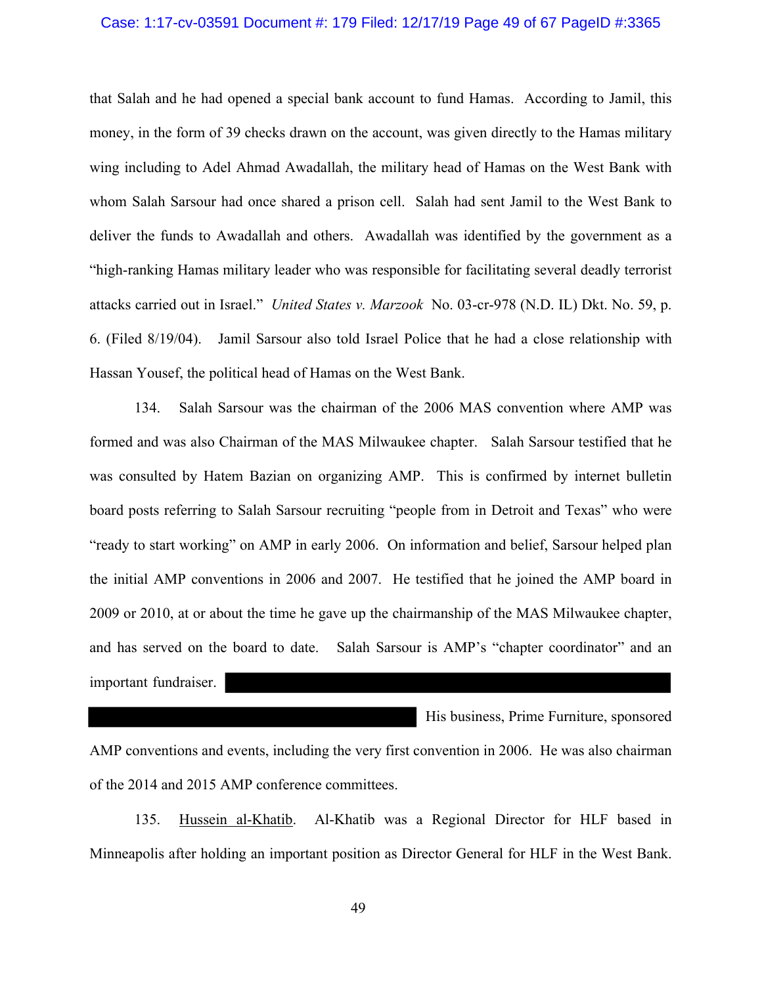#### Case: 1:17-cv-03591 Document #: 179 Filed: 12/17/19 Page 49 of 67 PageID #:3365

that Salah and he had opened a special bank account to fund Hamas. According to Jamil, this money, in the form of 39 checks drawn on the account, was given directly to the Hamas military wing including to Adel Ahmad Awadallah, the military head of Hamas on the West Bank with whom Salah Sarsour had once shared a prison cell. Salah had sent Jamil to the West Bank to deliver the funds to Awadallah and others. Awadallah was identified by the government as a "high-ranking Hamas military leader who was responsible for facilitating several deadly terrorist attacks carried out in Israel." *United States v. Marzook* No. 03-cr-978 (N.D. IL) Dkt. No. 59, p. 6. (Filed 8/19/04). Jamil Sarsour also told Israel Police that he had a close relationship with Hassan Yousef, the political head of Hamas on the West Bank.

134. Salah Sarsour was the chairman of the 2006 MAS convention where AMP was formed and was also Chairman of the MAS Milwaukee chapter. Salah Sarsour testified that he was consulted by Hatem Bazian on organizing AMP. This is confirmed by internet bulletin board posts referring to Salah Sarsour recruiting "people from in Detroit and Texas" who were "ready to start working" on AMP in early 2006. On information and belief, Sarsour helped plan the initial AMP conventions in 2006 and 2007. He testified that he joined the AMP board in 2009 or 2010, at or about the time he gave up the chairmanship of the MAS Milwaukee chapter, and has served on the board to date. Salah Sarsour is AMP's "chapter coordinator" and an important fundraiser.

AMP conventions and events, including the very first convention in 2006. He was also chairman of the 2014 and 2015 AMP conference committees.

His business, Prime Furniture, sponsored

135. Hussein al-Khatib. Al-Khatib was a Regional Director for HLF based in Minneapolis after holding an important position as Director General for HLF in the West Bank.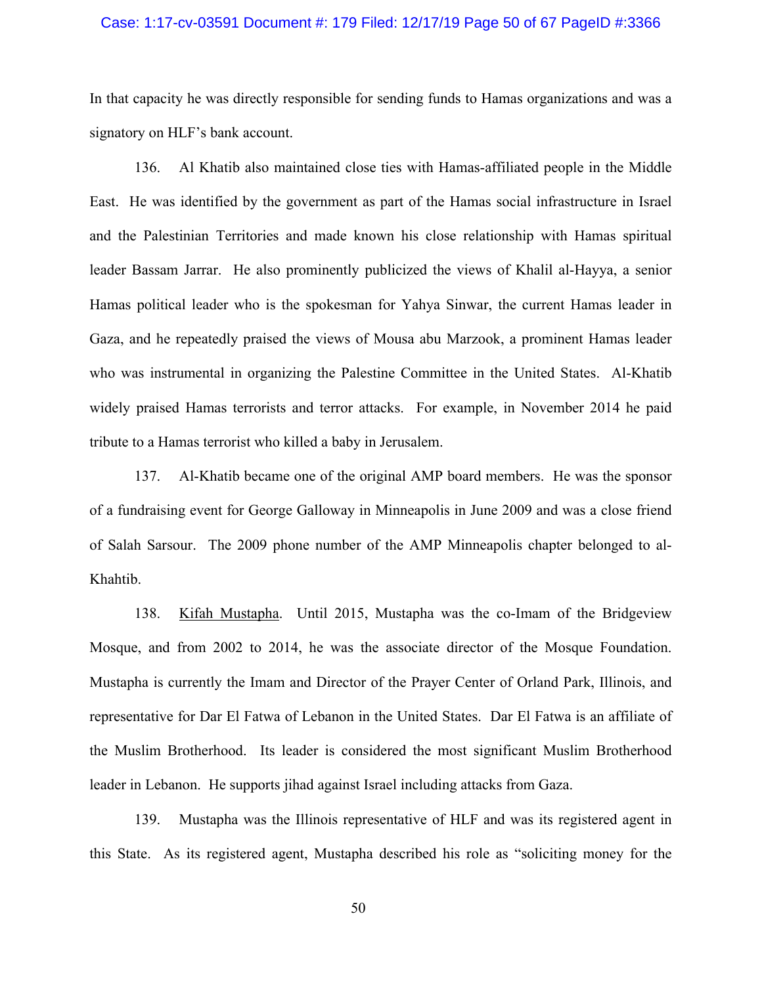# Case: 1:17-cv-03591 Document #: 179 Filed: 12/17/19 Page 50 of 67 PageID #:3366

In that capacity he was directly responsible for sending funds to Hamas organizations and was a signatory on HLF's bank account.

136. Al Khatib also maintained close ties with Hamas-affiliated people in the Middle East. He was identified by the government as part of the Hamas social infrastructure in Israel and the Palestinian Territories and made known his close relationship with Hamas spiritual leader Bassam Jarrar. He also prominently publicized the views of Khalil al-Hayya, a senior Hamas political leader who is the spokesman for Yahya Sinwar, the current Hamas leader in Gaza, and he repeatedly praised the views of Mousa abu Marzook, a prominent Hamas leader who was instrumental in organizing the Palestine Committee in the United States. Al-Khatib widely praised Hamas terrorists and terror attacks. For example, in November 2014 he paid tribute to a Hamas terrorist who killed a baby in Jerusalem.

137. Al-Khatib became one of the original AMP board members. He was the sponsor of a fundraising event for George Galloway in Minneapolis in June 2009 and was a close friend of Salah Sarsour. The 2009 phone number of the AMP Minneapolis chapter belonged to al-Khahtib.

138. Kifah Mustapha. Until 2015, Mustapha was the co-Imam of the Bridgeview Mosque, and from 2002 to 2014, he was the associate director of the Mosque Foundation. Mustapha is currently the Imam and Director of the Prayer Center of Orland Park, Illinois, and representative for Dar El Fatwa of Lebanon in the United States. Dar El Fatwa is an affiliate of the Muslim Brotherhood. Its leader is considered the most significant Muslim Brotherhood leader in Lebanon. He supports jihad against Israel including attacks from Gaza.

139. Mustapha was the Illinois representative of HLF and was its registered agent in this State. As its registered agent, Mustapha described his role as "soliciting money for the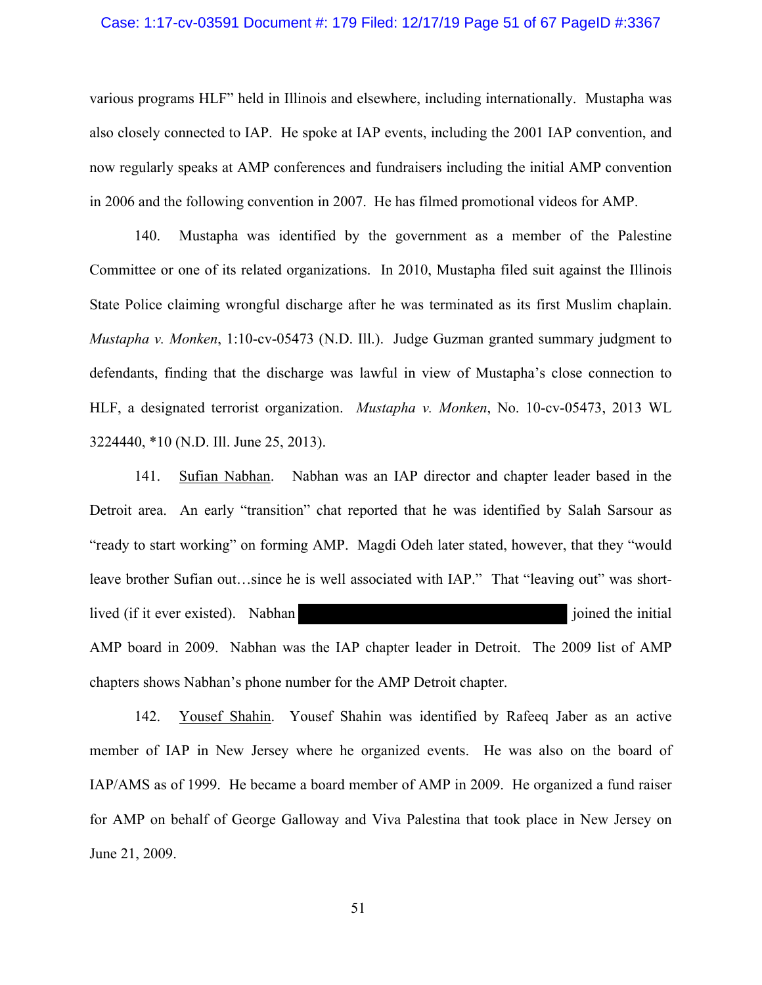### Case: 1:17-cv-03591 Document #: 179 Filed: 12/17/19 Page 51 of 67 PageID #:3367

various programs HLF" held in Illinois and elsewhere, including internationally. Mustapha was also closely connected to IAP. He spoke at IAP events, including the 2001 IAP convention, and now regularly speaks at AMP conferences and fundraisers including the initial AMP convention in 2006 and the following convention in 2007. He has filmed promotional videos for AMP.

140. Mustapha was identified by the government as a member of the Palestine Committee or one of its related organizations. In 2010, Mustapha filed suit against the Illinois State Police claiming wrongful discharge after he was terminated as its first Muslim chaplain. *Mustapha v. Monken*, 1:10-cv-05473 (N.D. Ill.). Judge Guzman granted summary judgment to defendants, finding that the discharge was lawful in view of Mustapha's close connection to HLF, a designated terrorist organization. *Mustapha v. Monken*, No. 10-cv-05473, 2013 WL 3224440, \*10 (N.D. Ill. June 25, 2013).

141. Sufian Nabhan. Nabhan was an IAP director and chapter leader based in the Detroit area. An early "transition" chat reported that he was identified by Salah Sarsour as "ready to start working" on forming AMP. Magdi Odeh later stated, however, that they "would leave brother Sufian out…since he is well associated with IAP." That "leaving out" was shortlived (if it ever existed). Nabhan joined the initial joined the initial AMP board in 2009. Nabhan was the IAP chapter leader in Detroit. The 2009 list of AMP chapters shows Nabhan's phone number for the AMP Detroit chapter.

142. Yousef Shahin. Yousef Shahin was identified by Rafeeq Jaber as an active member of IAP in New Jersey where he organized events. He was also on the board of IAP/AMS as of 1999. He became a board member of AMP in 2009. He organized a fund raiser for AMP on behalf of George Galloway and Viva Palestina that took place in New Jersey on June 21, 2009.

51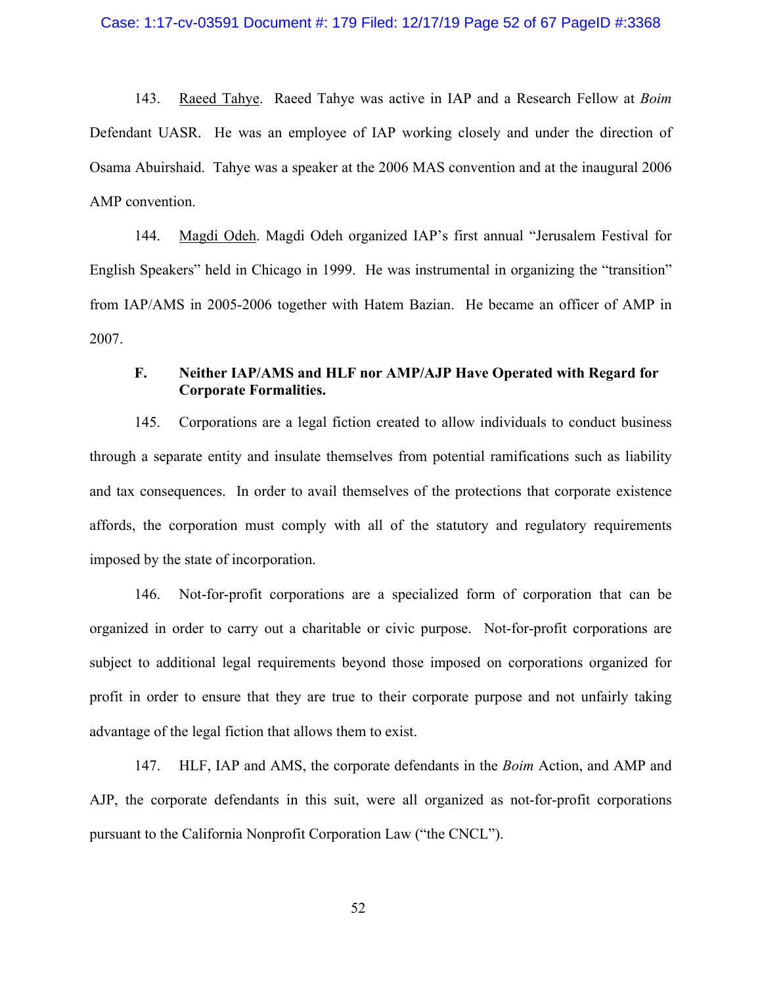# Case: 1:17-cv-03591 Document #: 179 Filed: 12/17/19 Page 52 of 67 PageID #:3368

143. Raeed Tahye. Raeed Tahye was active in IAP and a Research Fellow at *Boim* Defendant UASR. He was an employee of IAP working closely and under the direction of Osama Abuirshaid. Tahye was a speaker at the 2006 MAS convention and at the inaugural 2006 AMP convention.

144. Magdi Odeh. Magdi Odeh organized IAP's first annual "Jerusalem Festival for English Speakers" held in Chicago in 1999. He was instrumental in organizing the "transition" from IAP/AMS in 2005-2006 together with Hatem Bazian. He became an officer of AMP in 2007.

# **F. Neither IAP/AMS and HLF nor AMP/AJP Have Operated with Regard for Corporate Formalities.**

145. Corporations are a legal fiction created to allow individuals to conduct business through a separate entity and insulate themselves from potential ramifications such as liability and tax consequences. In order to avail themselves of the protections that corporate existence affords, the corporation must comply with all of the statutory and regulatory requirements imposed by the state of incorporation.

146. Not-for-profit corporations are a specialized form of corporation that can be organized in order to carry out a charitable or civic purpose. Not-for-profit corporations are subject to additional legal requirements beyond those imposed on corporations organized for profit in order to ensure that they are true to their corporate purpose and not unfairly taking advantage of the legal fiction that allows them to exist.

147. HLF, IAP and AMS, the corporate defendants in the *Boim* Action, and AMP and AJP, the corporate defendants in this suit, were all organized as not-for-profit corporations pursuant to the California Nonprofit Corporation Law ("the CNCL").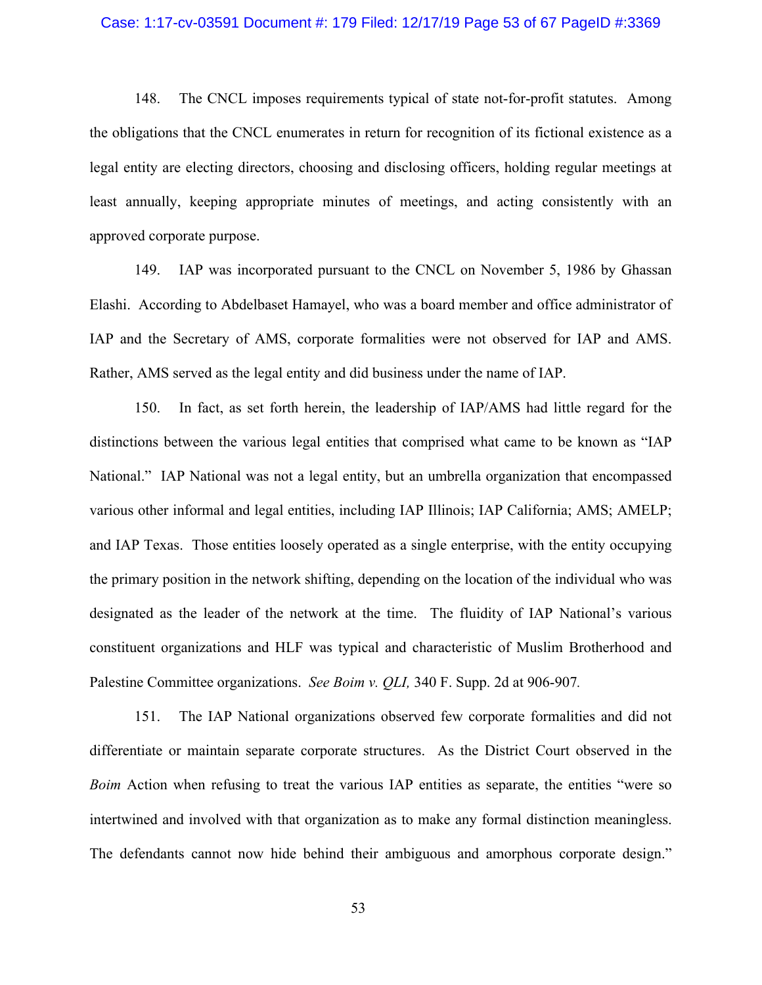# Case: 1:17-cv-03591 Document #: 179 Filed: 12/17/19 Page 53 of 67 PageID #:3369

148. The CNCL imposes requirements typical of state not-for-profit statutes. Among the obligations that the CNCL enumerates in return for recognition of its fictional existence as a legal entity are electing directors, choosing and disclosing officers, holding regular meetings at least annually, keeping appropriate minutes of meetings, and acting consistently with an approved corporate purpose.

149. IAP was incorporated pursuant to the CNCL on November 5, 1986 by Ghassan Elashi. According to Abdelbaset Hamayel, who was a board member and office administrator of IAP and the Secretary of AMS, corporate formalities were not observed for IAP and AMS. Rather, AMS served as the legal entity and did business under the name of IAP.

150. In fact, as set forth herein, the leadership of IAP/AMS had little regard for the distinctions between the various legal entities that comprised what came to be known as "IAP National." IAP National was not a legal entity, but an umbrella organization that encompassed various other informal and legal entities, including IAP Illinois; IAP California; AMS; AMELP; and IAP Texas. Those entities loosely operated as a single enterprise, with the entity occupying the primary position in the network shifting, depending on the location of the individual who was designated as the leader of the network at the time. The fluidity of IAP National's various constituent organizations and HLF was typical and characteristic of Muslim Brotherhood and Palestine Committee organizations. *See Boim v. QLI,* 340 F. Supp. 2d at 906-907*.*

151. The IAP National organizations observed few corporate formalities and did not differentiate or maintain separate corporate structures. As the District Court observed in the *Boim* Action when refusing to treat the various IAP entities as separate, the entities "were so intertwined and involved with that organization as to make any formal distinction meaningless. The defendants cannot now hide behind their ambiguous and amorphous corporate design."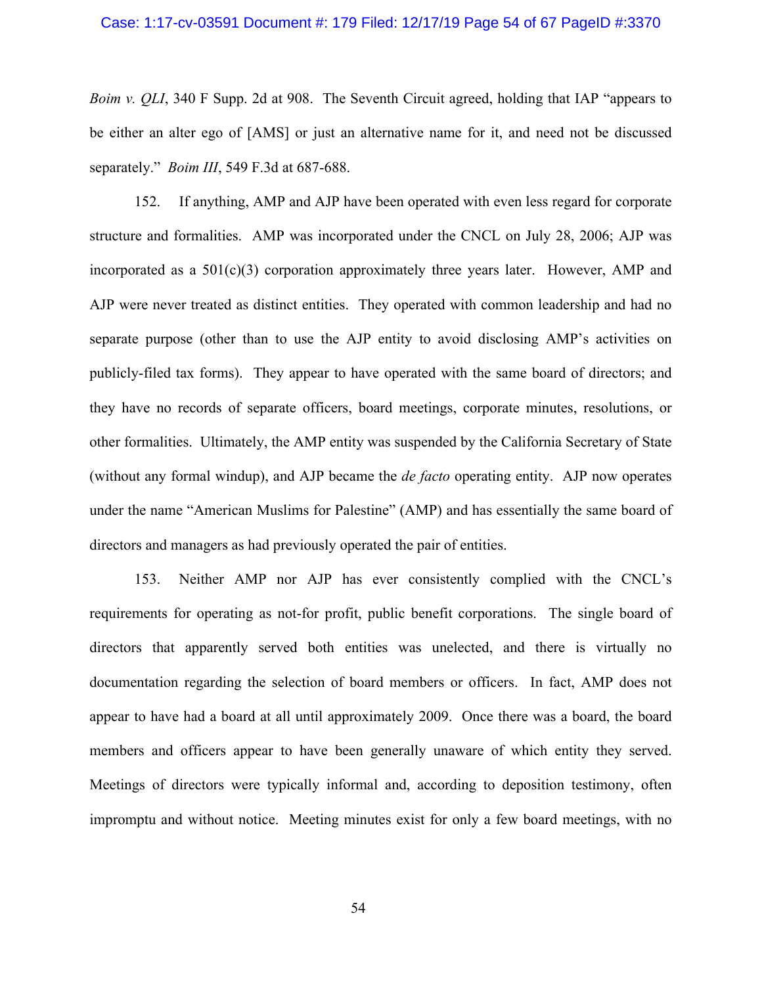### Case: 1:17-cv-03591 Document #: 179 Filed: 12/17/19 Page 54 of 67 PageID #:3370

*Boim v. QLI*, 340 F Supp. 2d at 908. The Seventh Circuit agreed, holding that IAP "appears to be either an alter ego of [AMS] or just an alternative name for it, and need not be discussed separately." *Boim III*, 549 F.3d at 687-688.

152. If anything, AMP and AJP have been operated with even less regard for corporate structure and formalities. AMP was incorporated under the CNCL on July 28, 2006; AJP was incorporated as a  $501(c)(3)$  corporation approximately three years later. However, AMP and AJP were never treated as distinct entities. They operated with common leadership and had no separate purpose (other than to use the AJP entity to avoid disclosing AMP's activities on publicly-filed tax forms). They appear to have operated with the same board of directors; and they have no records of separate officers, board meetings, corporate minutes, resolutions, or other formalities. Ultimately, the AMP entity was suspended by the California Secretary of State (without any formal windup), and AJP became the *de facto* operating entity. AJP now operates under the name "American Muslims for Palestine" (AMP) and has essentially the same board of directors and managers as had previously operated the pair of entities.

153. Neither AMP nor AJP has ever consistently complied with the CNCL's requirements for operating as not-for profit, public benefit corporations. The single board of directors that apparently served both entities was unelected, and there is virtually no documentation regarding the selection of board members or officers. In fact, AMP does not appear to have had a board at all until approximately 2009. Once there was a board, the board members and officers appear to have been generally unaware of which entity they served. Meetings of directors were typically informal and, according to deposition testimony, often impromptu and without notice. Meeting minutes exist for only a few board meetings, with no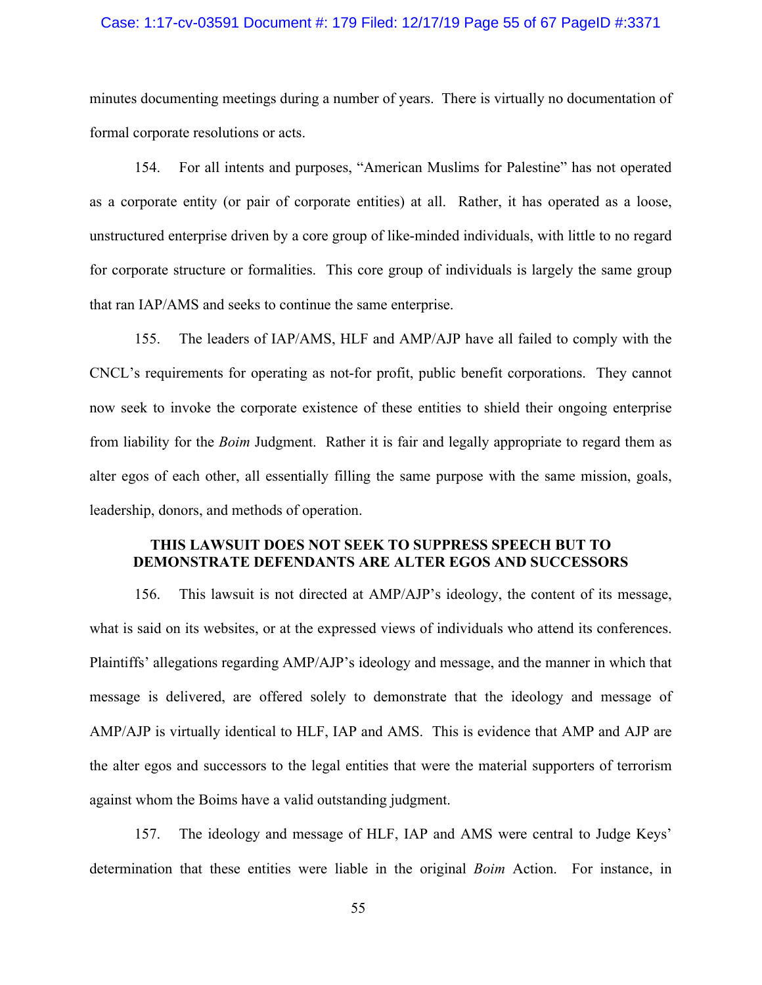### Case: 1:17-cv-03591 Document #: 179 Filed: 12/17/19 Page 55 of 67 PageID #:3371

minutes documenting meetings during a number of years. There is virtually no documentation of formal corporate resolutions or acts.

154. For all intents and purposes, "American Muslims for Palestine" has not operated as a corporate entity (or pair of corporate entities) at all. Rather, it has operated as a loose, unstructured enterprise driven by a core group of like-minded individuals, with little to no regard for corporate structure or formalities. This core group of individuals is largely the same group that ran IAP/AMS and seeks to continue the same enterprise.

155. The leaders of IAP/AMS, HLF and AMP/AJP have all failed to comply with the CNCL's requirements for operating as not-for profit, public benefit corporations. They cannot now seek to invoke the corporate existence of these entities to shield their ongoing enterprise from liability for the *Boim* Judgment. Rather it is fair and legally appropriate to regard them as alter egos of each other, all essentially filling the same purpose with the same mission, goals, leadership, donors, and methods of operation.

# **THIS LAWSUIT DOES NOT SEEK TO SUPPRESS SPEECH BUT TO DEMONSTRATE DEFENDANTS ARE ALTER EGOS AND SUCCESSORS**

156. This lawsuit is not directed at AMP/AJP's ideology, the content of its message, what is said on its websites, or at the expressed views of individuals who attend its conferences. Plaintiffs' allegations regarding AMP/AJP's ideology and message, and the manner in which that message is delivered, are offered solely to demonstrate that the ideology and message of AMP/AJP is virtually identical to HLF, IAP and AMS. This is evidence that AMP and AJP are the alter egos and successors to the legal entities that were the material supporters of terrorism against whom the Boims have a valid outstanding judgment.

157. The ideology and message of HLF, IAP and AMS were central to Judge Keys' determination that these entities were liable in the original *Boim* Action. For instance, in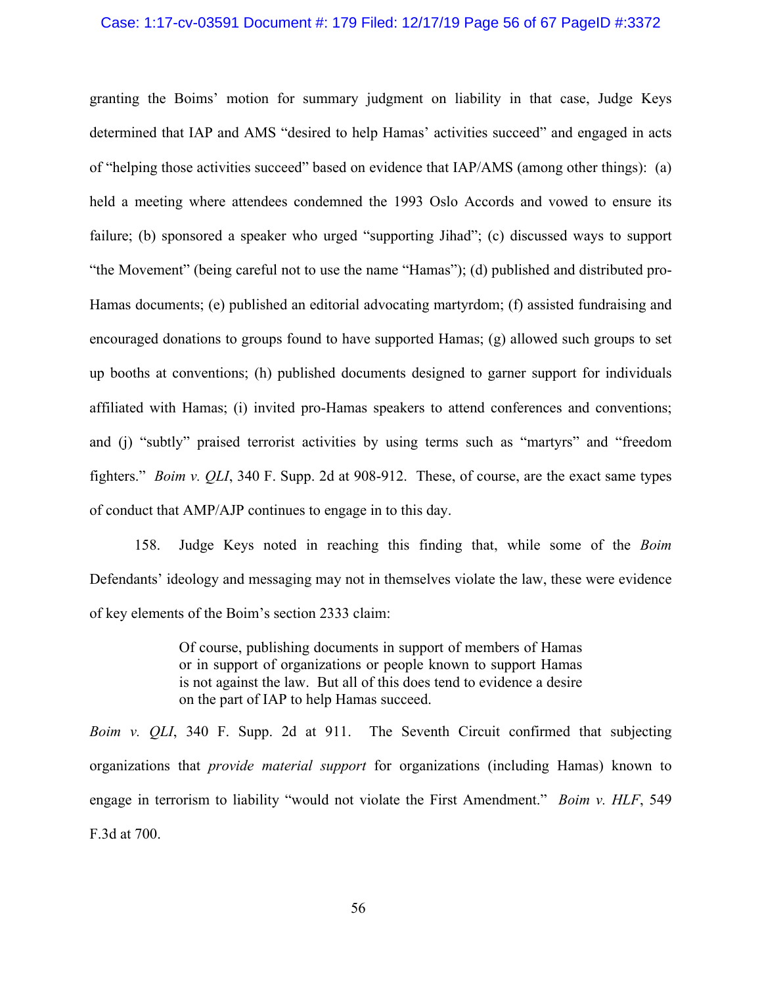# Case: 1:17-cv-03591 Document #: 179 Filed: 12/17/19 Page 56 of 67 PageID #:3372

granting the Boims' motion for summary judgment on liability in that case, Judge Keys determined that IAP and AMS "desired to help Hamas' activities succeed" and engaged in acts of "helping those activities succeed" based on evidence that IAP/AMS (among other things): (a) held a meeting where attendees condemned the 1993 Oslo Accords and vowed to ensure its failure; (b) sponsored a speaker who urged "supporting Jihad"; (c) discussed ways to support "the Movement" (being careful not to use the name "Hamas"); (d) published and distributed pro-Hamas documents; (e) published an editorial advocating martyrdom; (f) assisted fundraising and encouraged donations to groups found to have supported Hamas; (g) allowed such groups to set up booths at conventions; (h) published documents designed to garner support for individuals affiliated with Hamas; (i) invited pro-Hamas speakers to attend conferences and conventions; and (j) "subtly" praised terrorist activities by using terms such as "martyrs" and "freedom fighters." *Boim v. QLI*, 340 F. Supp. 2d at 908-912. These, of course, are the exact same types of conduct that AMP/AJP continues to engage in to this day.

158. Judge Keys noted in reaching this finding that, while some of the *Boim* Defendants' ideology and messaging may not in themselves violate the law, these were evidence of key elements of the Boim's section 2333 claim:

> Of course, publishing documents in support of members of Hamas or in support of organizations or people known to support Hamas is not against the law. But all of this does tend to evidence a desire on the part of IAP to help Hamas succeed.

*Boim v. QLI*, 340 F. Supp. 2d at 911. The Seventh Circuit confirmed that subjecting organizations that *provide material support* for organizations (including Hamas) known to engage in terrorism to liability "would not violate the First Amendment." *Boim v. HLF*, 549 F.3d at 700.

56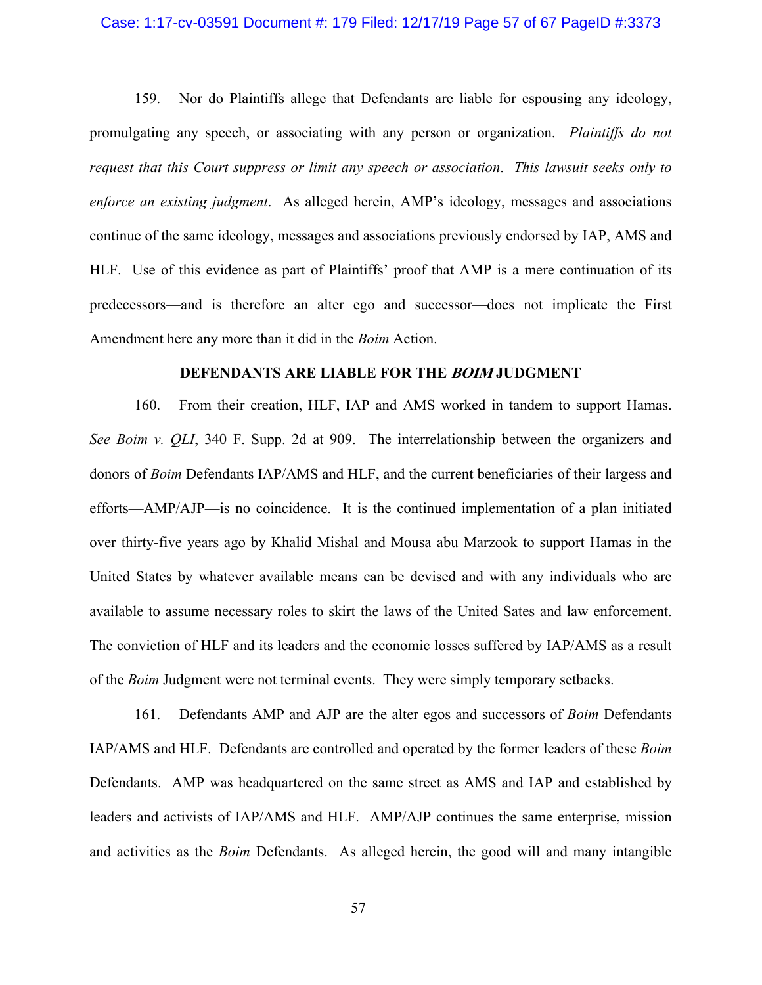### Case: 1:17-cv-03591 Document #: 179 Filed: 12/17/19 Page 57 of 67 PageID #:3373

159. Nor do Plaintiffs allege that Defendants are liable for espousing any ideology, promulgating any speech, or associating with any person or organization. *Plaintiffs do not request that this Court suppress or limit any speech or association*. *This lawsuit seeks only to enforce an existing judgment*. As alleged herein, AMP's ideology, messages and associations continue of the same ideology, messages and associations previously endorsed by IAP, AMS and HLF. Use of this evidence as part of Plaintiffs' proof that AMP is a mere continuation of its predecessors—and is therefore an alter ego and successor—does not implicate the First Amendment here any more than it did in the *Boim* Action.

### **DEFENDANTS ARE LIABLE FOR THE BOIM JUDGMENT**

160. From their creation, HLF, IAP and AMS worked in tandem to support Hamas. *See Boim v. QLI*, 340 F. Supp. 2d at 909. The interrelationship between the organizers and donors of *Boim* Defendants IAP/AMS and HLF, and the current beneficiaries of their largess and efforts—AMP/AJP—is no coincidence. It is the continued implementation of a plan initiated over thirty-five years ago by Khalid Mishal and Mousa abu Marzook to support Hamas in the United States by whatever available means can be devised and with any individuals who are available to assume necessary roles to skirt the laws of the United Sates and law enforcement. The conviction of HLF and its leaders and the economic losses suffered by IAP/AMS as a result of the *Boim* Judgment were not terminal events. They were simply temporary setbacks.

161. Defendants AMP and AJP are the alter egos and successors of *Boim* Defendants IAP/AMS and HLF. Defendants are controlled and operated by the former leaders of these *Boim* Defendants. AMP was headquartered on the same street as AMS and IAP and established by leaders and activists of IAP/AMS and HLF. AMP/AJP continues the same enterprise, mission and activities as the *Boim* Defendants. As alleged herein, the good will and many intangible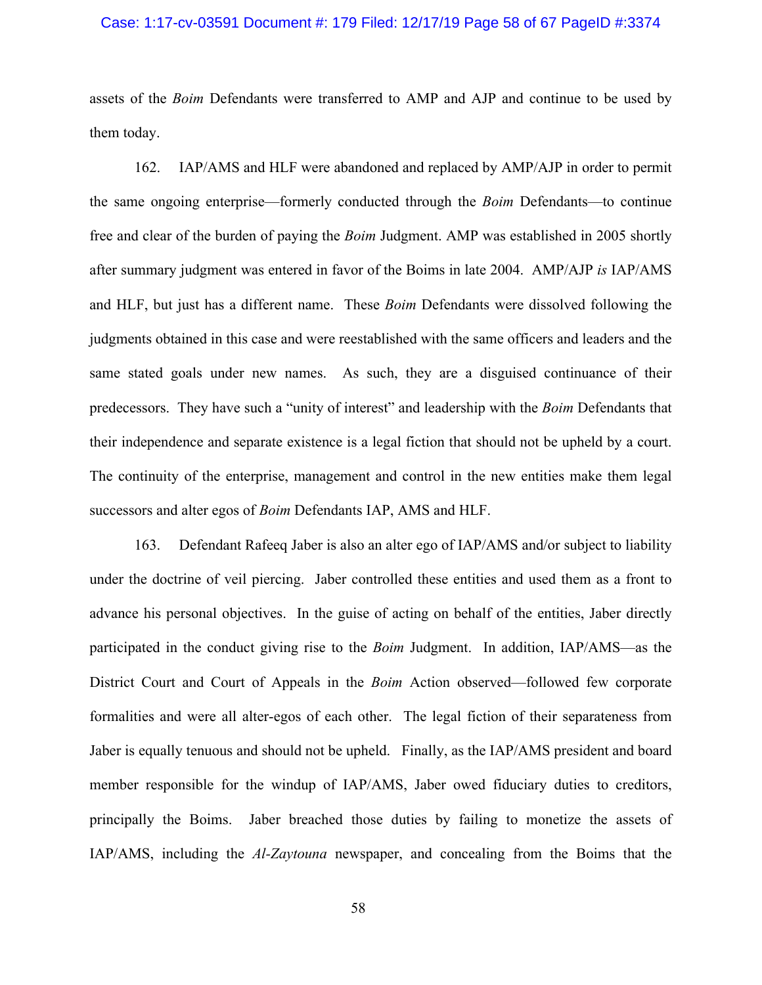#### Case: 1:17-cv-03591 Document #: 179 Filed: 12/17/19 Page 58 of 67 PageID #:3374

assets of the *Boim* Defendants were transferred to AMP and AJP and continue to be used by them today.

162. IAP/AMS and HLF were abandoned and replaced by AMP/AJP in order to permit the same ongoing enterprise—formerly conducted through the *Boim* Defendants—to continue free and clear of the burden of paying the *Boim* Judgment. AMP was established in 2005 shortly after summary judgment was entered in favor of the Boims in late 2004. AMP/AJP *is* IAP/AMS and HLF, but just has a different name. These *Boim* Defendants were dissolved following the judgments obtained in this case and were reestablished with the same officers and leaders and the same stated goals under new names. As such, they are a disguised continuance of their predecessors. They have such a "unity of interest" and leadership with the *Boim* Defendants that their independence and separate existence is a legal fiction that should not be upheld by a court. The continuity of the enterprise, management and control in the new entities make them legal successors and alter egos of *Boim* Defendants IAP, AMS and HLF.

163. Defendant Rafeeq Jaber is also an alter ego of IAP/AMS and/or subject to liability under the doctrine of veil piercing. Jaber controlled these entities and used them as a front to advance his personal objectives. In the guise of acting on behalf of the entities, Jaber directly participated in the conduct giving rise to the *Boim* Judgment. In addition, IAP/AMS—as the District Court and Court of Appeals in the *Boim* Action observed—followed few corporate formalities and were all alter-egos of each other. The legal fiction of their separateness from Jaber is equally tenuous and should not be upheld. Finally, as the IAP/AMS president and board member responsible for the windup of IAP/AMS, Jaber owed fiduciary duties to creditors, principally the Boims. Jaber breached those duties by failing to monetize the assets of IAP/AMS, including the *Al-Zaytouna* newspaper, and concealing from the Boims that the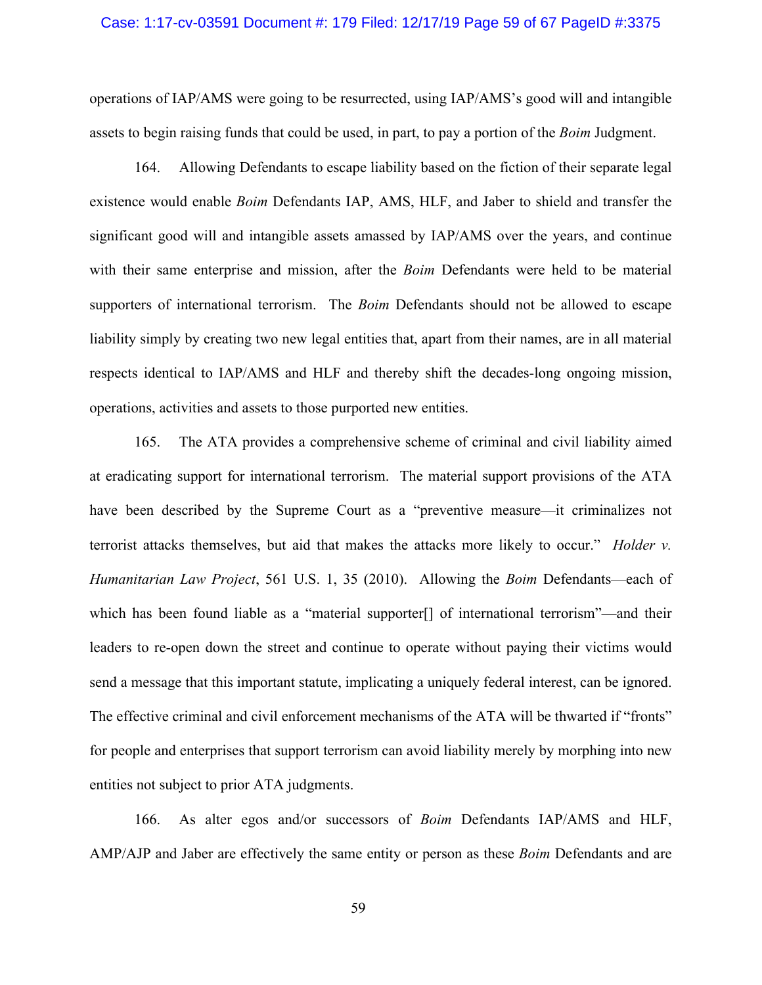# Case: 1:17-cv-03591 Document #: 179 Filed: 12/17/19 Page 59 of 67 PageID #:3375

operations of IAP/AMS were going to be resurrected, using IAP/AMS's good will and intangible assets to begin raising funds that could be used, in part, to pay a portion of the *Boim* Judgment.

164. Allowing Defendants to escape liability based on the fiction of their separate legal existence would enable *Boim* Defendants IAP, AMS, HLF, and Jaber to shield and transfer the significant good will and intangible assets amassed by IAP/AMS over the years, and continue with their same enterprise and mission, after the *Boim* Defendants were held to be material supporters of international terrorism. The *Boim* Defendants should not be allowed to escape liability simply by creating two new legal entities that, apart from their names, are in all material respects identical to IAP/AMS and HLF and thereby shift the decades-long ongoing mission, operations, activities and assets to those purported new entities.

165. The ATA provides a comprehensive scheme of criminal and civil liability aimed at eradicating support for international terrorism. The material support provisions of the ATA have been described by the Supreme Court as a "preventive measure—it criminalizes not terrorist attacks themselves, but aid that makes the attacks more likely to occur." *Holder v. Humanitarian Law Project*, 561 U.S. 1, 35 (2010). Allowing the *Boim* Defendants—each of which has been found liable as a "material supporter[] of international terrorism"—and their leaders to re-open down the street and continue to operate without paying their victims would send a message that this important statute, implicating a uniquely federal interest, can be ignored. The effective criminal and civil enforcement mechanisms of the ATA will be thwarted if "fronts" for people and enterprises that support terrorism can avoid liability merely by morphing into new entities not subject to prior ATA judgments.

166. As alter egos and/or successors of *Boim* Defendants IAP/AMS and HLF, AMP/AJP and Jaber are effectively the same entity or person as these *Boim* Defendants and are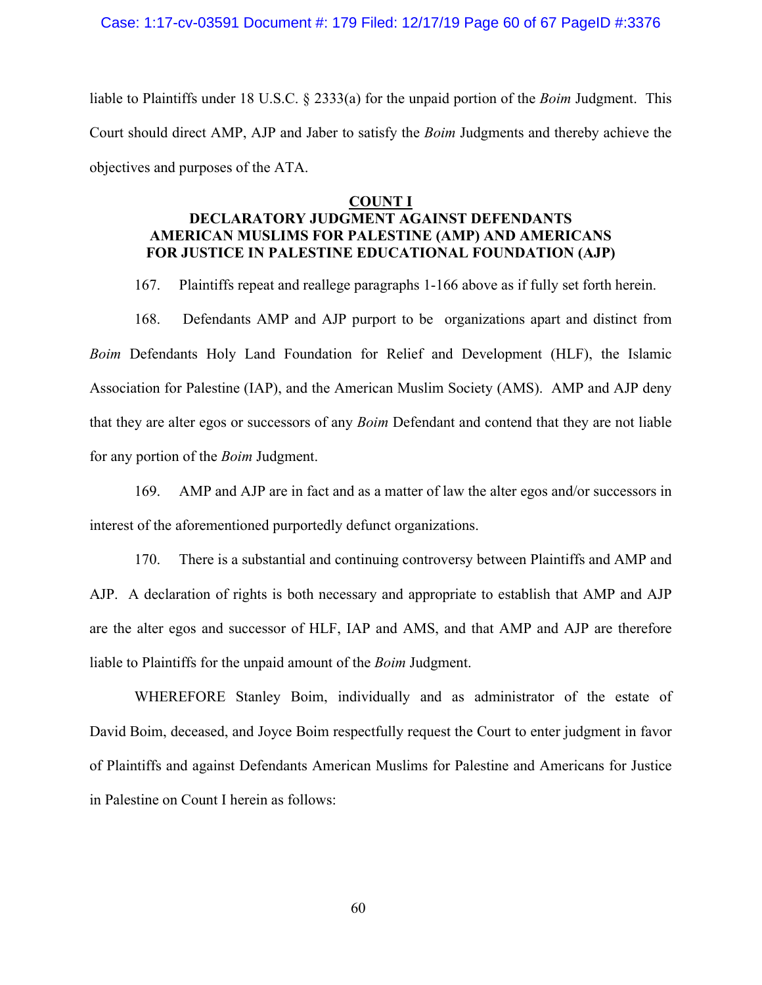liable to Plaintiffs under 18 U.S.C. § 2333(a) for the unpaid portion of the *Boim* Judgment. This Court should direct AMP, AJP and Jaber to satisfy the *Boim* Judgments and thereby achieve the objectives and purposes of the ATA.

#### **COUNT I**

# **DECLARATORY JUDGMENT AGAINST DEFENDANTS AMERICAN MUSLIMS FOR PALESTINE (AMP) AND AMERICANS FOR JUSTICE IN PALESTINE EDUCATIONAL FOUNDATION (AJP)**

167. Plaintiffs repeat and reallege paragraphs 1-166 above as if fully set forth herein.

168. Defendants AMP and AJP purport to be organizations apart and distinct from *Boim* Defendants Holy Land Foundation for Relief and Development (HLF), the Islamic Association for Palestine (IAP), and the American Muslim Society (AMS). AMP and AJP deny that they are alter egos or successors of any *Boim* Defendant and contend that they are not liable for any portion of the *Boim* Judgment.

169. AMP and AJP are in fact and as a matter of law the alter egos and/or successors in interest of the aforementioned purportedly defunct organizations.

170. There is a substantial and continuing controversy between Plaintiffs and AMP and AJP. A declaration of rights is both necessary and appropriate to establish that AMP and AJP are the alter egos and successor of HLF, IAP and AMS, and that AMP and AJP are therefore liable to Plaintiffs for the unpaid amount of the *Boim* Judgment.

WHEREFORE Stanley Boim, individually and as administrator of the estate of David Boim, deceased, and Joyce Boim respectfully request the Court to enter judgment in favor of Plaintiffs and against Defendants American Muslims for Palestine and Americans for Justice in Palestine on Count I herein as follows: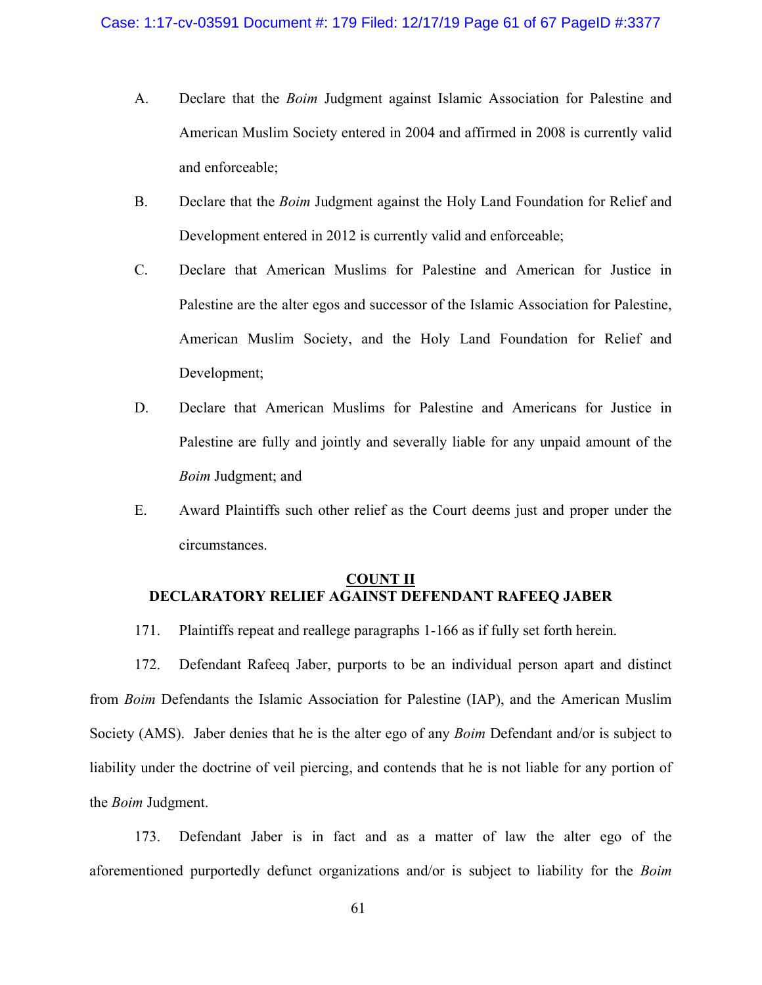- A. Declare that the *Boim* Judgment against Islamic Association for Palestine and American Muslim Society entered in 2004 and affirmed in 2008 is currently valid and enforceable;
- B. Declare that the *Boim* Judgment against the Holy Land Foundation for Relief and Development entered in 2012 is currently valid and enforceable;
- C. Declare that American Muslims for Palestine and American for Justice in Palestine are the alter egos and successor of the Islamic Association for Palestine, American Muslim Society, and the Holy Land Foundation for Relief and Development;
- D. Declare that American Muslims for Palestine and Americans for Justice in Palestine are fully and jointly and severally liable for any unpaid amount of the *Boim* Judgment; and
- E. Award Plaintiffs such other relief as the Court deems just and proper under the circumstances.

### **COUNT II DECLARATORY RELIEF AGAINST DEFENDANT RAFEEQ JABER**

171. Plaintiffs repeat and reallege paragraphs 1-166 as if fully set forth herein.

172. Defendant Rafeeq Jaber, purports to be an individual person apart and distinct from *Boim* Defendants the Islamic Association for Palestine (IAP), and the American Muslim Society (AMS). Jaber denies that he is the alter ego of any *Boim* Defendant and/or is subject to liability under the doctrine of veil piercing, and contends that he is not liable for any portion of the *Boim* Judgment.

173. Defendant Jaber is in fact and as a matter of law the alter ego of the aforementioned purportedly defunct organizations and/or is subject to liability for the *Boim*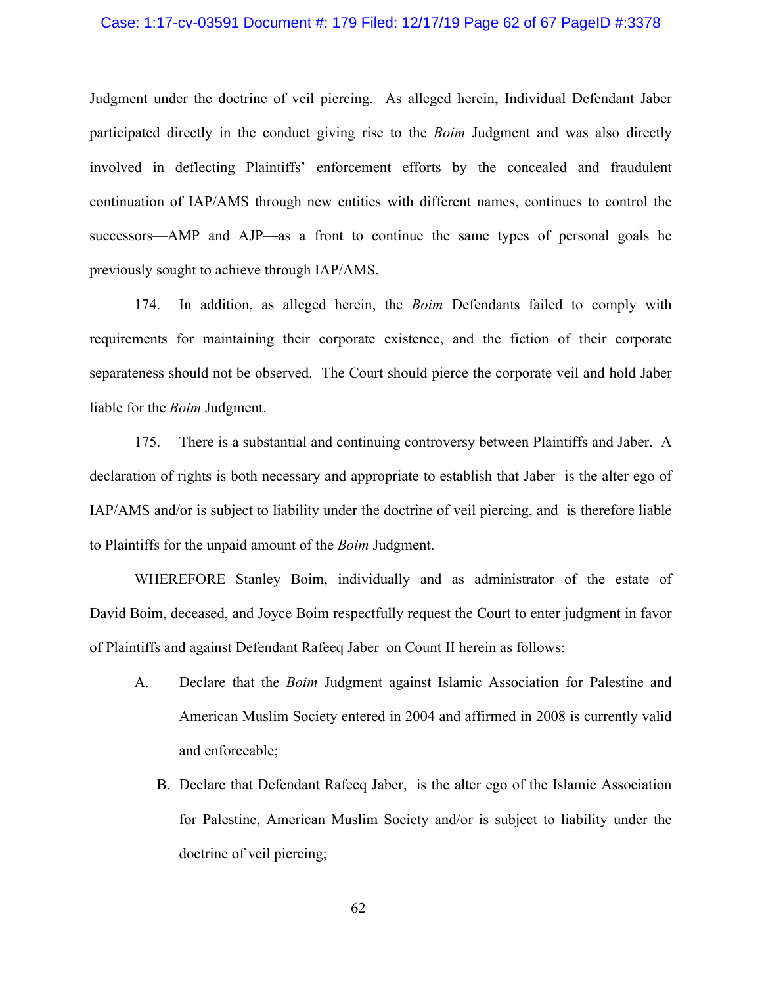### Case: 1:17-cv-03591 Document #: 179 Filed: 12/17/19 Page 62 of 67 PageID #:3378

Judgment under the doctrine of veil piercing. As alleged herein, Individual Defendant Jaber participated directly in the conduct giving rise to the *Boim* Judgment and was also directly involved in deflecting Plaintiffs' enforcement efforts by the concealed and fraudulent continuation of IAP/AMS through new entities with different names, continues to control the successors—AMP and AJP—as a front to continue the same types of personal goals he previously sought to achieve through IAP/AMS.

174. In addition, as alleged herein, the *Boim* Defendants failed to comply with requirements for maintaining their corporate existence, and the fiction of their corporate separateness should not be observed. The Court should pierce the corporate veil and hold Jaber liable for the *Boim* Judgment.

175. There is a substantial and continuing controversy between Plaintiffs and Jaber. A declaration of rights is both necessary and appropriate to establish that Jaber is the alter ego of IAP/AMS and/or is subject to liability under the doctrine of veil piercing, and is therefore liable to Plaintiffs for the unpaid amount of the *Boim* Judgment.

WHEREFORE Stanley Boim, individually and as administrator of the estate of David Boim, deceased, and Joyce Boim respectfully request the Court to enter judgment in favor of Plaintiffs and against Defendant Rafeeq Jaber on Count II herein as follows:

- A. Declare that the *Boim* Judgment against Islamic Association for Palestine and American Muslim Society entered in 2004 and affirmed in 2008 is currently valid and enforceable;
	- B. Declare that Defendant Rafeeq Jaber, is the alter ego of the Islamic Association for Palestine, American Muslim Society and/or is subject to liability under the doctrine of veil piercing;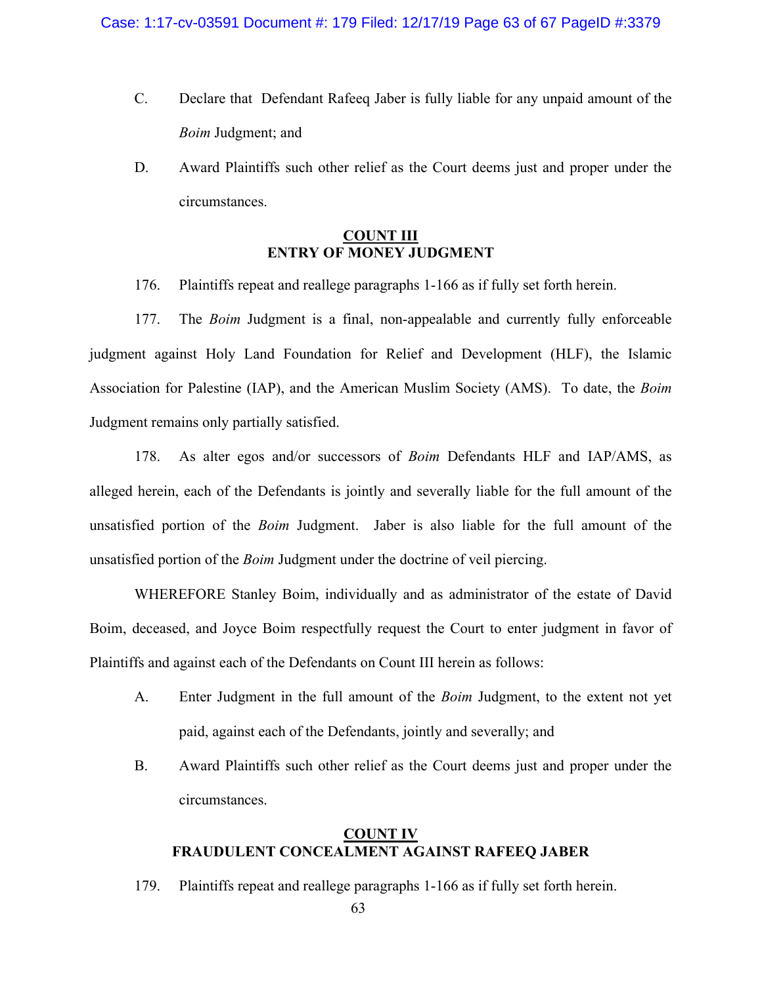- C. Declare that Defendant Rafeeq Jaber is fully liable for any unpaid amount of the *Boim* Judgment; and
- D. Award Plaintiffs such other relief as the Court deems just and proper under the circumstances.

# **COUNT III ENTRY OF MONEY JUDGMENT**

176. Plaintiffs repeat and reallege paragraphs 1-166 as if fully set forth herein.

177. The *Boim* Judgment is a final, non-appealable and currently fully enforceable judgment against Holy Land Foundation for Relief and Development (HLF), the Islamic Association for Palestine (IAP), and the American Muslim Society (AMS). To date, the *Boim* Judgment remains only partially satisfied.

178. As alter egos and/or successors of *Boim* Defendants HLF and IAP/AMS, as alleged herein, each of the Defendants is jointly and severally liable for the full amount of the unsatisfied portion of the *Boim* Judgment. Jaber is also liable for the full amount of the unsatisfied portion of the *Boim* Judgment under the doctrine of veil piercing.

WHEREFORE Stanley Boim, individually and as administrator of the estate of David Boim, deceased, and Joyce Boim respectfully request the Court to enter judgment in favor of Plaintiffs and against each of the Defendants on Count III herein as follows:

- A. Enter Judgment in the full amount of the *Boim* Judgment, to the extent not yet paid, against each of the Defendants, jointly and severally; and
- B. Award Plaintiffs such other relief as the Court deems just and proper under the circumstances.

## **COUNT IV FRAUDULENT CONCEALMENT AGAINST RAFEEQ JABER**

179. Plaintiffs repeat and reallege paragraphs 1-166 as if fully set forth herein.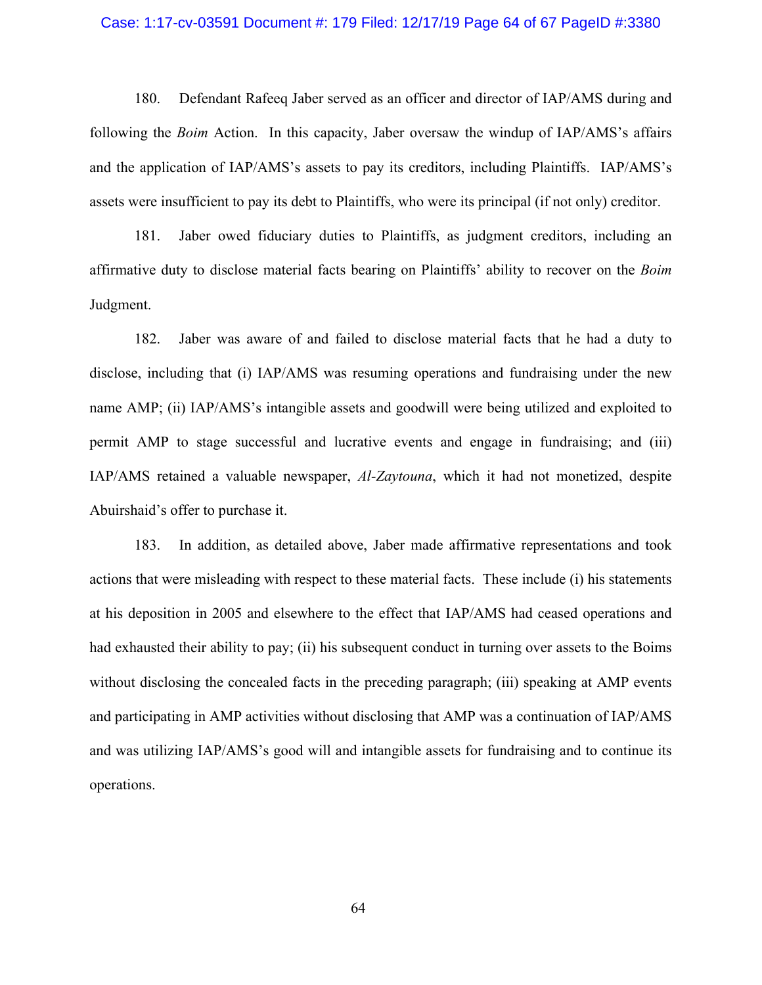#### Case: 1:17-cv-03591 Document #: 179 Filed: 12/17/19 Page 64 of 67 PageID #:3380

180. Defendant Rafeeq Jaber served as an officer and director of IAP/AMS during and following the *Boim* Action. In this capacity, Jaber oversaw the windup of IAP/AMS's affairs and the application of IAP/AMS's assets to pay its creditors, including Plaintiffs. IAP/AMS's assets were insufficient to pay its debt to Plaintiffs, who were its principal (if not only) creditor.

181. Jaber owed fiduciary duties to Plaintiffs, as judgment creditors, including an affirmative duty to disclose material facts bearing on Plaintiffs' ability to recover on the *Boim* Judgment.

182. Jaber was aware of and failed to disclose material facts that he had a duty to disclose, including that (i) IAP/AMS was resuming operations and fundraising under the new name AMP; (ii) IAP/AMS's intangible assets and goodwill were being utilized and exploited to permit AMP to stage successful and lucrative events and engage in fundraising; and (iii) IAP/AMS retained a valuable newspaper, *Al-Zaytouna*, which it had not monetized, despite Abuirshaid's offer to purchase it.

183. In addition, as detailed above, Jaber made affirmative representations and took actions that were misleading with respect to these material facts. These include (i) his statements at his deposition in 2005 and elsewhere to the effect that IAP/AMS had ceased operations and had exhausted their ability to pay; (ii) his subsequent conduct in turning over assets to the Boims without disclosing the concealed facts in the preceding paragraph; (iii) speaking at AMP events and participating in AMP activities without disclosing that AMP was a continuation of IAP/AMS and was utilizing IAP/AMS's good will and intangible assets for fundraising and to continue its operations.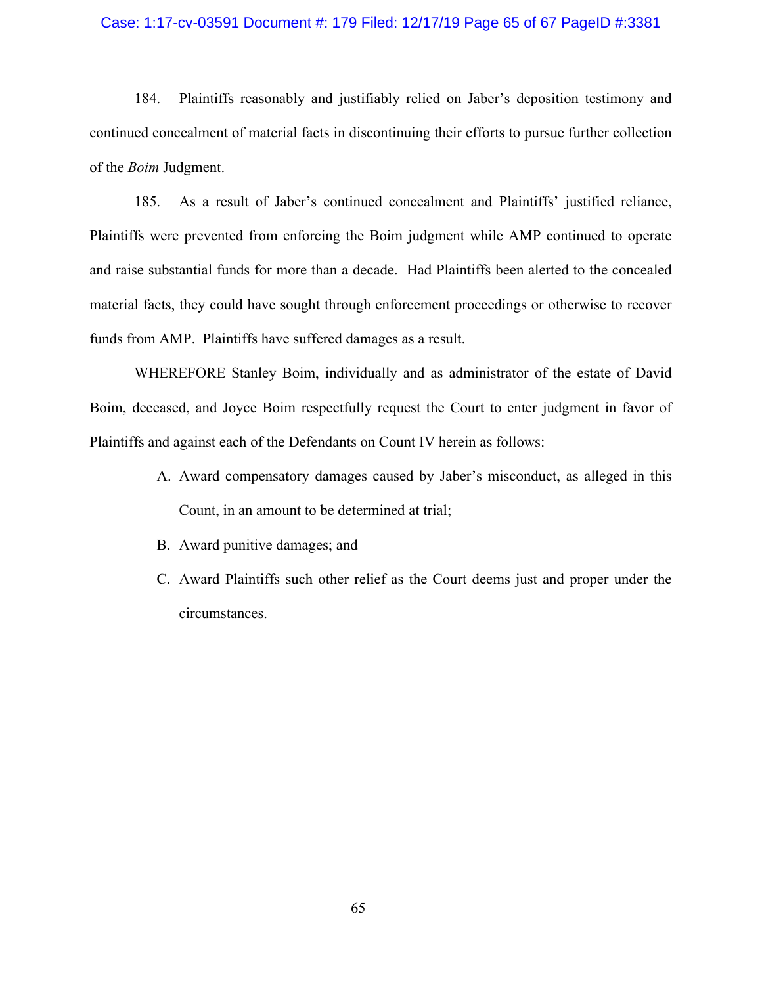### Case: 1:17-cv-03591 Document #: 179 Filed: 12/17/19 Page 65 of 67 PageID #:3381

184. Plaintiffs reasonably and justifiably relied on Jaber's deposition testimony and continued concealment of material facts in discontinuing their efforts to pursue further collection of the *Boim* Judgment.

185. As a result of Jaber's continued concealment and Plaintiffs' justified reliance, Plaintiffs were prevented from enforcing the Boim judgment while AMP continued to operate and raise substantial funds for more than a decade. Had Plaintiffs been alerted to the concealed material facts, they could have sought through enforcement proceedings or otherwise to recover funds from AMP. Plaintiffs have suffered damages as a result.

WHEREFORE Stanley Boim, individually and as administrator of the estate of David Boim, deceased, and Joyce Boim respectfully request the Court to enter judgment in favor of Plaintiffs and against each of the Defendants on Count IV herein as follows:

- A. Award compensatory damages caused by Jaber's misconduct, as alleged in this Count, in an amount to be determined at trial;
- B. Award punitive damages; and
- C. Award Plaintiffs such other relief as the Court deems just and proper under the circumstances.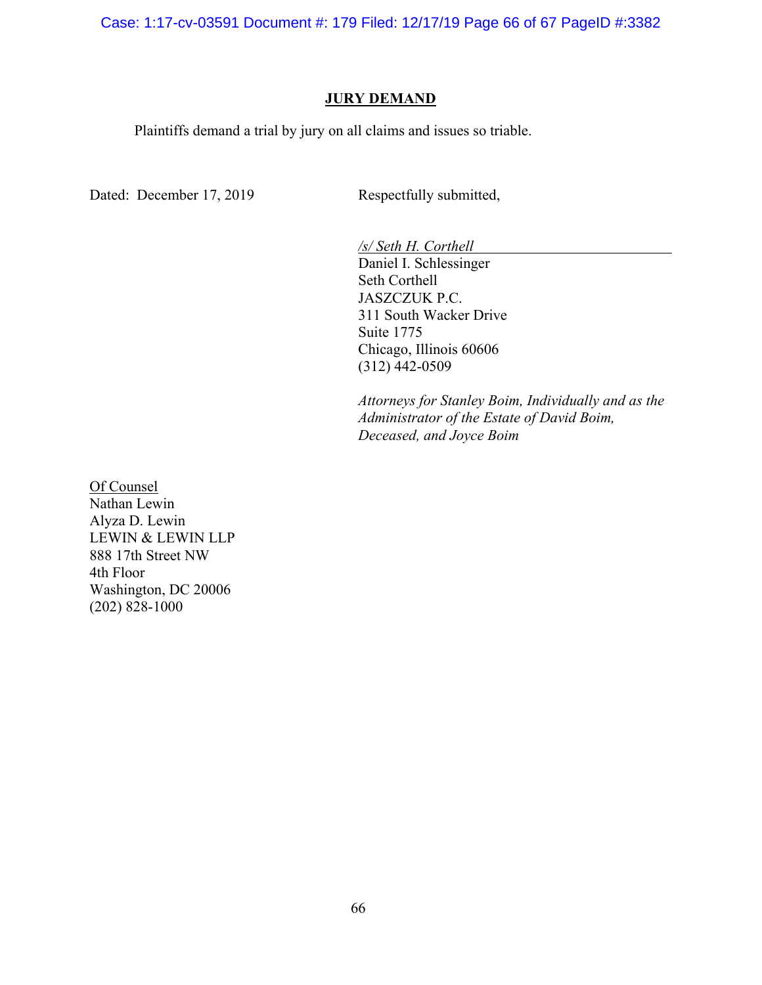Case: 1:17-cv-03591 Document #: 179 Filed: 12/17/19 Page 66 of 67 PageID #:3382

### **JURY DEMAND**

Plaintiffs demand a trial by jury on all claims and issues so triable.

Dated: December 17, 2019 Respectfully submitted,

*/s/ Seth H. Corthell*

Daniel I. Schlessinger Seth Corthell JASZCZUK P.C. 311 South Wacker Drive Suite 1775 Chicago, Illinois 60606 (312) 442-0509

*Attorneys for Stanley Boim, Individually and as the Administrator of the Estate of David Boim, Deceased, and Joyce Boim*

Of Counsel Nathan Lewin Alyza D. Lewin LEWIN & LEWIN LLP 888 17th Street NW 4th Floor Washington, DC 20006 (202) 828-1000